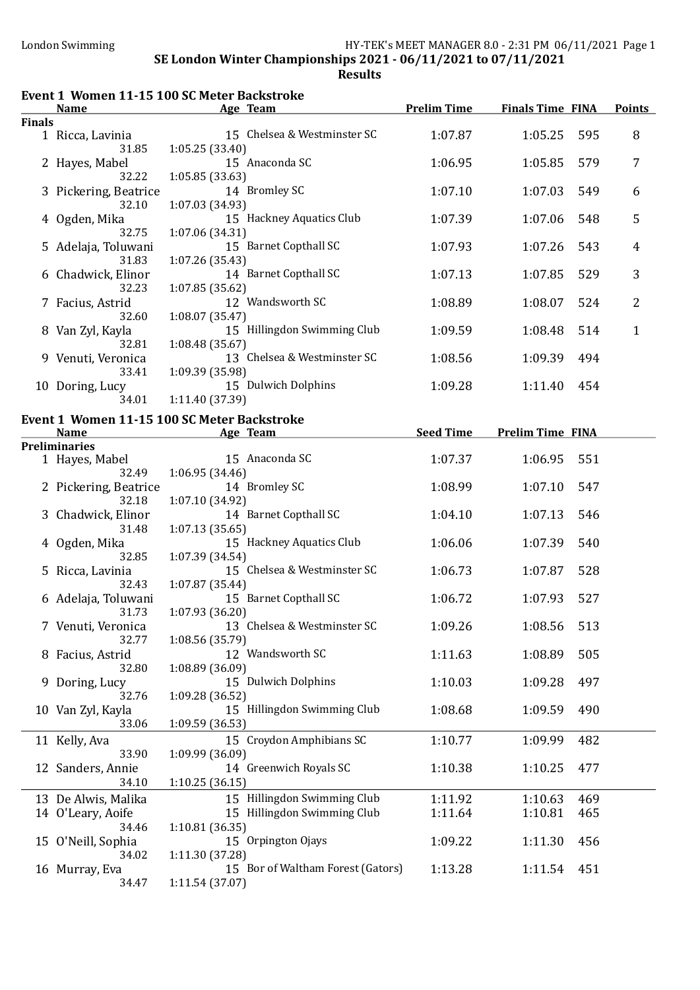|               |                                    | Event 1 Women 11-15 100 SC Meter Backstroke                              |                  |                                     |     |               |
|---------------|------------------------------------|--------------------------------------------------------------------------|------------------|-------------------------------------|-----|---------------|
|               | <b>Name</b>                        | <b>Example 2</b> Age Team                                                |                  | <b>Prelim Time Finals Time FINA</b> |     | <b>Points</b> |
| <b>Finals</b> | 1 Ricca, Lavinia                   | 15 Chelsea & Westminster SC                                              | 1:07.87          | 1:05.25                             | 595 | 8             |
|               | 31.85                              | 1:05.25(33.40)                                                           |                  |                                     |     |               |
|               | 2 Hayes, Mabel<br>32.22            | 15 Anaconda SC<br>1:05.85(33.63)                                         | 1:06.95          | 1:05.85                             | 579 | 7             |
|               | 3 Pickering, Beatrice<br>32.10     | 14 Bromley SC<br>1:07.03 (34.93)                                         | 1:07.10          | 1:07.03                             | 549 | 6             |
|               | 4 Ogden, Mika<br>32.75             | 15 Hackney Aquatics Club<br>1:07.06 (34.31)                              | 1:07.39          | 1:07.06                             | 548 | 5             |
|               | 5 Adelaja, Toluwani<br>31.83       | 15 Barnet Copthall SC<br>1:07.26 (35.43)                                 | 1:07.93          | 1:07.26                             | 543 | 4             |
|               | 6 Chadwick, Elinor                 | 14 Barnet Copthall SC                                                    | 1:07.13          | 1:07.85                             | 529 | 3             |
|               | 32.23<br>7 Facius, Astrid<br>32.60 | 1:07.85 (35.62)<br>12 Wandsworth SC<br>1:08.07 (35.47)                   | 1:08.89          | 1:08.07                             | 524 | 2             |
|               | 8 Van Zyl, Kayla<br>32.81          | 15 Hillingdon Swimming Club<br>1:08.48 (35.67)                           | 1:09.59          | 1:08.48                             | 514 | 1             |
|               | 9 Venuti, Veronica<br>33.41        | 13 Chelsea & Westminster SC                                              | 1:08.56          | 1:09.39                             | 494 |               |
|               | 10 Doring, Lucy<br>34.01           | 1:09.39 (35.98)<br>15 Dulwich Dolphins<br>1:11.40 (37.39)                | 1:09.28          | 1:11.40                             | 454 |               |
|               |                                    |                                                                          |                  |                                     |     |               |
|               | <b>Name</b>                        | Event 1 Women 11-15 100 SC Meter Backstroke<br><b>Example 2</b> Age Team | <b>Seed Time</b> | <b>Prelim Time FINA</b>             |     |               |
|               | <b>Preliminaries</b>               |                                                                          |                  |                                     |     |               |
|               | 1 Hayes, Mabel<br>32.49            | 15 Anaconda SC<br>1:06.95(34.46)                                         | 1:07.37          | 1:06.95                             | 551 |               |
|               | 2 Pickering, Beatrice<br>32.18     | 14 Bromley SC<br>1:07.10 (34.92)                                         | 1:08.99          | 1:07.10                             | 547 |               |
|               | 3 Chadwick, Elinor<br>31.48        | 14 Barnet Copthall SC<br>1:07.13(35.65)                                  | 1:04.10          | 1:07.13                             | 546 |               |
|               | 4 Ogden, Mika<br>32.85             | 15 Hackney Aquatics Club<br>1:07.39(34.54)                               | 1:06.06          | 1:07.39                             | 540 |               |
|               | 5 Ricca, Lavinia<br>32.43          | 15 Chelsea & Westminster SC<br>1:07.87 (35.44)                           | 1:06.73          | 1:07.87                             | 528 |               |
|               | 6 Adelaja, Toluwani<br>31.73       | 15 Barnet Copthall SC<br>1:07.93(36.20)                                  | 1:06.72          | 1:07.93                             | 527 |               |
|               | 7 Venuti, Veronica<br>32.77        | 13 Chelsea & Westminster SC<br>1:08.56 (35.79)                           | 1:09.26          | 1:08.56                             | 513 |               |
|               | 8 Facius, Astrid                   | 12 Wandsworth SC                                                         | 1:11.63          | 1:08.89                             | 505 |               |
|               | 32.80<br>9 Doring, Lucy            | 1:08.89 (36.09)<br>15 Dulwich Dolphins                                   | 1:10.03          | 1:09.28                             | 497 |               |
|               | 32.76<br>10 Van Zyl, Kayla         | 1:09.28 (36.52)<br>15 Hillingdon Swimming Club                           | 1:08.68          | 1:09.59                             | 490 |               |
|               | 33.06                              | 1:09.59 (36.53)<br>15 Croydon Amphibians SC                              | 1:10.77          | 1:09.99                             | 482 |               |
|               | 11 Kelly, Ava<br>33.90             | 1:09.99 (36.09)                                                          |                  |                                     |     |               |
|               | 12 Sanders, Annie<br>34.10         | 14 Greenwich Royals SC<br>1:10.25(36.15)                                 | 1:10.38          | 1:10.25                             | 477 |               |
|               | 13 De Alwis, Malika                | 15 Hillingdon Swimming Club                                              | 1:11.92          | 1:10.63                             | 469 |               |
|               | 14 O'Leary, Aoife<br>34.46         | 15 Hillingdon Swimming Club<br>1:10.81(36.35)                            | 1:11.64          | 1:10.81                             | 465 |               |
|               | 15 O'Neill, Sophia<br>34.02        | 15 Orpington Ojays<br>1:11.30 (37.28)                                    | 1:09.22          | 1:11.30                             | 456 |               |
|               | 16 Murray, Eva<br>34.47            | 15 Bor of Waltham Forest (Gators)<br>1:11.54 (37.07)                     | 1:13.28          | 1:11.54                             | 451 |               |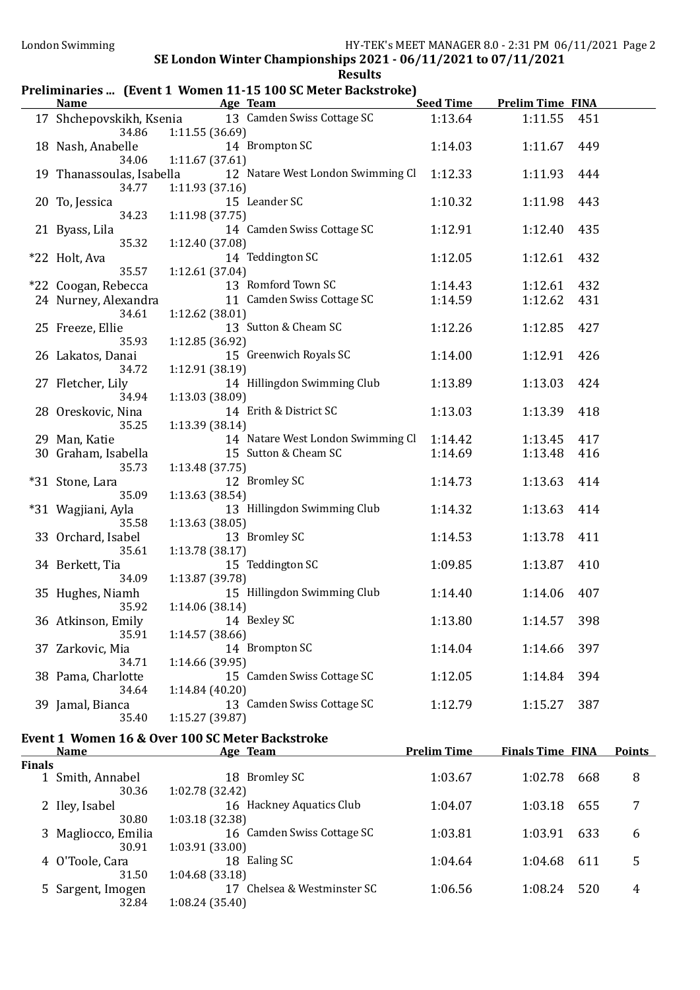#### SE London Winter Championships 2021 - 06/11/2021 to 07/11/2021 **Results**

#### Preliminaries ... (Event 1 Women 11-15 100 SC Meter Backstroke)<br>Name Age Team Seed Time Prelim Time FINA

| 14 Brompton SC<br>18 Nash, Anabelle<br>1:11.67(37.61)<br>34.06<br>12 Natare West London Swimming Cl<br>19 Thanassoulas, Isabella<br>1:11.93 (37.16)<br>34.77<br>15 Leander SC<br>20 To, Jessica<br>34.23<br>1:11.98(37.75)<br>14 Camden Swiss Cottage SC<br>21 Byass, Lila<br>35.32<br>1:12.40 (37.08)<br>14 Teddington SC<br>*22 Holt, Ava<br>35.57<br>1:12.61 (37.04)<br>13 Romford Town SC<br>*22 Coogan, Rebecca<br>11 Camden Swiss Cottage SC<br>24 Nurney, Alexandra<br>34.61<br>1:12.62 (38.01)<br>13 Sutton & Cheam SC<br>25 Freeze, Ellie<br>35.93<br>1:12.85 (36.92)<br>15 Greenwich Royals SC<br>26 Lakatos, Danai<br>1:12.91 (38.19)<br>34.72<br>14 Hillingdon Swimming Club<br>27 Fletcher, Lily<br>1:13.03 (38.09)<br>34.94<br>14 Erith & District SC<br>28 Oreskovic, Nina<br>35.25<br>1:13.39 (38.14)<br>14 Natare West London Swimming Cl<br>29 Man, Katie<br>15 Sutton & Cheam SC<br>30 Graham, Isabella<br>35.73<br>1:13.48 (37.75)<br>12 Bromley SC<br>*31 Stone, Lara<br>35.09<br>1:13.63 (38.54)<br>13 Hillingdon Swimming Club<br>*31 Wagjiani, Ayla<br>1:13.63(38.05)<br>35.58<br>13 Bromley SC<br>33 Orchard, Isabel<br>1:13.78 (38.17)<br>35.61<br>15 Teddington SC<br>34 Berkett, Tia<br>1:13.87 (39.78)<br>34.09<br>15 Hillingdon Swimming Club<br>35 Hughes, Niamh<br>35.92<br>1:14.06 (38.14)<br>14 Bexley SC<br>36 Atkinson, Emily<br>1:14.57 (38.66)<br>35.91<br>14 Brompton SC<br>37 Zarkovic, Mia<br>1:14.66 (39.95)<br>34.71<br>15 Camden Swiss Cottage SC<br>38 Pama, Charlotte<br>34.64<br>1:14.84(40.20)<br>13 Camden Swiss Cottage SC<br>39 Jamal, Bianca<br>35.40<br>1:15.27(39.87)<br>Event 1 Women 16 & Over 100 SC Meter Backstroke<br><b>Prelim Time</b><br><b>Name</b><br>Age Team<br><b>Finals</b><br>1 Smith, Annabel<br>18 Bromley SC<br>30.36<br>1:02.78 (32.42)<br>16 Hackney Aquatics Club<br>2 Iley, Isabel<br>30.80<br>1:03.18 (32.38)<br>16 Camden Swiss Cottage SC<br>3 Magliocco, Emilia<br>30.91<br>1:03.91 (33.00)<br>18 Ealing SC<br>4 O'Toole, Cara<br>1:04.68(33.18)<br>31.50<br>17 Chelsea & Westminster SC<br>5 Sargent, Imogen | 17 Shchepovskikh, Ksenia 13 Camden Swiss Cottage SC | 1:13.64 | 1:11.55                 | 451 |               |
|------------------------------------------------------------------------------------------------------------------------------------------------------------------------------------------------------------------------------------------------------------------------------------------------------------------------------------------------------------------------------------------------------------------------------------------------------------------------------------------------------------------------------------------------------------------------------------------------------------------------------------------------------------------------------------------------------------------------------------------------------------------------------------------------------------------------------------------------------------------------------------------------------------------------------------------------------------------------------------------------------------------------------------------------------------------------------------------------------------------------------------------------------------------------------------------------------------------------------------------------------------------------------------------------------------------------------------------------------------------------------------------------------------------------------------------------------------------------------------------------------------------------------------------------------------------------------------------------------------------------------------------------------------------------------------------------------------------------------------------------------------------------------------------------------------------------------------------------------------------------------------------------------------------------------------------------------------------------------------------------------------------------------------------------------------------------------------------------|-----------------------------------------------------|---------|-------------------------|-----|---------------|
|                                                                                                                                                                                                                                                                                                                                                                                                                                                                                                                                                                                                                                                                                                                                                                                                                                                                                                                                                                                                                                                                                                                                                                                                                                                                                                                                                                                                                                                                                                                                                                                                                                                                                                                                                                                                                                                                                                                                                                                                                                                                                                | 34.86<br>1:11.55 (36.69)                            |         |                         |     |               |
|                                                                                                                                                                                                                                                                                                                                                                                                                                                                                                                                                                                                                                                                                                                                                                                                                                                                                                                                                                                                                                                                                                                                                                                                                                                                                                                                                                                                                                                                                                                                                                                                                                                                                                                                                                                                                                                                                                                                                                                                                                                                                                |                                                     | 1:14.03 | 1:11.67                 | 449 |               |
|                                                                                                                                                                                                                                                                                                                                                                                                                                                                                                                                                                                                                                                                                                                                                                                                                                                                                                                                                                                                                                                                                                                                                                                                                                                                                                                                                                                                                                                                                                                                                                                                                                                                                                                                                                                                                                                                                                                                                                                                                                                                                                |                                                     | 1:12.33 | 1:11.93                 | 444 |               |
|                                                                                                                                                                                                                                                                                                                                                                                                                                                                                                                                                                                                                                                                                                                                                                                                                                                                                                                                                                                                                                                                                                                                                                                                                                                                                                                                                                                                                                                                                                                                                                                                                                                                                                                                                                                                                                                                                                                                                                                                                                                                                                |                                                     |         |                         |     |               |
|                                                                                                                                                                                                                                                                                                                                                                                                                                                                                                                                                                                                                                                                                                                                                                                                                                                                                                                                                                                                                                                                                                                                                                                                                                                                                                                                                                                                                                                                                                                                                                                                                                                                                                                                                                                                                                                                                                                                                                                                                                                                                                |                                                     | 1:10.32 | 1:11.98                 | 443 |               |
|                                                                                                                                                                                                                                                                                                                                                                                                                                                                                                                                                                                                                                                                                                                                                                                                                                                                                                                                                                                                                                                                                                                                                                                                                                                                                                                                                                                                                                                                                                                                                                                                                                                                                                                                                                                                                                                                                                                                                                                                                                                                                                |                                                     |         |                         |     |               |
|                                                                                                                                                                                                                                                                                                                                                                                                                                                                                                                                                                                                                                                                                                                                                                                                                                                                                                                                                                                                                                                                                                                                                                                                                                                                                                                                                                                                                                                                                                                                                                                                                                                                                                                                                                                                                                                                                                                                                                                                                                                                                                |                                                     | 1:12.91 | 1:12.40                 | 435 |               |
|                                                                                                                                                                                                                                                                                                                                                                                                                                                                                                                                                                                                                                                                                                                                                                                                                                                                                                                                                                                                                                                                                                                                                                                                                                                                                                                                                                                                                                                                                                                                                                                                                                                                                                                                                                                                                                                                                                                                                                                                                                                                                                |                                                     |         |                         |     |               |
|                                                                                                                                                                                                                                                                                                                                                                                                                                                                                                                                                                                                                                                                                                                                                                                                                                                                                                                                                                                                                                                                                                                                                                                                                                                                                                                                                                                                                                                                                                                                                                                                                                                                                                                                                                                                                                                                                                                                                                                                                                                                                                |                                                     | 1:12.05 | 1:12.61                 | 432 |               |
|                                                                                                                                                                                                                                                                                                                                                                                                                                                                                                                                                                                                                                                                                                                                                                                                                                                                                                                                                                                                                                                                                                                                                                                                                                                                                                                                                                                                                                                                                                                                                                                                                                                                                                                                                                                                                                                                                                                                                                                                                                                                                                |                                                     | 1:14.43 | 1:12.61                 | 432 |               |
|                                                                                                                                                                                                                                                                                                                                                                                                                                                                                                                                                                                                                                                                                                                                                                                                                                                                                                                                                                                                                                                                                                                                                                                                                                                                                                                                                                                                                                                                                                                                                                                                                                                                                                                                                                                                                                                                                                                                                                                                                                                                                                |                                                     | 1:14.59 | 1:12.62                 | 431 |               |
|                                                                                                                                                                                                                                                                                                                                                                                                                                                                                                                                                                                                                                                                                                                                                                                                                                                                                                                                                                                                                                                                                                                                                                                                                                                                                                                                                                                                                                                                                                                                                                                                                                                                                                                                                                                                                                                                                                                                                                                                                                                                                                |                                                     |         |                         |     |               |
|                                                                                                                                                                                                                                                                                                                                                                                                                                                                                                                                                                                                                                                                                                                                                                                                                                                                                                                                                                                                                                                                                                                                                                                                                                                                                                                                                                                                                                                                                                                                                                                                                                                                                                                                                                                                                                                                                                                                                                                                                                                                                                |                                                     | 1:12.26 | 1:12.85                 | 427 |               |
|                                                                                                                                                                                                                                                                                                                                                                                                                                                                                                                                                                                                                                                                                                                                                                                                                                                                                                                                                                                                                                                                                                                                                                                                                                                                                                                                                                                                                                                                                                                                                                                                                                                                                                                                                                                                                                                                                                                                                                                                                                                                                                |                                                     |         |                         |     |               |
|                                                                                                                                                                                                                                                                                                                                                                                                                                                                                                                                                                                                                                                                                                                                                                                                                                                                                                                                                                                                                                                                                                                                                                                                                                                                                                                                                                                                                                                                                                                                                                                                                                                                                                                                                                                                                                                                                                                                                                                                                                                                                                |                                                     | 1:14.00 | 1:12.91                 | 426 |               |
|                                                                                                                                                                                                                                                                                                                                                                                                                                                                                                                                                                                                                                                                                                                                                                                                                                                                                                                                                                                                                                                                                                                                                                                                                                                                                                                                                                                                                                                                                                                                                                                                                                                                                                                                                                                                                                                                                                                                                                                                                                                                                                |                                                     |         |                         |     |               |
|                                                                                                                                                                                                                                                                                                                                                                                                                                                                                                                                                                                                                                                                                                                                                                                                                                                                                                                                                                                                                                                                                                                                                                                                                                                                                                                                                                                                                                                                                                                                                                                                                                                                                                                                                                                                                                                                                                                                                                                                                                                                                                |                                                     | 1:13.89 | 1:13.03                 | 424 |               |
|                                                                                                                                                                                                                                                                                                                                                                                                                                                                                                                                                                                                                                                                                                                                                                                                                                                                                                                                                                                                                                                                                                                                                                                                                                                                                                                                                                                                                                                                                                                                                                                                                                                                                                                                                                                                                                                                                                                                                                                                                                                                                                |                                                     | 1:13.03 | 1:13.39                 | 418 |               |
|                                                                                                                                                                                                                                                                                                                                                                                                                                                                                                                                                                                                                                                                                                                                                                                                                                                                                                                                                                                                                                                                                                                                                                                                                                                                                                                                                                                                                                                                                                                                                                                                                                                                                                                                                                                                                                                                                                                                                                                                                                                                                                |                                                     |         |                         |     |               |
|                                                                                                                                                                                                                                                                                                                                                                                                                                                                                                                                                                                                                                                                                                                                                                                                                                                                                                                                                                                                                                                                                                                                                                                                                                                                                                                                                                                                                                                                                                                                                                                                                                                                                                                                                                                                                                                                                                                                                                                                                                                                                                |                                                     | 1:14.42 | 1:13.45                 | 417 |               |
|                                                                                                                                                                                                                                                                                                                                                                                                                                                                                                                                                                                                                                                                                                                                                                                                                                                                                                                                                                                                                                                                                                                                                                                                                                                                                                                                                                                                                                                                                                                                                                                                                                                                                                                                                                                                                                                                                                                                                                                                                                                                                                |                                                     | 1:14.69 | 1:13.48                 | 416 |               |
|                                                                                                                                                                                                                                                                                                                                                                                                                                                                                                                                                                                                                                                                                                                                                                                                                                                                                                                                                                                                                                                                                                                                                                                                                                                                                                                                                                                                                                                                                                                                                                                                                                                                                                                                                                                                                                                                                                                                                                                                                                                                                                |                                                     |         |                         |     |               |
|                                                                                                                                                                                                                                                                                                                                                                                                                                                                                                                                                                                                                                                                                                                                                                                                                                                                                                                                                                                                                                                                                                                                                                                                                                                                                                                                                                                                                                                                                                                                                                                                                                                                                                                                                                                                                                                                                                                                                                                                                                                                                                |                                                     | 1:14.73 | 1:13.63                 | 414 |               |
|                                                                                                                                                                                                                                                                                                                                                                                                                                                                                                                                                                                                                                                                                                                                                                                                                                                                                                                                                                                                                                                                                                                                                                                                                                                                                                                                                                                                                                                                                                                                                                                                                                                                                                                                                                                                                                                                                                                                                                                                                                                                                                |                                                     |         |                         |     |               |
|                                                                                                                                                                                                                                                                                                                                                                                                                                                                                                                                                                                                                                                                                                                                                                                                                                                                                                                                                                                                                                                                                                                                                                                                                                                                                                                                                                                                                                                                                                                                                                                                                                                                                                                                                                                                                                                                                                                                                                                                                                                                                                |                                                     | 1:14.32 | 1:13.63                 | 414 |               |
|                                                                                                                                                                                                                                                                                                                                                                                                                                                                                                                                                                                                                                                                                                                                                                                                                                                                                                                                                                                                                                                                                                                                                                                                                                                                                                                                                                                                                                                                                                                                                                                                                                                                                                                                                                                                                                                                                                                                                                                                                                                                                                |                                                     | 1:14.53 | 1:13.78                 | 411 |               |
|                                                                                                                                                                                                                                                                                                                                                                                                                                                                                                                                                                                                                                                                                                                                                                                                                                                                                                                                                                                                                                                                                                                                                                                                                                                                                                                                                                                                                                                                                                                                                                                                                                                                                                                                                                                                                                                                                                                                                                                                                                                                                                |                                                     |         |                         |     |               |
|                                                                                                                                                                                                                                                                                                                                                                                                                                                                                                                                                                                                                                                                                                                                                                                                                                                                                                                                                                                                                                                                                                                                                                                                                                                                                                                                                                                                                                                                                                                                                                                                                                                                                                                                                                                                                                                                                                                                                                                                                                                                                                |                                                     | 1:09.85 | 1:13.87                 | 410 |               |
|                                                                                                                                                                                                                                                                                                                                                                                                                                                                                                                                                                                                                                                                                                                                                                                                                                                                                                                                                                                                                                                                                                                                                                                                                                                                                                                                                                                                                                                                                                                                                                                                                                                                                                                                                                                                                                                                                                                                                                                                                                                                                                |                                                     |         |                         |     |               |
|                                                                                                                                                                                                                                                                                                                                                                                                                                                                                                                                                                                                                                                                                                                                                                                                                                                                                                                                                                                                                                                                                                                                                                                                                                                                                                                                                                                                                                                                                                                                                                                                                                                                                                                                                                                                                                                                                                                                                                                                                                                                                                |                                                     | 1:14.40 | 1:14.06                 | 407 |               |
|                                                                                                                                                                                                                                                                                                                                                                                                                                                                                                                                                                                                                                                                                                                                                                                                                                                                                                                                                                                                                                                                                                                                                                                                                                                                                                                                                                                                                                                                                                                                                                                                                                                                                                                                                                                                                                                                                                                                                                                                                                                                                                |                                                     | 1:13.80 | 1:14.57                 | 398 |               |
|                                                                                                                                                                                                                                                                                                                                                                                                                                                                                                                                                                                                                                                                                                                                                                                                                                                                                                                                                                                                                                                                                                                                                                                                                                                                                                                                                                                                                                                                                                                                                                                                                                                                                                                                                                                                                                                                                                                                                                                                                                                                                                |                                                     |         |                         |     |               |
|                                                                                                                                                                                                                                                                                                                                                                                                                                                                                                                                                                                                                                                                                                                                                                                                                                                                                                                                                                                                                                                                                                                                                                                                                                                                                                                                                                                                                                                                                                                                                                                                                                                                                                                                                                                                                                                                                                                                                                                                                                                                                                |                                                     | 1:14.04 | 1:14.66                 | 397 |               |
|                                                                                                                                                                                                                                                                                                                                                                                                                                                                                                                                                                                                                                                                                                                                                                                                                                                                                                                                                                                                                                                                                                                                                                                                                                                                                                                                                                                                                                                                                                                                                                                                                                                                                                                                                                                                                                                                                                                                                                                                                                                                                                |                                                     |         |                         |     |               |
|                                                                                                                                                                                                                                                                                                                                                                                                                                                                                                                                                                                                                                                                                                                                                                                                                                                                                                                                                                                                                                                                                                                                                                                                                                                                                                                                                                                                                                                                                                                                                                                                                                                                                                                                                                                                                                                                                                                                                                                                                                                                                                |                                                     | 1:12.05 | 1:14.84                 | 394 |               |
|                                                                                                                                                                                                                                                                                                                                                                                                                                                                                                                                                                                                                                                                                                                                                                                                                                                                                                                                                                                                                                                                                                                                                                                                                                                                                                                                                                                                                                                                                                                                                                                                                                                                                                                                                                                                                                                                                                                                                                                                                                                                                                |                                                     |         |                         |     |               |
|                                                                                                                                                                                                                                                                                                                                                                                                                                                                                                                                                                                                                                                                                                                                                                                                                                                                                                                                                                                                                                                                                                                                                                                                                                                                                                                                                                                                                                                                                                                                                                                                                                                                                                                                                                                                                                                                                                                                                                                                                                                                                                |                                                     | 1:12.79 | 1:15.27                 | 387 |               |
|                                                                                                                                                                                                                                                                                                                                                                                                                                                                                                                                                                                                                                                                                                                                                                                                                                                                                                                                                                                                                                                                                                                                                                                                                                                                                                                                                                                                                                                                                                                                                                                                                                                                                                                                                                                                                                                                                                                                                                                                                                                                                                |                                                     |         |                         |     |               |
|                                                                                                                                                                                                                                                                                                                                                                                                                                                                                                                                                                                                                                                                                                                                                                                                                                                                                                                                                                                                                                                                                                                                                                                                                                                                                                                                                                                                                                                                                                                                                                                                                                                                                                                                                                                                                                                                                                                                                                                                                                                                                                |                                                     |         |                         |     |               |
|                                                                                                                                                                                                                                                                                                                                                                                                                                                                                                                                                                                                                                                                                                                                                                                                                                                                                                                                                                                                                                                                                                                                                                                                                                                                                                                                                                                                                                                                                                                                                                                                                                                                                                                                                                                                                                                                                                                                                                                                                                                                                                |                                                     |         | <b>Finals Time FINA</b> |     | <b>Points</b> |
|                                                                                                                                                                                                                                                                                                                                                                                                                                                                                                                                                                                                                                                                                                                                                                                                                                                                                                                                                                                                                                                                                                                                                                                                                                                                                                                                                                                                                                                                                                                                                                                                                                                                                                                                                                                                                                                                                                                                                                                                                                                                                                |                                                     | 1:03.67 | 1:02.78                 | 668 | 8             |
|                                                                                                                                                                                                                                                                                                                                                                                                                                                                                                                                                                                                                                                                                                                                                                                                                                                                                                                                                                                                                                                                                                                                                                                                                                                                                                                                                                                                                                                                                                                                                                                                                                                                                                                                                                                                                                                                                                                                                                                                                                                                                                |                                                     |         |                         |     |               |
|                                                                                                                                                                                                                                                                                                                                                                                                                                                                                                                                                                                                                                                                                                                                                                                                                                                                                                                                                                                                                                                                                                                                                                                                                                                                                                                                                                                                                                                                                                                                                                                                                                                                                                                                                                                                                                                                                                                                                                                                                                                                                                |                                                     | 1:04.07 | 1:03.18                 | 655 | 7             |
|                                                                                                                                                                                                                                                                                                                                                                                                                                                                                                                                                                                                                                                                                                                                                                                                                                                                                                                                                                                                                                                                                                                                                                                                                                                                                                                                                                                                                                                                                                                                                                                                                                                                                                                                                                                                                                                                                                                                                                                                                                                                                                |                                                     |         |                         |     |               |
|                                                                                                                                                                                                                                                                                                                                                                                                                                                                                                                                                                                                                                                                                                                                                                                                                                                                                                                                                                                                                                                                                                                                                                                                                                                                                                                                                                                                                                                                                                                                                                                                                                                                                                                                                                                                                                                                                                                                                                                                                                                                                                |                                                     | 1:03.81 | 1:03.91                 | 633 | 6             |
|                                                                                                                                                                                                                                                                                                                                                                                                                                                                                                                                                                                                                                                                                                                                                                                                                                                                                                                                                                                                                                                                                                                                                                                                                                                                                                                                                                                                                                                                                                                                                                                                                                                                                                                                                                                                                                                                                                                                                                                                                                                                                                |                                                     |         |                         |     |               |
|                                                                                                                                                                                                                                                                                                                                                                                                                                                                                                                                                                                                                                                                                                                                                                                                                                                                                                                                                                                                                                                                                                                                                                                                                                                                                                                                                                                                                                                                                                                                                                                                                                                                                                                                                                                                                                                                                                                                                                                                                                                                                                |                                                     | 1:04.64 | 1:04.68                 | 611 | 5             |
|                                                                                                                                                                                                                                                                                                                                                                                                                                                                                                                                                                                                                                                                                                                                                                                                                                                                                                                                                                                                                                                                                                                                                                                                                                                                                                                                                                                                                                                                                                                                                                                                                                                                                                                                                                                                                                                                                                                                                                                                                                                                                                |                                                     | 1:06.56 | 1:08.24                 | 520 | 4             |
| 1:08.24 (35.40)<br>32.84                                                                                                                                                                                                                                                                                                                                                                                                                                                                                                                                                                                                                                                                                                                                                                                                                                                                                                                                                                                                                                                                                                                                                                                                                                                                                                                                                                                                                                                                                                                                                                                                                                                                                                                                                                                                                                                                                                                                                                                                                                                                       |                                                     |         |                         |     |               |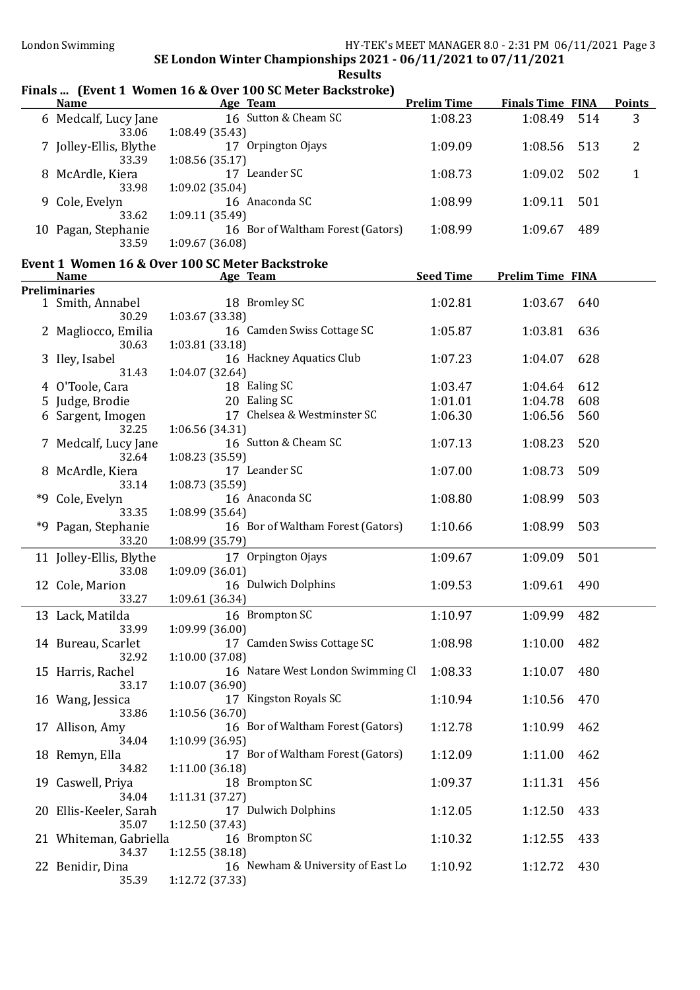## Finals ... (Event 1 Women 16 & Over 100 SC Meter Backstroke)

| <b>Name</b>               | mans  (Livent 1 Women 10 & OVER 100 SUPRETT Backstrone)<br><b>Example 2</b> Age Team | <b>Prelim Time</b> | <b>Finals Time FINA</b> |     | <b>Points</b>  |
|---------------------------|--------------------------------------------------------------------------------------|--------------------|-------------------------|-----|----------------|
| 6 Medcalf, Lucy Jane      | 16 Sutton & Cheam SC                                                                 | 1:08.23            | 1:08.49                 | 514 | 3              |
| 33.06                     | 1:08.49 (35.43)                                                                      |                    |                         |     |                |
| 7 Jolley-Ellis, Blythe    | 17 Orpington Ojays                                                                   | 1:09.09            | 1:08.56                 | 513 | $\overline{2}$ |
| 33.39                     | 1:08.56 (35.17)                                                                      |                    |                         |     |                |
| 8 McArdle, Kiera          | 17 Leander SC                                                                        | 1:08.73            | 1:09.02                 | 502 | $\mathbf{1}$   |
| 33.98                     | 1:09.02 (35.04)                                                                      |                    |                         |     |                |
| 9 Cole, Evelyn            | 16 Anaconda SC                                                                       | 1:08.99            | 1:09.11                 | 501 |                |
| 33.62                     | 1:09.11 (35.49)                                                                      |                    |                         |     |                |
| 10 Pagan, Stephanie       | 16 Bor of Waltham Forest (Gators)                                                    | 1:08.99            | 1:09.67                 | 489 |                |
| 33.59                     | 1:09.67(36.08)                                                                       |                    |                         |     |                |
|                           | Event 1 Women 16 & Over 100 SC Meter Backstroke                                      |                    |                         |     |                |
| <b>Name</b>               | Age Team                                                                             | <b>Seed Time</b>   | <b>Prelim Time FINA</b> |     |                |
| <b>Preliminaries</b>      |                                                                                      |                    |                         |     |                |
| 1 Smith, Annabel          | 18 Bromley SC                                                                        | 1:02.81            | 1:03.67                 | 640 |                |
| 30.29                     | 1:03.67 (33.38)                                                                      |                    |                         |     |                |
| 2 Magliocco, Emilia       | 16 Camden Swiss Cottage SC                                                           | 1:05.87            | 1:03.81                 | 636 |                |
| 30.63                     | 1:03.81 (33.18)                                                                      |                    |                         |     |                |
| 3 Iley, Isabel            | 16 Hackney Aquatics Club                                                             | 1:07.23            | 1:04.07                 | 628 |                |
| 31.43                     | 1:04.07 (32.64)                                                                      |                    |                         |     |                |
| 4 O'Toole, Cara           | 18 Ealing SC                                                                         | 1:03.47            | 1:04.64                 | 612 |                |
| 5 Judge, Brodie           | 20 Ealing SC                                                                         | 1:01.01            | 1:04.78                 | 608 |                |
| 6 Sargent, Imogen         | 17 Chelsea & Westminster SC                                                          | 1:06.30            | 1:06.56                 | 560 |                |
| 32.25                     | 1:06.56 (34.31)                                                                      |                    |                         |     |                |
| 7 Medcalf, Lucy Jane      | 16 Sutton & Cheam SC                                                                 | 1:07.13            | 1:08.23                 | 520 |                |
| 32.64                     | 1:08.23 (35.59)                                                                      |                    |                         |     |                |
| 8 McArdle, Kiera          | 17 Leander SC                                                                        | 1:07.00            | 1:08.73                 | 509 |                |
| 33.14                     | 1:08.73 (35.59)                                                                      |                    |                         |     |                |
| *9 Cole, Evelyn           | 16 Anaconda SC                                                                       | 1:08.80            | 1:08.99                 | 503 |                |
| 33.35                     | 1:08.99 (35.64)                                                                      |                    |                         |     |                |
| *9 Pagan, Stephanie       | 16 Bor of Waltham Forest (Gators)                                                    | 1:10.66            | 1:08.99                 | 503 |                |
| 33.20                     | 1:08.99 (35.79)                                                                      |                    |                         |     |                |
| 11 Jolley-Ellis, Blythe   | 17 Orpington Ojays                                                                   | 1:09.67            | 1:09.09                 | 501 |                |
| 33.08                     | 1:09.09 (36.01)                                                                      |                    |                         |     |                |
| 12 Cole, Marion           | 16 Dulwich Dolphins                                                                  | 1:09.53            | 1:09.61                 | 490 |                |
| 33.27                     | 1:09.61 (36.34)                                                                      |                    |                         |     |                |
|                           | 16 Brompton SC                                                                       |                    | 1:09.99                 | 482 |                |
| 13 Lack, Matilda<br>33.99 | 1:09.99(36.00)                                                                       | 1:10.97            |                         |     |                |
| 14 Bureau, Scarlet        | 17 Camden Swiss Cottage SC                                                           | 1:08.98            | 1:10.00                 | 482 |                |
| 32.92                     | 1:10.00 (37.08)                                                                      |                    |                         |     |                |
| 15 Harris, Rachel         | 16 Natare West London Swimming Cl                                                    | 1:08.33            | 1:10.07                 | 480 |                |
| 33.17                     | 1:10.07 (36.90)                                                                      |                    |                         |     |                |
| 16 Wang, Jessica          | 17 Kingston Royals SC                                                                | 1:10.94            | 1:10.56                 | 470 |                |
| 33.86                     | 1:10.56(36.70)                                                                       |                    |                         |     |                |
| 17 Allison, Amy           | 16 Bor of Waltham Forest (Gators)                                                    | 1:12.78            | 1:10.99                 | 462 |                |
| 34.04                     | 1:10.99 (36.95)                                                                      |                    |                         |     |                |
| 18 Remyn, Ella            | 17 Bor of Waltham Forest (Gators)                                                    | 1:12.09            | 1:11.00                 | 462 |                |
| 34.82                     | 1:11.00(36.18)                                                                       |                    |                         |     |                |
| 19 Caswell, Priya         | 18 Brompton SC                                                                       | 1:09.37            | 1:11.31                 | 456 |                |
| 34.04                     | 1:11.31(37.27)                                                                       |                    |                         |     |                |
| 20 Ellis-Keeler, Sarah    | 17 Dulwich Dolphins                                                                  | 1:12.05            | 1:12.50                 | 433 |                |
| 35.07                     | 1:12.50 (37.43)                                                                      |                    |                         |     |                |
| 21 Whiteman, Gabriella    | 16 Brompton SC                                                                       | 1:10.32            | 1:12.55                 | 433 |                |
| 34.37                     | 1:12.55(38.18)                                                                       |                    |                         |     |                |
| 22 Benidir, Dina          | 16 Newham & University of East Lo                                                    | 1:10.92            | 1:12.72                 | 430 |                |
| 35.39                     | 1:12.72 (37.33)                                                                      |                    |                         |     |                |
|                           |                                                                                      |                    |                         |     |                |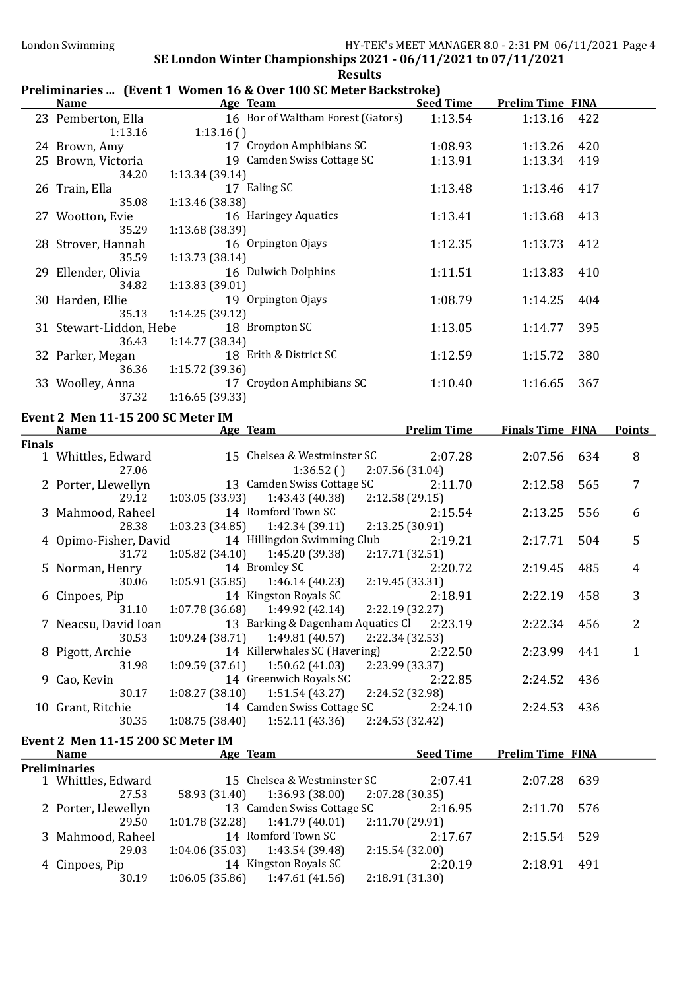## Preliminaries ... (Event 1 Women 16 & Over 100 SC Meter Backstroke)

|               | <b>Name</b>                                      | Age Team                                                                      | <b>Seed Time</b> | <b>Prelim Time FINA</b> |                |
|---------------|--------------------------------------------------|-------------------------------------------------------------------------------|------------------|-------------------------|----------------|
|               | 23 Pemberton, Ella<br>1:13.16                    | 16 Bor of Waltham Forest (Gators)<br>1:13.16()                                | 1:13.54          | 1:13.16<br>422          |                |
|               | 24 Brown, Amy                                    | 17 Croydon Amphibians SC                                                      | 1:08.93          | 420<br>1:13.26          |                |
|               | 25 Brown, Victoria                               | 19 Camden Swiss Cottage SC                                                    | 1:13.91          | 1:13.34<br>419          |                |
|               | 34.20                                            | 1:13.34 (39.14)                                                               |                  |                         |                |
|               | 26 Train, Ella                                   | 17 Ealing SC                                                                  | 1:13.48          | 1:13.46<br>417          |                |
|               | 35.08                                            | 1:13.46 (38.38)                                                               |                  |                         |                |
|               | 27 Wootton, Evie                                 | 16 Haringey Aquatics                                                          | 1:13.41          | 1:13.68<br>413          |                |
|               | 35.29                                            | 1:13.68 (38.39)                                                               |                  |                         |                |
|               | 28 Strover, Hannah                               | 16 Orpington Ojays                                                            | 1:12.35          | 1:13.73<br>412          |                |
|               | 35.59                                            | 1:13.73(38.14)                                                                |                  |                         |                |
|               | 29 Ellender, Olivia                              | 16 Dulwich Dolphins                                                           | 1:11.51          | 1:13.83<br>410          |                |
|               | 34.82                                            | 1:13.83 (39.01)                                                               |                  |                         |                |
|               | 30 Harden, Ellie                                 | 19 Orpington Ojays                                                            | 1:08.79          | 1:14.25<br>404          |                |
|               | 35.13                                            | 1:14.25(39.12)                                                                |                  |                         |                |
|               | 31 Stewart-Liddon, Hebe                          | 18 Brompton SC                                                                | 1:13.05          | 395<br>1:14.77          |                |
|               | 36.43                                            | 1:14.77 (38.34)                                                               |                  |                         |                |
|               | 32 Parker, Megan                                 | 18 Erith & District SC                                                        | 1:12.59          | 380<br>1:15.72          |                |
|               | 36.36                                            | 1:15.72 (39.36)                                                               |                  |                         |                |
|               | 33 Woolley, Anna                                 | 17 Croydon Amphibians SC                                                      | 1:10.40          | 367<br>1:16.65          |                |
|               | 37.32                                            | 1:16.65 (39.33)                                                               |                  |                         |                |
|               | Event 2 Men 11-15 200 SC Meter IM                |                                                                               |                  |                         |                |
|               | <b>Name</b>                                      | <b>Example 20</b> Age Team <b>Prelim Time</b>                                 |                  | <b>Finals Time FINA</b> | <b>Points</b>  |
| <b>Finals</b> |                                                  |                                                                               |                  |                         |                |
|               | 1 Whittles, Edward                               | 15 Chelsea & Westminster SC                                                   | 2:07.28          | 2:07.56<br>634          | 8              |
|               | 27.06                                            | 1:36.52()<br>2:07.56 (31.04)                                                  |                  |                         |                |
|               | 2 Porter, Llewellyn                              | 13 Camden Swiss Cottage SC                                                    | 2:11.70          | 2:12.58<br>565          | $\overline{7}$ |
|               | 29.12                                            | $1:03.05(33.93)$ $1:43.43(40.38)$<br>2:12.58(29.15)                           |                  |                         |                |
|               | 3 Mahmood, Raheel                                | 14 Romford Town SC                                                            | 2:15.54          | 2:13.25<br>556          | 6              |
|               | 28.38                                            | $1:03.23(34.85)$ $1:42.34(39.11)$<br>2:13.25 (30.91)                          |                  |                         |                |
|               | 4 Opimo-Fisher, David                            | 14 Hillingdon Swimming Club                                                   | 2:19.21          | 2:17.71<br>504          | 5              |
|               | 31.72                                            | $1:05.82(34.10)$ $1:45.20(39.38)$<br>2:17.71 (32.51)                          |                  |                         |                |
|               | 5 Norman, Henry                                  | 14 Bromley SC                                                                 | 2:20.72          | 2:19.45<br>485          | 4              |
|               | 30.06                                            | $1:05.91(35.85)$ $1:46.14(40.23)$<br>2:19.45 (33.31)<br>14 Kingston Royals SC | 2:18.91          |                         | 3              |
|               | 6 Cinpoes, Pip                                   | 31.10   1:07.78 (36.68)   1:49.92 (42.14)<br>2:22.19 (32.27)                  |                  | 2:22.19<br>458          |                |
|               |                                                  | 7 Neacsu, David Ioan 13 Barking & Dagenham Aquatics Cl 2:23.19                |                  | 2:22.34 456             | $\overline{c}$ |
|               | 30.53                                            | 1:09.24(38.71)<br>1:49.81 (40.57)<br>2:22.34 (32.53)                          |                  |                         |                |
|               | 8 Pigott, Archie                                 | 14 Killerwhales SC (Havering)                                                 | 2:22.50          | 2:23.99<br>441          | $\mathbf{1}$   |
|               | 31.98                                            | 1:50.62(41.03)<br>2:23.99 (33.37)<br>1:09.59(37.61)                           |                  |                         |                |
|               | 9 Cao, Kevin                                     | 14 Greenwich Royals SC                                                        | 2:22.85          | 2:24.52<br>436          |                |
|               | 30.17                                            | 1:08.27(38.10)<br>1:51.54(43.27)<br>2:24.52 (32.98)                           |                  |                         |                |
|               | 10 Grant, Ritchie                                | 14 Camden Swiss Cottage SC                                                    | 2:24.10          | 2:24.53<br>436          |                |
|               | 30.35                                            | 1:52.11(43.36)<br>1:08.75(38.40)<br>2:24.53 (32.42)                           |                  |                         |                |
|               |                                                  |                                                                               |                  |                         |                |
|               | Event 2 Men 11-15 200 SC Meter IM<br><b>Name</b> | Age Team                                                                      | <b>Seed Time</b> | <b>Prelim Time FINA</b> |                |
|               | <b>Preliminaries</b>                             |                                                                               |                  |                         |                |
|               | 1 Whittles, Edward                               | 15 Chelsea & Westminster SC                                                   | 2:07.41          | 2:07.28<br>639          |                |
|               | 27.53                                            | 1:36.93(38.00)<br>58.93 (31.40)<br>2:07.28 (30.35)                            |                  |                         |                |
|               | 2 Porter, Llewellyn                              | 13 Camden Swiss Cottage SC                                                    | 2:16.95          | 2:11.70<br>576          |                |
|               | 29.50                                            | 1:01.78(32.28)<br>1:41.79(40.01)<br>2:11.70 (29.91)                           |                  |                         |                |
|               | 3 Mahmood, Raheel                                | 14 Romford Town SC                                                            | 2:17.67          | 2:15.54<br>529          |                |
|               | 29.03                                            | 1:04.06 (35.03)<br>1:43.54 (39.48)<br>2:15.54(32.00)                          |                  |                         |                |
|               | 4 Cinpoes, Pip                                   | 14 Kingston Royals SC                                                         | 2:20.19          | 2:18.91<br>491          |                |
|               | 30.19                                            | 1:06.05(35.86)<br>1:47.61 (41.56)<br>2:18.91 (31.30)                          |                  |                         |                |
|               |                                                  |                                                                               |                  |                         |                |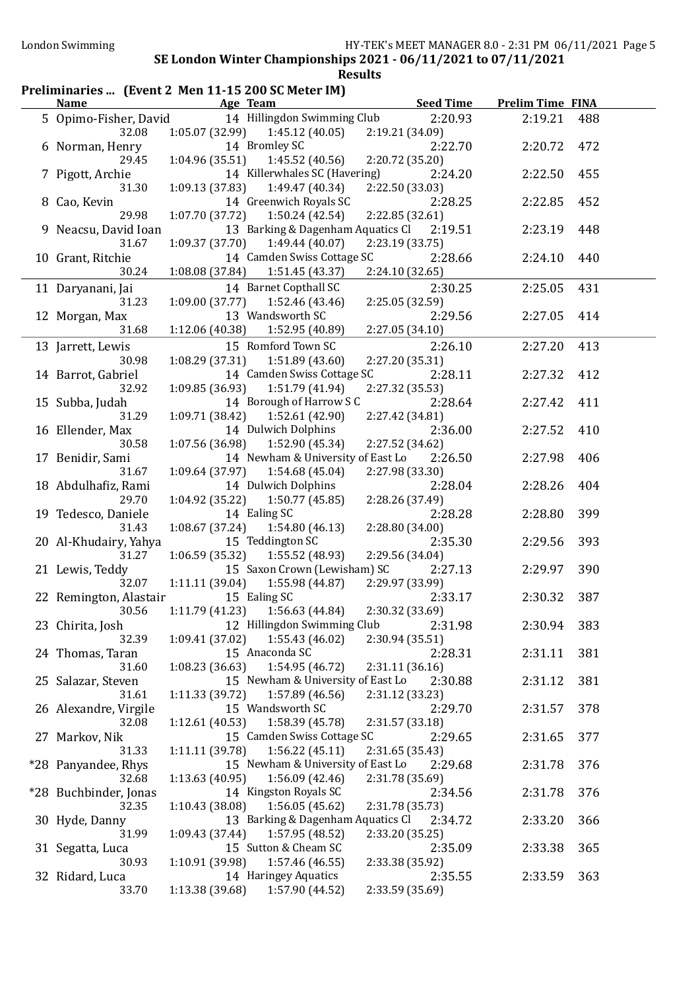## Preliminaries ... (Event 2 Men 11-15 200 SC Meter IM)

| <b>Name</b>            | Age Team                                  | <b>Seed Time</b> | <b>Prelim Time FINA</b> |     |
|------------------------|-------------------------------------------|------------------|-------------------------|-----|
| 5 Opimo-Fisher, David  | 14 Hillingdon Swimming Club               | 2:20.93          | 2:19.21                 | 488 |
| 32.08                  | $1:05.07(32.99)$ $1:45.12(40.05)$         | 2:19.21 (34.09)  |                         |     |
| 6 Norman, Henry        | 14 Bromley SC                             | 2:22.70          | 2:20.72                 | 472 |
| 29.45                  | $1:04.96(35.51)$ $1:45.52(40.56)$         | 2:20.72 (35.20)  |                         |     |
| 7 Pigott, Archie       | 14 Killerwhales SC (Havering)             | 2:24.20          | 2:22.50                 | 455 |
| 31.30                  | $1:09.13(37.83)$ $1:49.47(40.34)$         | 2:22.50 (33.03)  |                         |     |
| 8 Cao, Kevin           | 14 Greenwich Royals SC                    | 2:28.25          | 2:22.85                 | 452 |
| 29.98                  | $1:07.70(37.72)$ $1:50.24(42.54)$         | 2:22.85 (32.61)  |                         |     |
| 9 Neacsu, David Ioan   | 13 Barking & Dagenham Aquatics Cl 2:19.51 |                  | 2:23.19                 | 448 |
| 31.67                  | $1:09.37(37.70)$ $1:49.44(40.07)$         | 2:23.19 (33.75)  |                         |     |
| 10 Grant, Ritchie      | 14 Camden Swiss Cottage SC                | 2:28.66          | 2:24.10                 | 440 |
| 30.24                  | 1:08.08(37.84)<br>1:51.45 (43.37)         | 2:24.10(32.65)   |                         |     |
|                        |                                           |                  |                         |     |
| 11 Daryanani, Jai      | 14 Barnet Copthall SC                     | 2:30.25          | 2:25.05                 | 431 |
| 31.23                  | 1:09.00 (37.77)<br>1:52.46 (43.46)        | 2:25.05 (32.59)  |                         |     |
| 12 Morgan, Max         | 13 Wandsworth SC                          | 2:29.56          | 2:27.05                 | 414 |
| 31.68                  | 1:12.06 (40.38)<br>1:52.95 (40.89)        | 2:27.05 (34.10)  |                         |     |
| 13 Jarrett, Lewis      | 15 Romford Town SC                        | 2:26.10          | 2:27.20                 | 413 |
| 30.98                  | 1:08.29 (37.31)<br>1:51.89(43.60)         | 2:27.20 (35.31)  |                         |     |
| 14 Barrot, Gabriel     | 14 Camden Swiss Cottage SC                | 2:28.11          | 2:27.32                 | 412 |
| 32.92                  | 1:09.85(36.93)<br>1:51.79 (41.94)         | 2:27.32 (35.53)  |                         |     |
| 15 Subba, Judah        | 14 Borough of Harrow S C                  | 2:28.64          | 2:27.42                 | 411 |
| 31.29                  | 1:52.61 (42.90)<br>1:09.71 (38.42)        | 2:27.42 (34.81)  |                         |     |
| 16 Ellender, Max       | 14 Dulwich Dolphins                       | 2:36.00          | 2:27.52                 | 410 |
| 30.58                  | 1:07.56(36.98)<br>1:52.90 (45.34)         | 2:27.52 (34.62)  |                         |     |
| 17 Benidir, Sami       | 14 Newham & University of East Lo         | 2:26.50          | 2:27.98                 | 406 |
| 31.67                  | 1:54.68 (45.04)<br>1:09.64(37.97)         | 2:27.98 (33.30)  |                         |     |
| 18 Abdulhafiz, Rami    | 14 Dulwich Dolphins                       | 2:28.04          | 2:28.26                 | 404 |
| 29.70                  | 1:04.92 (35.22)<br>1:50.77 (45.85)        | 2:28.26 (37.49)  |                         |     |
| 19 Tedesco, Daniele    | 14 Ealing SC                              | 2:28.28          | 2:28.80                 | 399 |
| 31.43                  | 1:08.67(37.24)<br>1:54.80 (46.13)         | 2:28.80 (34.00)  |                         |     |
| 20 Al-Khudairy, Yahya  | 15 Teddington SC                          | 2:35.30          | 2:29.56                 | 393 |
| 31.27                  | 1:06.59(35.32)<br>1:55.52 (48.93)         | 2:29.56 (34.04)  |                         |     |
| 21 Lewis, Teddy        | 15 Saxon Crown (Lewisham) SC              | 2:27.13          | 2:29.97                 | 390 |
| 32.07                  | 1:11.11(39.04)<br>1:55.98 (44.87)         | 2:29.97 (33.99)  |                         |     |
|                        | 15 Ealing SC                              | 2:33.17          | 2:30.32                 | 387 |
| 22 Remington, Alastair | $1:11.79(41.23)$ $1:56.63(44.84)$         |                  |                         |     |
| 30.56                  |                                           | 2:30.32 (33.69)  |                         |     |
| 23 Chirita, Josh       | 12 Hillingdon Swimming Club 2:31.98       |                  | 2:30.94                 | 383 |
| 32.39                  | $1:09.41(37.02)$ $1:55.43(46.02)$         | 2:30.94(35.51)   |                         |     |
| 24 Thomas, Taran       | 15 Anaconda SC                            | 2:28.31          | 2:31.11                 | 381 |
| 31.60                  | $1:08.23(36.63)$ $1:54.95(46.72)$         | 2:31.11(36.16)   |                         |     |
| 25 Salazar, Steven     | 15 Newham & University of East Lo         | 2:30.88          | 2:31.12                 | 381 |
| 31.61                  | 1:57.89 (46.56)<br>1:11.33(39.72)         | 2:31.12 (33.23)  |                         |     |
| 26 Alexandre, Virgile  | 15 Wandsworth SC                          | 2:29.70          | 2:31.57                 | 378 |
| 32.08                  | 1:58.39 (45.78)<br>1:12.61(40.53)         | 2:31.57 (33.18)  |                         |     |
| 27 Markov, Nik         | 15 Camden Swiss Cottage SC                | 2:29.65          | 2:31.65                 | 377 |
| 31.33                  | 1:11.11 (39.78)<br>1:56.22(45.11)         | 2:31.65 (35.43)  |                         |     |
| *28 Panyandee, Rhys    | 15 Newham & University of East Lo         | 2:29.68          | 2:31.78                 | 376 |
| 32.68                  | 1:56.09(42.46)<br>1:13.63(40.95)          | 2:31.78 (35.69)  |                         |     |
| *28 Buchbinder, Jonas  | 14 Kingston Royals SC                     | 2:34.56          | 2:31.78                 | 376 |
| 32.35                  | 1:56.05(45.62)<br>1:10.43(38.08)          | 2:31.78 (35.73)  |                         |     |
| 30 Hyde, Danny         | 13 Barking & Dagenham Aquatics Cl         | 2:34.72          | 2:33.20                 | 366 |
| 31.99                  | 1:57.95 (48.52)<br>1:09.43 (37.44)        | 2:33.20 (35.25)  |                         |     |
| 31 Segatta, Luca       | 15 Sutton & Cheam SC                      | 2:35.09          | 2:33.38                 | 365 |
| 30.93                  | 1:10.91 (39.98)<br>1:57.46 (46.55)        | 2:33.38 (35.92)  |                         |     |
| 32 Ridard, Luca        | 14 Haringey Aquatics                      | 2:35.55          | 2:33.59                 | 363 |
| 33.70                  | 1:57.90 (44.52)<br>1:13.38 (39.68)        | 2:33.59 (35.69)  |                         |     |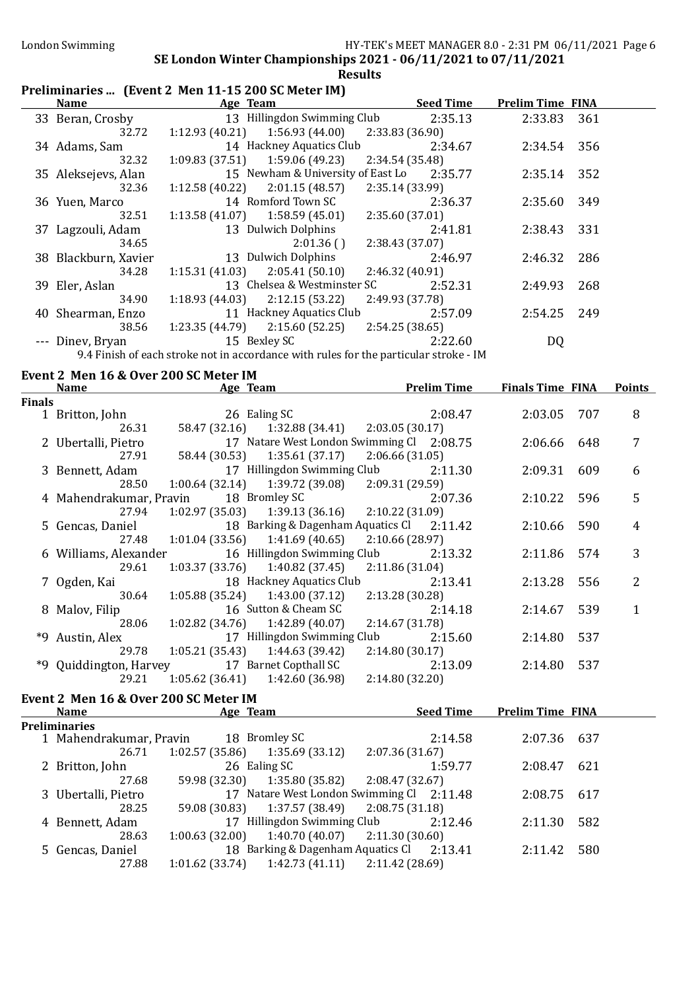### Preliminaries ... (Event 2 Men 11-15 200 SC Meter IM)

| <b>Name</b>          | Age Team                                                                              | <b>Seed Time</b> | <b>Prelim Time FINA</b> |     |
|----------------------|---------------------------------------------------------------------------------------|------------------|-------------------------|-----|
| 33 Beran, Crosby     | 13 Hillingdon Swimming Club 2:35.13                                                   |                  | 2:33.83                 | 361 |
| 32.72                | 1:56.93 (44.00)<br>1:12.93(40.21)                                                     | 2:33.83 (36.90)  |                         |     |
| 34 Adams, Sam        | 14 Hackney Aquatics Club                                                              | 2:34.67          | 2:34.54                 | 356 |
| 32.32                | $1:09.83(37.51)$ $1:59.06(49.23)$                                                     | 2:34.54 (35.48)  |                         |     |
| 35 Aleksejevs, Alan  | 15 Newham & University of East Lo                                                     | 2:35.77          | 2:35.14                 | 352 |
| 32.36                | 1:12.58(40.22)<br>2:01.15 (48.57)                                                     | 2:35.14 (33.99)  |                         |     |
| 36 Yuen, Marco       | 14 Romford Town SC                                                                    | 2:36.37          | 2:35.60                 | 349 |
| 32.51                | $1:13.58(41.07)$ $1:58.59(45.01)$                                                     | 2:35.60 (37.01)  |                         |     |
| 37 Lagzouli, Adam    | 13 Dulwich Dolphins                                                                   | 2:41.81          | 2:38.43                 | 331 |
| 34.65                | 2:01.36()                                                                             | 2:38.43 (37.07)  |                         |     |
| 38 Blackburn, Xavier | 13 Dulwich Dolphins                                                                   | 2:46.97          | 2:46.32                 | 286 |
| 34.28                | $1:15.31(41.03)$ $2:05.41(50.10)$                                                     | 2:46.32(40.91)   |                         |     |
| 39 Eler, Aslan       | 13 Chelsea & Westminster SC                                                           | 2:52.31          | 2:49.93                 | 268 |
| 34.90                | $1:18.93(44.03)$ $2:12.15(53.22)$                                                     | 2:49.93 (37.78)  |                         |     |
| 40 Shearman, Enzo    | 11 Hackney Aquatics Club                                                              | 2:57.09          | 2:54.25                 | 249 |
| 38.56                | $1:23.35(44.79)$ $2:15.60(52.25)$ $2:54.25(38.65)$                                    |                  |                         |     |
| --- Dinev, Bryan     | 15 Bexley SC                                                                          | 2:22.60          | DQ                      |     |
|                      | 9.4 Finish of each stroke not in accordance with rules for the particular stroke - IM |                  |                         |     |

# Event 2 Men 16 & Over 200 SC Meter IM

|        | <b>Name</b>             | Age Team                                              | <b>Prelim Time</b>                            |         | <b>Finals Time FINA</b> |     | <b>Points</b> |
|--------|-------------------------|-------------------------------------------------------|-----------------------------------------------|---------|-------------------------|-----|---------------|
| Finals |                         |                                                       |                                               |         |                         |     |               |
|        | 1 Britton, John         | 26 Ealing SC                                          |                                               | 2:08.47 | 2:03.05 707             |     | 8             |
|        | 26.31                   |                                                       | 58.47 (32.16) 1:32.88 (34.41) 2:03.05 (30.17) |         |                         |     |               |
|        | 2 Ubertalli, Pietro     |                                                       | 17 Natare West London Swimming Cl 2:08.75     |         | 2:06.66                 | 648 |               |
|        | 27.91                   |                                                       | 58.44 (30.53) 1:35.61 (37.17) 2:06.66 (31.05) |         |                         |     |               |
|        | 3 Bennett, Adam         | 17 Hillingdon Swimming Club                           |                                               | 2:11.30 | 2:09.31                 | 609 | 6             |
|        | 28.50                   | $1:00.64(32.14)$ $1:39.72(39.08)$ $2:09.31(29.59)$    |                                               |         |                         |     |               |
|        | 4 Mahendrakumar, Pravin |                                                       | 18 Bromley SC                                 | 2:07.36 | 2:10.22                 | 596 | 5             |
|        | 27.94                   | $1:02.97(35.03)$ $1:39.13(36.16)$ $2:10.22(31.09)$    |                                               |         |                         |     |               |
|        | 5 Gencas, Daniel        |                                                       | 18 Barking & Dagenham Aquatics Cl 2:11.42     |         | 2:10.66                 | 590 | 4             |
|        |                         | 27.48 1:01.04 (33.56) 1:41.69 (40.65) 2:10.66 (28.97) |                                               |         |                         |     |               |
|        | 6 Williams, Alexander   |                                                       | 16 Hillingdon Swimming Club                   | 2:13.32 | 2:11.86                 | 574 | 3             |
|        | 29.61                   | $1:03.37(33.76)$ $1:40.82(37.45)$ $2:11.86(31.04)$    |                                               |         |                         |     |               |
|        | 7 Ogden, Kai            |                                                       | 18 Hackney Aquatics Club                      | 2:13.41 | 2:13.28                 | 556 |               |
|        | 30.64                   | $1:05.88(35.24)$ $1:43.00(37.12)$ $2:13.28(30.28)$    |                                               |         |                         |     |               |
|        | 8 Malov, Filip          |                                                       | 16 Sutton & Cheam SC                          | 2:14.18 | 2:14.67                 | 539 |               |
|        | 28.06                   | $1:02.82$ (34.76) $1:42.89$ (40.07) $2:14.67$ (31.78) |                                               |         |                         |     |               |
|        | *9 Austin, Alex         |                                                       | 17 Hillingdon Swimming Club                   | 2:15.60 | 2:14.80                 | 537 |               |
|        | 29.78                   | $1:05.21(35.43)$ $1:44.63(39.42)$                     | 2:14.80(30.17)                                |         |                         |     |               |
|        |                         | *9 Quiddington, Harvey 17 Barnet Copthall SC          |                                               | 2:13.09 | 2:14.80                 | 537 |               |
|        | 29.21                   | $1:05.62(36.41)$ $1:42.60(36.98)$                     | 2:14.80 (32.20)                               |         |                         |     |               |
|        |                         |                                                       |                                               |         |                         |     |               |

### Event 2 Men 16 & Over 200 SC Meter IM

| <b>Name</b>             | Age Team        |                                           |                 | <b>Seed Time</b> | <b>Prelim Time FINA</b> |     |  |
|-------------------------|-----------------|-------------------------------------------|-----------------|------------------|-------------------------|-----|--|
| <b>Preliminaries</b>    |                 |                                           |                 |                  |                         |     |  |
| 1 Mahendrakumar, Pravin |                 | 18 Bromley SC                             |                 | 2:14.58          | 2:07.36                 | 637 |  |
| 26.71                   | 1:02.57 (35.86) | 1:35.69 (33.12)                           | 2:07.36(31.67)  |                  |                         |     |  |
| 2 Britton, John         | 26 Ealing SC    |                                           |                 | 1:59.77          | 2:08.47                 | 621 |  |
| 27.68                   | 59.98 (32.30)   | 1:35.80 (35.82)                           | 2:08.47 (32.67) |                  |                         |     |  |
| 3 Ubertalli, Pietro     |                 | 17 Natare West London Swimming Cl 2:11.48 |                 |                  | 2:08.75                 | 617 |  |
| 28.25                   | 59.08 (30.83)   | $1:37.57(38.49)$ $2:08.75(31.18)$         |                 |                  |                         |     |  |
| 4 Bennett, Adam         |                 | 17 Hillingdon Swimming Club               |                 | 2:12.46          | 2:11.30                 | 582 |  |
| 28.63                   | 1:00.63(32.00)  | 1:40.70 (40.07)                           | 2:11.30(30.60)  |                  |                         |     |  |
| 5 Gencas, Daniel        |                 | 18 Barking & Dagenham Aquatics Cl         |                 | 2:13.41          | 2:11.42                 | 580 |  |
| 27.88                   | 1:01.62(33.74)  | $1:42.73(41.11)$ $2:11.42(28.69)$         |                 |                  |                         |     |  |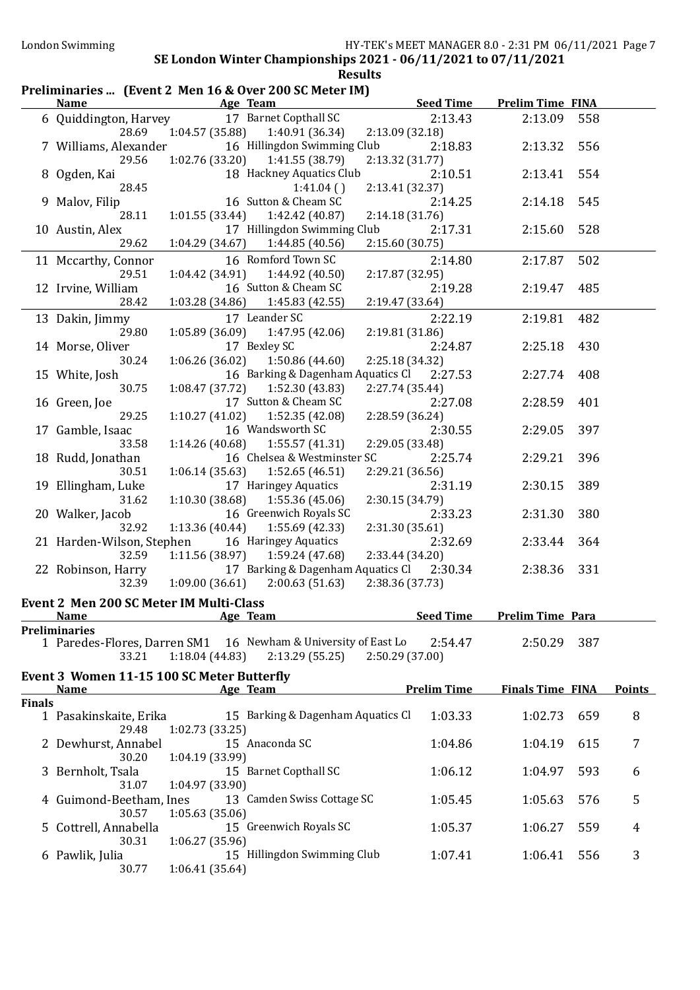### Preliminaries ... (Event 2 Men 16 & Over 200 SC Meter IM)

|               | <b>Name</b>                                                                            |                           | Age Team                                       |                 | <b>Seed Time</b>   | <b>Prelim Time FINA</b> |     |               |
|---------------|----------------------------------------------------------------------------------------|---------------------------|------------------------------------------------|-----------------|--------------------|-------------------------|-----|---------------|
|               | 6 Quiddington, Harvey                                                                  |                           | 17 Barnet Copthall SC                          |                 | 2:13.43            | 2:13.09                 | 558 |               |
|               | 28.69<br>7 Williams, Alexander                                                         | 1:04.57(35.88)            | 1:40.91 (36.34)<br>16 Hillingdon Swimming Club | 2:13.09 (32.18) | 2:18.83            | 2:13.32                 | 556 |               |
|               | 29.56                                                                                  | 1:02.76(33.20)            | 1:41.55 (38.79)                                | 2:13.32 (31.77) |                    |                         |     |               |
|               | 8 Ogden, Kai                                                                           |                           | 18 Hackney Aquatics Club                       |                 | 2:10.51            | 2:13.41                 | 554 |               |
|               | 28.45                                                                                  |                           | 1:41.04()                                      | 2:13.41 (32.37) |                    |                         |     |               |
|               | 9 Malov, Filip                                                                         |                           | 16 Sutton & Cheam SC                           |                 | 2:14.25            | 2:14.18                 | 545 |               |
|               | 28.11<br>10 Austin, Alex                                                               | 1:01.55(33.44)            | 1:42.42 (40.87)<br>17 Hillingdon Swimming Club | 2:14.18(31.76)  | 2:17.31            | 2:15.60                 | 528 |               |
|               | 29.62                                                                                  | 1:04.29 (34.67)           | 1:44.85(40.56)                                 | 2:15.60(30.75)  |                    |                         |     |               |
|               | 11 Mccarthy, Connor                                                                    |                           | 16 Romford Town SC                             |                 | 2:14.80            | 2:17.87                 | 502 |               |
|               | 29.51                                                                                  | 1:04.42(34.91)            | 1:44.92 (40.50)                                | 2:17.87 (32.95) |                    |                         |     |               |
|               | 12 Irvine, William                                                                     |                           | 16 Sutton & Cheam SC                           |                 | 2:19.28            | 2:19.47                 | 485 |               |
|               | 28.42                                                                                  | 1:03.28(34.86)            | 1:45.83(42.55)                                 | 2:19.47 (33.64) |                    |                         |     |               |
|               | 13 Dakin, Jimmy<br>29.80                                                               | 1:05.89 (36.09)           | 17 Leander SC<br>1:47.95 (42.06)               | 2:19.81 (31.86) | 2:22.19            | 2:19.81                 | 482 |               |
|               | 14 Morse, Oliver                                                                       |                           | 17 Bexley SC                                   |                 | 2:24.87            | 2:25.18                 | 430 |               |
|               | 30.24                                                                                  | 1:06.26(36.02)            | 1:50.86(44.60)                                 | 2:25.18 (34.32) |                    |                         |     |               |
|               | 15 White, Josh                                                                         |                           | 16 Barking & Dagenham Aquatics Cl 2:27.53      |                 |                    | 2:27.74                 | 408 |               |
|               | 30.75                                                                                  | 1:08.47(37.72)            | 1:52.30 (43.83)                                | 2:27.74 (35.44) |                    |                         |     |               |
|               | 16 Green, Joe                                                                          |                           | 17 Sutton & Cheam SC                           |                 | 2:27.08            | 2:28.59                 | 401 |               |
|               | 29.25                                                                                  | 1:10.27(41.02)            | 1:52.35(42.08)<br>16 Wandsworth SC             | 2:28.59 (36.24) |                    |                         |     |               |
|               | 17 Gamble, Isaac<br>33.58                                                              |                           | $1:14.26(40.68)$ $1:55.57(41.31)$              | 2:29.05 (33.48) | 2:30.55            | 2:29.05                 | 397 |               |
|               | 18 Rudd, Jonathan                                                                      |                           | 16 Chelsea & Westminster SC                    |                 | 2:25.74            | 2:29.21                 | 396 |               |
|               | 30.51                                                                                  | 1:06.14(35.63)            | 1:52.65(46.51)                                 | 2:29.21 (36.56) |                    |                         |     |               |
|               | 19 Ellingham, Luke                                                                     |                           | 17 Haringey Aquatics                           |                 | 2:31.19            | 2:30.15                 | 389 |               |
|               | 31.62                                                                                  | 1:10.30(38.68)            | 1:55.36(45.06)                                 | 2:30.15 (34.79) |                    |                         |     |               |
|               | 20 Walker, Jacob                                                                       |                           | 16 Greenwich Royals SC                         |                 | 2:33.23            | 2:31.30                 | 380 |               |
|               | 32.92<br>21 Harden-Wilson, Stephen                                                     | 1:13.36(40.44)            | 1:55.69(42.33)<br>16 Haringey Aquatics         | 2:31.30(35.61)  | 2:32.69            | 2:33.44                 | 364 |               |
|               | 32.59                                                                                  | 1:11.56(38.97)            | 1:59.24 (47.68)                                | 2:33.44 (34.20) |                    |                         |     |               |
|               | 22 Robinson, Harry                                                                     |                           | 17 Barking & Dagenham Aquatics Cl 2:30.34      |                 |                    | 2:38.36                 | 331 |               |
|               | 32.39                                                                                  | 1:09.00(36.61)            | 2:00.63(51.63)                                 | 2:38.36 (37.73) |                    |                         |     |               |
|               | Event 2 Men 200 SC Meter IM Multi-Class                                                |                           |                                                |                 |                    |                         |     |               |
|               | <b>Name</b>                                                                            | <b>Example 2</b> Age Team |                                                |                 | <b>Seed Time</b>   | <b>Prelim Time Para</b> |     |               |
|               | <b>Preliminaries</b><br>1 Paredes-Flores, Darren SM1 16 Newham & University of East Lo |                           |                                                |                 | 2:54.47            | 2:50.29                 | 387 |               |
|               | 33.21                                                                                  | 1:18.04(44.83)            | 2:13.29(55.25)                                 | 2:50.29 (37.00) |                    |                         |     |               |
|               | Event 3 Women 11-15 100 SC Meter Butterfly                                             |                           |                                                |                 |                    |                         |     |               |
|               | <b>Name</b>                                                                            |                           | Age Team                                       |                 | <b>Prelim Time</b> | <b>Finals Time FINA</b> |     | <b>Points</b> |
| <b>Finals</b> |                                                                                        |                           |                                                |                 |                    |                         |     |               |
|               | 1 Pasakinskaite, Erika                                                                 |                           | 15 Barking & Dagenham Aquatics Cl              |                 | 1:03.33            | 1:02.73                 | 659 | 8             |
|               | 29.48<br>2 Dewhurst, Annabel                                                           | 1:02.73(33.25)            | 15 Anaconda SC                                 |                 | 1:04.86            | 1:04.19                 | 615 | 7             |
|               | 30.20                                                                                  | 1:04.19 (33.99)           |                                                |                 |                    |                         |     |               |
|               | 3 Bernholt, Tsala                                                                      |                           | 15 Barnet Copthall SC                          |                 | 1:06.12            | 1:04.97                 | 593 | 6             |
|               | 31.07                                                                                  | 1:04.97 (33.90)           |                                                |                 |                    |                         |     |               |
|               | 4 Guimond-Beetham, Ines                                                                |                           | 13 Camden Swiss Cottage SC                     |                 | 1:05.45            | 1:05.63                 | 576 | 5             |
|               | 30.57                                                                                  | 1:05.63(35.06)            |                                                |                 |                    |                         |     |               |
|               | 5 Cottrell, Annabella<br>30.31                                                         | 1:06.27 (35.96)           | 15 Greenwich Royals SC                         |                 | 1:05.37            | 1:06.27                 | 559 | 4             |
|               | 6 Pawlik, Julia                                                                        |                           | 15 Hillingdon Swimming Club                    |                 | 1:07.41            | 1:06.41                 | 556 | 3             |
|               | 30.77                                                                                  | 1:06.41(35.64)            |                                                |                 |                    |                         |     |               |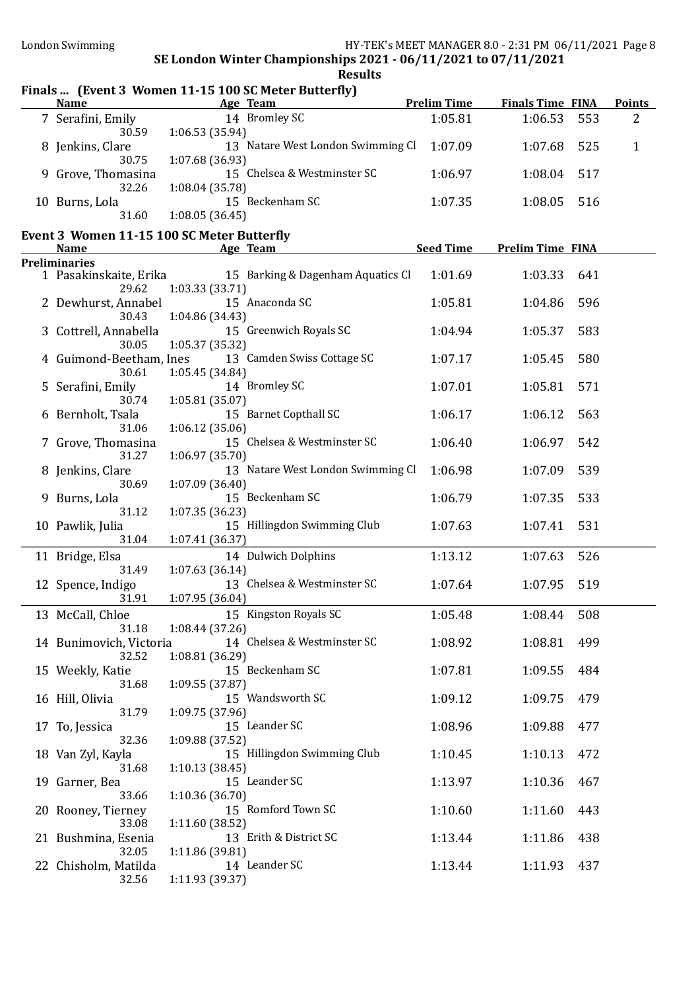### Finals ... (Event 3 Women 11-15 100 SC Meter Butterfly)

| <b>Name</b>        | Age Team                          | <b>Prelim Time</b> | <b>Finals Time FINA</b> |       | <b>Points</b> |
|--------------------|-----------------------------------|--------------------|-------------------------|-------|---------------|
| 7 Serafini, Emily  | 14 Bromley SC                     | 1:05.81            | 1:06.53                 | - 553 | 2             |
| 30.59              | 1:06.53(35.94)                    |                    |                         |       |               |
| 8 Jenkins, Clare   | 13 Natare West London Swimming Cl | 1:07.09            | 1:07.68 525             |       |               |
| 30.75              | 1:07.68(36.93)                    |                    |                         |       |               |
| 9 Grove, Thomasina | 15 Chelsea & Westminster SC       | 1:06.97            | 1:08.04 517             |       |               |
| 32.26              | 1:08.04(35.78)                    |                    |                         |       |               |
| 10 Burns, Lola     | 15 Beckenham SC                   | 1:07.35            | 1:08.05 516             |       |               |
| 31.60              | 1:08.05(36.45)                    |                    |                         |       |               |

#### Event 3 Women 11-15 100 SC Meter Butterfly

| <b>Name</b>             |                 | Age Team                          | <b>Seed Time</b> | <b>Prelim Time FINA</b> |     |
|-------------------------|-----------------|-----------------------------------|------------------|-------------------------|-----|
| <b>Preliminaries</b>    |                 |                                   |                  |                         |     |
| 1 Pasakinskaite, Erika  |                 | 15 Barking & Dagenham Aquatics Cl | 1:01.69          | 1:03.33                 | 641 |
| 29.62                   | 1:03.33 (33.71) |                                   |                  |                         |     |
| 2 Dewhurst, Annabel     |                 | 15 Anaconda SC                    | 1:05.81          | 1:04.86                 | 596 |
| 30.43                   | 1:04.86 (34.43) |                                   |                  |                         |     |
|                         |                 | 15 Greenwich Royals SC            | 1:04.94          | 1:05.37                 | 583 |
| 3 Cottrell, Annabella   |                 |                                   |                  |                         |     |
| 30.05                   | 1:05.37 (35.32) |                                   |                  |                         |     |
| 4 Guimond-Beetham, Ines |                 | 13 Camden Swiss Cottage SC        | 1:07.17          | 1:05.45                 | 580 |
| 30.61                   | 1:05.45 (34.84) |                                   |                  |                         |     |
| 5 Serafini, Emily       |                 | 14 Bromley SC                     | 1:07.01          | 1:05.81                 | 571 |
| 30.74                   | 1:05.81(35.07)  |                                   |                  |                         |     |
| 6 Bernholt, Tsala       |                 | 15 Barnet Copthall SC             | 1:06.17          | 1:06.12                 | 563 |
| 31.06                   | 1:06.12(35.06)  |                                   |                  |                         |     |
| 7 Grove, Thomasina      |                 | 15 Chelsea & Westminster SC       | 1:06.40          | 1:06.97                 | 542 |
| 31.27                   | 1:06.97 (35.70) |                                   |                  |                         |     |
| 8 Jenkins, Clare        |                 | 13 Natare West London Swimming Cl | 1:06.98          | 1:07.09                 | 539 |
| 30.69                   | 1:07.09(36.40)  |                                   |                  |                         |     |
| 9 Burns, Lola           |                 | 15 Beckenham SC                   | 1:06.79          | 1:07.35                 | 533 |
| 31.12                   |                 |                                   |                  |                         |     |
|                         | 1:07.35 (36.23) |                                   |                  |                         |     |
| 10 Pawlik, Julia        |                 | 15 Hillingdon Swimming Club       | 1:07.63          | 1:07.41                 | 531 |
| 31.04                   | 1:07.41 (36.37) |                                   |                  |                         |     |
| 11 Bridge, Elsa         |                 | 14 Dulwich Dolphins               | 1:13.12          | 1:07.63                 | 526 |
| 31.49                   | 1:07.63(36.14)  |                                   |                  |                         |     |
| 12 Spence, Indigo       |                 | 13 Chelsea & Westminster SC       | 1:07.64          | 1:07.95                 | 519 |
| 31.91                   | 1:07.95 (36.04) |                                   |                  |                         |     |
| 13 McCall, Chloe        |                 | 15 Kingston Royals SC             | 1:05.48          | 1:08.44                 | 508 |
| 31.18                   | 1:08.44 (37.26) |                                   |                  |                         |     |
|                         |                 | 14 Chelsea & Westminster SC       | 1:08.92          | 1:08.81                 | 499 |
| 14 Bunimovich, Victoria |                 |                                   |                  |                         |     |
| 32.52                   | 1:08.81 (36.29) |                                   |                  |                         |     |
| 15 Weekly, Katie        |                 | 15 Beckenham SC                   | 1:07.81          | 1:09.55                 | 484 |
| 31.68                   | 1:09.55(37.87)  |                                   |                  |                         |     |
| 16 Hill, Olivia         |                 | 15 Wandsworth SC                  | 1:09.12          | 1:09.75                 | 479 |
| 31.79                   | 1:09.75 (37.96) |                                   |                  |                         |     |
| 17 To, Jessica          |                 | 15 Leander SC                     | 1:08.96          | 1:09.88                 | 477 |
| 32.36                   | 1:09.88 (37.52) |                                   |                  |                         |     |
| 18 Van Zyl, Kayla       |                 | 15 Hillingdon Swimming Club       | 1:10.45          | 1:10.13                 | 472 |
| 31.68                   | 1:10.13(38.45)  |                                   |                  |                         |     |
| 19 Garner, Bea          |                 | 15 Leander SC                     | 1:13.97          | 1:10.36                 | 467 |
| 33.66                   | 1:10.36(36.70)  |                                   |                  |                         |     |
| 20 Rooney, Tierney      |                 | 15 Romford Town SC                | 1:10.60          | 1:11.60                 | 443 |
| 33.08                   | 1:11.60 (38.52) |                                   |                  |                         |     |
|                         |                 | 13 Erith & District SC            | 1:13.44          |                         |     |
| 21 Bushmina, Esenia     |                 |                                   |                  | 1:11.86                 | 438 |
| 32.05                   | 1:11.86 (39.81) |                                   |                  |                         |     |
| 22 Chisholm, Matilda    |                 | 14 Leander SC                     | 1:13.44          | 1:11.93                 | 437 |
| 32.56                   | 1:11.93 (39.37) |                                   |                  |                         |     |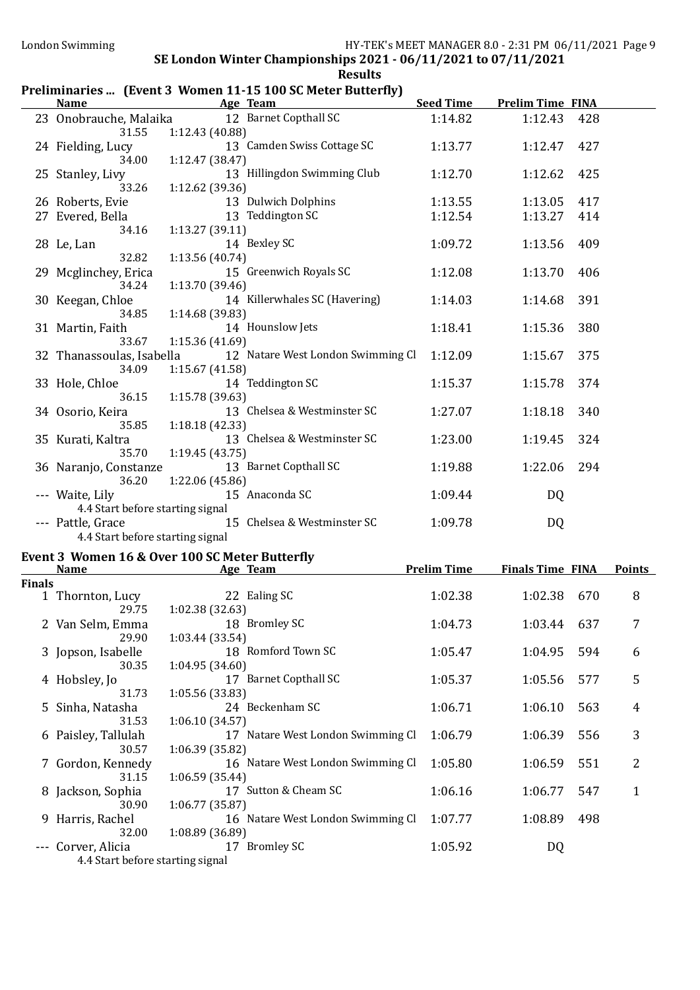## Preliminaries ... (Event 3 Women 11-15 100 SC Meter Butterfly)

|               |                                                                 |                       | Name Age Team                                                       |                    | <b>Seed Time Prelim Time FINA</b> |     |                |
|---------------|-----------------------------------------------------------------|-----------------------|---------------------------------------------------------------------|--------------------|-----------------------------------|-----|----------------|
|               | 31.55                                                           | 1:12.43 (40.88)       | 23 Onobrauche, Malaika 12 Barnet Copthall SC                        | 1:14.82            | 1:12.43                           | 428 |                |
|               | 24 Fielding, Lucy<br>34.00                                      | 1:12.47 (38.47)       | 13 Camden Swiss Cottage SC                                          | 1:13.77            | 1:12.47                           | 427 |                |
|               | 25 Stanley, Livy<br>33.26                                       | 1:12.62 (39.36)       | 13 Hillingdon Swimming Club                                         | 1:12.70            | 1:12.62                           | 425 |                |
|               | 26 Roberts, Evie                                                |                       | 13 Dulwich Dolphins                                                 | 1:13.55            | 1:13.05                           | 417 |                |
|               | 27 Evered, Bella                                                |                       | 13 Teddington SC                                                    | 1:12.54            | 1:13.27                           | 414 |                |
|               | 34.16                                                           | 1:13.27 (39.11)       |                                                                     |                    |                                   |     |                |
|               | 28 Le, Lan<br>32.82                                             | 1:13.56(40.74)        | 14 Bexley SC                                                        | 1:09.72            | 1:13.56                           | 409 |                |
|               | 29 Mcglinchey, Erica<br>34.24                                   | 1:13.70 (39.46)       | 15 Greenwich Royals SC                                              | 1:12.08            | 1:13.70                           | 406 |                |
|               | 30 Keegan, Chloe                                                |                       | 14 Killerwhales SC (Havering)                                       | 1:14.03            | 1:14.68                           | 391 |                |
|               | 34.85<br>31 Martin, Faith                                       | 1:14.68 (39.83)       | 14 Hounslow Jets                                                    | 1:18.41            | 1:15.36                           | 380 |                |
|               | 33.67                                                           | 1:15.36 (41.69)       |                                                                     |                    |                                   |     |                |
|               | 34.09                                                           | 1:15.67 (41.58)       | 32 Thanassoulas, Isabella 12 Natare West London Swimming Cl 1:12.09 |                    | 1:15.67                           | 375 |                |
|               | 33 Hole, Chloe<br>36.15                                         | 1:15.78 (39.63)       | 14 Teddington SC                                                    | 1:15.37            | 1:15.78                           | 374 |                |
|               | 34 Osorio, Keira<br>35.85                                       | 1:18.18 (42.33)       | 13 Chelsea & Westminster SC                                         | 1:27.07            | 1:18.18                           | 340 |                |
|               | 35 Kurati, Kaltra                                               |                       | 13 Chelsea & Westminster SC                                         | 1:23.00            | 1:19.45                           | 324 |                |
|               | 35.70<br>36 Naranjo, Constanze                                  | 1:19.45(43.75)        | 13 Barnet Copthall SC                                               | 1:19.88            | 1:22.06                           | 294 |                |
|               | 36.20<br>--- Waite, Lily                                        | 1:22.06 (45.86)       | 15 Anaconda SC                                                      | 1:09.44            | <b>DQ</b>                         |     |                |
|               | 4.4 Start before starting signal<br>--- Pattle, Grace           |                       | 15 Chelsea & Westminster SC                                         | 1:09.78            | DQ                                |     |                |
|               | 4.4 Start before starting signal                                |                       |                                                                     |                    |                                   |     |                |
|               | Event 3 Women 16 & Over 100 SC Meter Butterfly<br>Name Age Team |                       |                                                                     | <b>Prelim Time</b> | <b>Finals Time FINA Points</b>    |     |                |
| <b>Finals</b> |                                                                 |                       |                                                                     |                    |                                   |     |                |
|               | 1 Thornton, Lucy 22 Ealing SC                                   | 29.75 1:02.38 (32.63) |                                                                     | 1:02.38            | 1:02.38 670                       |     | 8              |
|               | 2 Van Selm, Emma 18 Bromley SC<br>29.90                         | 1:03.44 (33.54)       |                                                                     |                    | 1:04.73   1:03.44   637           |     | $\overline{7}$ |
|               | 3 Jopson, Isabelle                                              |                       | 18 Romford Town SC                                                  | 1:05.47            | 1:04.95                           | 594 | 6              |
|               | 30.35<br>4 Hobsley, Jo                                          | 1:04.95 (34.60)       | 17 Barnet Copthall SC                                               | 1:05.37            | 1:05.56                           | 577 | 5              |
|               | 31.73<br>5 Sinha, Natasha                                       | 1:05.56 (33.83)       | 24 Beckenham SC                                                     | 1:06.71            | 1:06.10                           | 563 | 4              |
|               | 31.53<br>6 Paisley, Tallulah                                    | 1:06.10 (34.57)       | 17 Natare West London Swimming Cl                                   | 1:06.79            | 1:06.39                           | 556 | 3              |
|               | 30.57<br>7 Gordon, Kennedy                                      | 1:06.39 (35.82)       | 16 Natare West London Swimming Cl                                   | 1:05.80            | 1:06.59                           | 551 | 2              |
|               | 31.15                                                           | 1:06.59(35.44)        |                                                                     |                    |                                   |     |                |
|               | 8 Jackson, Sophia<br>30.90                                      | 1:06.77(35.87)        | 17 Sutton & Cheam SC                                                | 1:06.16            | 1:06.77                           | 547 | 1              |
|               | 9 Harris, Rachel<br>32.00                                       | 1:08.89 (36.89)       | 16 Natare West London Swimming Cl                                   | 1:07.77            | 1:08.89                           | 498 |                |
|               | Corver, Alicia                                                  |                       | 17 Bromley SC                                                       | 1:05.92            | DQ                                |     |                |

4.4 Start before starting signal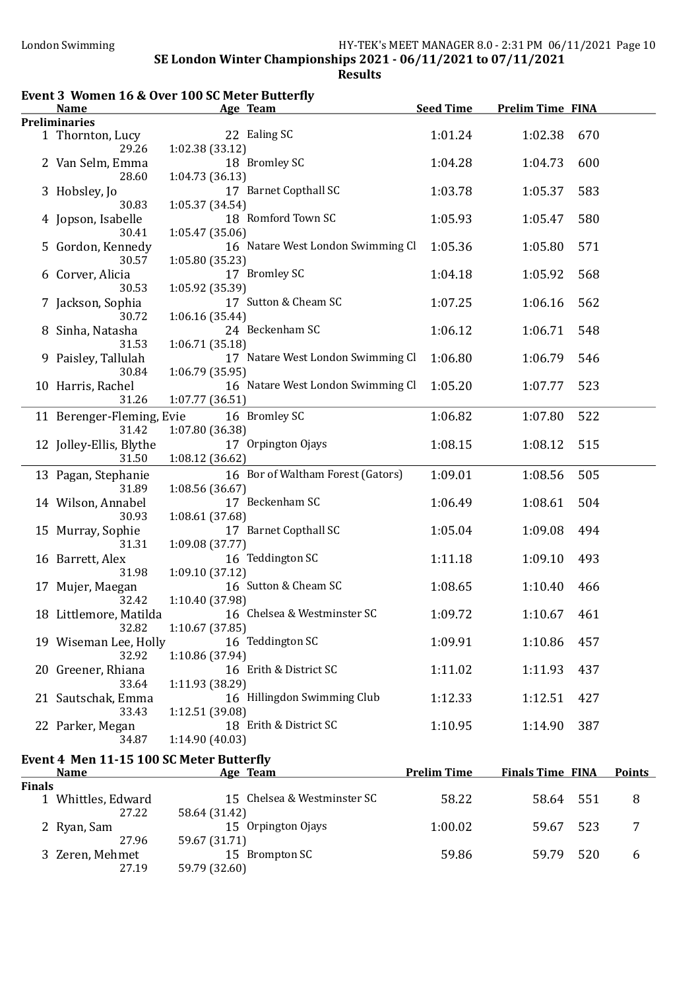Results

| <b>Prelim Time FINA</b><br>Age Team<br><b>Preliminaries</b><br>22 Ealing SC<br>1 Thornton, Lucy<br>1:01.24<br>1:02.38<br>29.26<br>1:02.38(33.12)<br>18 Bromley SC<br>2 Van Selm, Emma<br>1:04.28<br>1:04.73<br>28.60<br>1:04.73(36.13)<br>17 Barnet Copthall SC<br>1:03.78<br>1:05.37<br>3 Hobsley, Jo<br>30.83<br>1:05.37(34.54)<br>18 Romford Town SC<br>4 Jopson, Isabelle<br>1:05.93<br>1:05.47<br>30.41<br>1:05.47(35.06)<br>5 Gordon, Kennedy<br>16 Natare West London Swimming Cl<br>1:05.36<br>1:05.80<br>30.57<br>1:05.80(35.23)<br>17 Bromley SC<br>1:04.18<br>1:05.92<br>6 Corver, Alicia<br>30.53<br>1:05.92 (35.39)<br>17 Sutton & Cheam SC<br>7 Jackson, Sophia<br>1:07.25<br>1:06.16<br>30.72<br>1:06.16 (35.44)<br>24 Beckenham SC<br>1:06.12<br>1:06.71<br>8 Sinha, Natasha<br>1:06.71 (35.18)<br>31.53<br>17 Natare West London Swimming Cl<br>9 Paisley, Tallulah<br>1:06.80<br>1:06.79 | 670<br>600<br>583<br>580 |
|------------------------------------------------------------------------------------------------------------------------------------------------------------------------------------------------------------------------------------------------------------------------------------------------------------------------------------------------------------------------------------------------------------------------------------------------------------------------------------------------------------------------------------------------------------------------------------------------------------------------------------------------------------------------------------------------------------------------------------------------------------------------------------------------------------------------------------------------------------------------------------------------------------|--------------------------|
|                                                                                                                                                                                                                                                                                                                                                                                                                                                                                                                                                                                                                                                                                                                                                                                                                                                                                                            |                          |
|                                                                                                                                                                                                                                                                                                                                                                                                                                                                                                                                                                                                                                                                                                                                                                                                                                                                                                            |                          |
|                                                                                                                                                                                                                                                                                                                                                                                                                                                                                                                                                                                                                                                                                                                                                                                                                                                                                                            |                          |
|                                                                                                                                                                                                                                                                                                                                                                                                                                                                                                                                                                                                                                                                                                                                                                                                                                                                                                            |                          |
|                                                                                                                                                                                                                                                                                                                                                                                                                                                                                                                                                                                                                                                                                                                                                                                                                                                                                                            |                          |
|                                                                                                                                                                                                                                                                                                                                                                                                                                                                                                                                                                                                                                                                                                                                                                                                                                                                                                            | 571                      |
|                                                                                                                                                                                                                                                                                                                                                                                                                                                                                                                                                                                                                                                                                                                                                                                                                                                                                                            |                          |
|                                                                                                                                                                                                                                                                                                                                                                                                                                                                                                                                                                                                                                                                                                                                                                                                                                                                                                            | 568                      |
|                                                                                                                                                                                                                                                                                                                                                                                                                                                                                                                                                                                                                                                                                                                                                                                                                                                                                                            | 562                      |
|                                                                                                                                                                                                                                                                                                                                                                                                                                                                                                                                                                                                                                                                                                                                                                                                                                                                                                            | 548                      |
|                                                                                                                                                                                                                                                                                                                                                                                                                                                                                                                                                                                                                                                                                                                                                                                                                                                                                                            | 546                      |
| 30.84<br>1:06.79(35.95)<br>16 Natare West London Swimming Cl<br>1:05.20<br>10 Harris, Rachel<br>1:07.77                                                                                                                                                                                                                                                                                                                                                                                                                                                                                                                                                                                                                                                                                                                                                                                                    | 523                      |
| 1:07.77(36.51)<br>31.26<br>16 Bromley SC<br>1:06.82<br>11 Berenger-Fleming, Evie<br>1:07.80                                                                                                                                                                                                                                                                                                                                                                                                                                                                                                                                                                                                                                                                                                                                                                                                                | 522                      |
| 1:07.80 (36.38)<br>31.42                                                                                                                                                                                                                                                                                                                                                                                                                                                                                                                                                                                                                                                                                                                                                                                                                                                                                   |                          |
| 12 Jolley-Ellis, Blythe<br>17 Orpington Ojays<br>1:08.15<br>1:08.12<br>31.50<br>1:08.12 (36.62)                                                                                                                                                                                                                                                                                                                                                                                                                                                                                                                                                                                                                                                                                                                                                                                                            | 515                      |
| 16 Bor of Waltham Forest (Gators)<br>1:09.01<br>13 Pagan, Stephanie<br>1:08.56<br>31.89<br>1:08.56 (36.67)                                                                                                                                                                                                                                                                                                                                                                                                                                                                                                                                                                                                                                                                                                                                                                                                 | 505                      |
| 17 Beckenham SC<br>1:06.49<br>14 Wilson, Annabel<br>1:08.61<br>30.93<br>1:08.61 (37.68)                                                                                                                                                                                                                                                                                                                                                                                                                                                                                                                                                                                                                                                                                                                                                                                                                    | 504                      |
| 17 Barnet Copthall SC<br>15 Murray, Sophie<br>1:05.04<br>1:09.08<br>31.31<br>1:09.08 (37.77)                                                                                                                                                                                                                                                                                                                                                                                                                                                                                                                                                                                                                                                                                                                                                                                                               | 494                      |
| 16 Teddington SC<br>1:11.18<br>1:09.10<br>16 Barrett, Alex<br>31.98<br>1:09.10 (37.12)                                                                                                                                                                                                                                                                                                                                                                                                                                                                                                                                                                                                                                                                                                                                                                                                                     | 493                      |
| 16 Sutton & Cheam SC<br>1:08.65<br>1:10.40<br>17 Mujer, Maegan<br>1:10.40 (37.98)<br>32.42                                                                                                                                                                                                                                                                                                                                                                                                                                                                                                                                                                                                                                                                                                                                                                                                                 | 466                      |
| 16 Chelsea & Westminster SC<br>1:09.72<br>1:10.67<br>18 Littlemore, Matilda<br>1:10.67 (37.85)<br>32.82                                                                                                                                                                                                                                                                                                                                                                                                                                                                                                                                                                                                                                                                                                                                                                                                    | 461                      |
| 16 Teddington SC<br>19 Wiseman Lee, Holly<br>1:09.91<br>1:10.86<br>1:10.86 (37.94)<br>32.92                                                                                                                                                                                                                                                                                                                                                                                                                                                                                                                                                                                                                                                                                                                                                                                                                | 457                      |
| 16 Erith & District SC<br>20 Greener, Rhiana<br>1:11.02<br>1:11.93<br>1:11.93 (38.29)<br>33.64                                                                                                                                                                                                                                                                                                                                                                                                                                                                                                                                                                                                                                                                                                                                                                                                             | 437                      |
| 16 Hillingdon Swimming Club<br>21 Sautschak, Emma<br>1:12.33<br>1:12.51                                                                                                                                                                                                                                                                                                                                                                                                                                                                                                                                                                                                                                                                                                                                                                                                                                    | 427                      |
| 1:12.51 (39.08)<br>33.43<br>18 Erith & District SC<br>1:10.95<br>1:14.90<br>22 Parker, Megan                                                                                                                                                                                                                                                                                                                                                                                                                                                                                                                                                                                                                                                                                                                                                                                                               | 387                      |
| 34.87<br>1:14.90(40.03)<br>Event 4 Men 11-15 100 SC Meter Butterfly                                                                                                                                                                                                                                                                                                                                                                                                                                                                                                                                                                                                                                                                                                                                                                                                                                        |                          |
| <b>Prelim Time</b><br><b>Finals Time FINA</b><br><b>Name</b><br>Age Team                                                                                                                                                                                                                                                                                                                                                                                                                                                                                                                                                                                                                                                                                                                                                                                                                                   | <b>Points</b>            |
| <b>Finals</b>                                                                                                                                                                                                                                                                                                                                                                                                                                                                                                                                                                                                                                                                                                                                                                                                                                                                                              |                          |
| 15 Chelsea & Westminster SC<br>1 Whittles, Edward<br>58.22<br>58.64<br>27.22<br>58.64 (31.42)                                                                                                                                                                                                                                                                                                                                                                                                                                                                                                                                                                                                                                                                                                                                                                                                              |                          |
| 15 Orpington Ojays<br>1:00.02<br>2 Ryan, Sam<br>59.67<br>27.96<br>59.67 (31.71)                                                                                                                                                                                                                                                                                                                                                                                                                                                                                                                                                                                                                                                                                                                                                                                                                            | 551<br>8                 |
| 15 Brompton SC<br>3 Zeren, Mehmet<br>59.86<br>59.79<br>59.79 (32.60)<br>27.19                                                                                                                                                                                                                                                                                                                                                                                                                                                                                                                                                                                                                                                                                                                                                                                                                              | 523<br>7                 |

# Event 3 Women 16 & Over 100 SC Meter Butterfly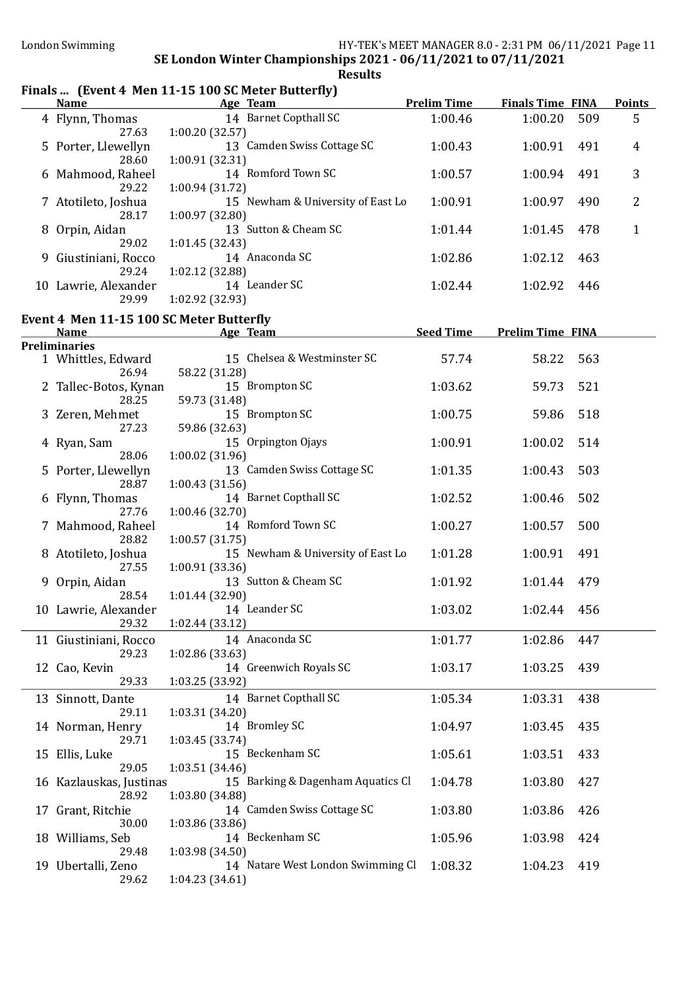# Finals ... (Event 4 Men 11-15 100 SC Meter Butterfly)

| <b>Name</b>                              | <u>Age Team</u>                                      | <b>Prelim Time</b> | <b>Finals Time FINA</b> |     | <b>Points</b> |
|------------------------------------------|------------------------------------------------------|--------------------|-------------------------|-----|---------------|
| 4 Flynn, Thomas<br>27.63                 | 14 Barnet Copthall SC<br>1:00.20(32.57)              | 1:00.46            | 1:00.20                 | 509 | 5             |
| 5 Porter, Llewellyn<br>28.60             | 13 Camden Swiss Cottage SC<br>1:00.91 (32.31)        | 1:00.43            | 1:00.91                 | 491 | 4             |
| 6 Mahmood, Raheel<br>29.22               | 14 Romford Town SC<br>1:00.94(31.72)                 | 1:00.57            | 1:00.94                 | 491 | 3             |
| 7 Atotileto, Joshua<br>28.17             | 15 Newham & University of East Lo<br>1:00.97 (32.80) | 1:00.91            | 1:00.97                 | 490 | 2             |
| 8 Orpin, Aidan<br>29.02                  | 13 Sutton & Cheam SC                                 | 1:01.44            | 1:01.45                 | 478 | $\mathbf{1}$  |
| 9 Giustiniani, Rocco<br>29.24            | 1:01.45(32.43)<br>14 Anaconda SC<br>1:02.12 (32.88)  | 1:02.86            | 1:02.12                 | 463 |               |
| 10 Lawrie, Alexander<br>29.99            | 14 Leander SC<br>1:02.92 (32.93)                     | 1:02.44            | 1:02.92                 | 446 |               |
| Event 4 Men 11-15 100 SC Meter Butterfly |                                                      |                    |                         |     |               |
| <b>Name</b>                              | <u>Age Team</u>                                      | <b>Seed Time</b>   | <b>Prelim Time FINA</b> |     |               |
| <b>Preliminaries</b>                     |                                                      |                    |                         |     |               |
| 1 Whittles, Edward<br>26.94              | 15 Chelsea & Westminster SC<br>58.22 (31.28)         | 57.74              | 58.22                   | 563 |               |
| 2 Tallec-Botos, Kynan<br>28.25           | 15 Brompton SC<br>59.73 (31.48)                      | 1:03.62            | 59.73                   | 521 |               |
| 3 Zeren, Mehmet<br>27.23                 | 15 Brompton SC<br>59.86 (32.63)                      | 1:00.75            | 59.86                   | 518 |               |
| 4 Ryan, Sam<br>28.06                     | 15 Orpington Ojays<br>1:00.02 (31.96)                | 1:00.91            | 1:00.02                 | 514 |               |
| 5 Porter, Llewellyn<br>28.87             | 13 Camden Swiss Cottage SC<br>1:00.43 (31.56)        | 1:01.35            | 1:00.43                 | 503 |               |
| 6 Flynn, Thomas<br>27.76                 | 14 Barnet Copthall SC<br>1:00.46 (32.70)             | 1:02.52            | 1:00.46                 | 502 |               |
| 7 Mahmood, Raheel<br>28.82               | 14 Romford Town SC<br>1:00.57(31.75)                 | 1:00.27            | 1:00.57                 | 500 |               |
| 8 Atotileto, Joshua<br>27.55             | 15 Newham & University of East Lo<br>1:00.91 (33.36) | 1:01.28            | 1:00.91                 | 491 |               |
| 9 Orpin, Aidan<br>28.54                  | 13 Sutton & Cheam SC<br>1:01.44 (32.90)              | 1:01.92            | 1:01.44                 | 479 |               |
| 10 Lawrie, Alexander                     | 14 Leander SC<br>29.32 1:02.44 (33.12)               | 1:03.02            | 1:02.44                 | 456 |               |
| 11 Giustiniani, Rocco<br>29.23           | 14 Anaconda SC<br>1:02.86 (33.63)                    | 1:01.77            | 1:02.86                 | 447 |               |
| 12 Cao, Kevin<br>29.33                   | 14 Greenwich Royals SC<br>1:03.25 (33.92)            | 1:03.17            | 1:03.25                 | 439 |               |
| 13 Sinnott, Dante<br>29.11               | 14 Barnet Copthall SC<br>1:03.31 (34.20)             | 1:05.34            | 1:03.31                 | 438 |               |
| 14 Norman, Henry<br>29.71                | 14 Bromley SC<br>1:03.45 (33.74)                     | 1:04.97            | 1:03.45                 | 435 |               |
| 15 Ellis, Luke<br>29.05                  | 15 Beckenham SC<br>1:03.51 (34.46)                   | 1:05.61            | 1:03.51                 | 433 |               |
| 16 Kazlauskas, Justinas<br>28.92         | 15 Barking & Dagenham Aquatics Cl<br>1:03.80 (34.88) | 1:04.78            | 1:03.80                 | 427 |               |
| 17 Grant, Ritchie<br>30.00               | 14 Camden Swiss Cottage SC<br>1:03.86 (33.86)        | 1:03.80            | 1:03.86                 | 426 |               |
| 18 Williams, Seb<br>29.48                | 14 Beckenham SC<br>1:03.98 (34.50)                   | 1:05.96            | 1:03.98                 | 424 |               |
| 19 Ubertalli, Zeno<br>29.62              | 14 Natare West London Swimming Cl<br>1:04.23(34.61)  | 1:08.32            | 1:04.23                 | 419 |               |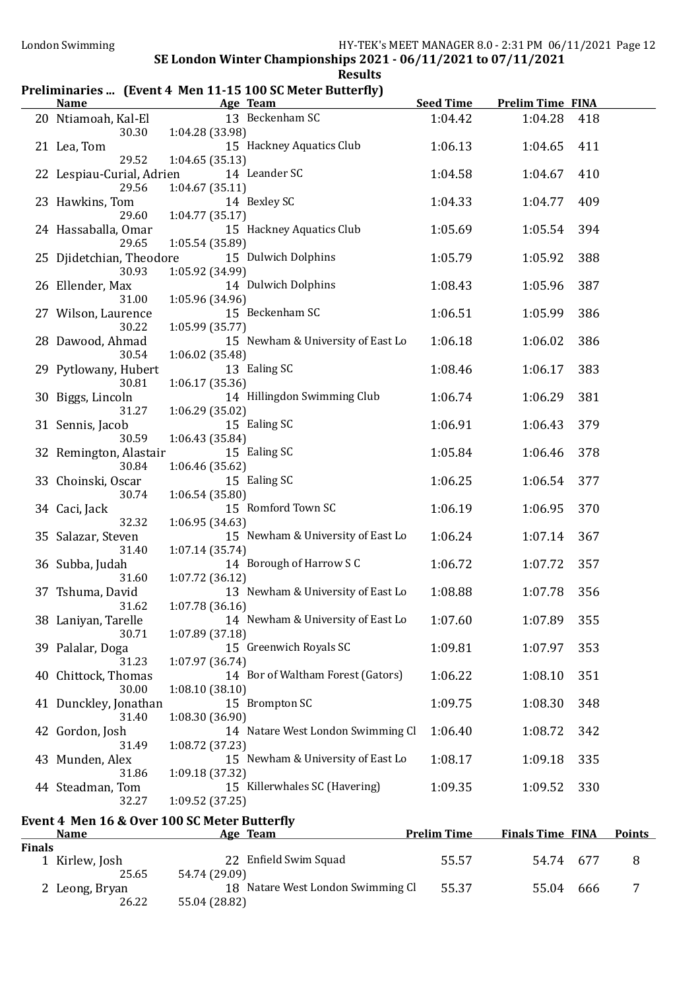### Preliminaries ... (Event 4 Men 11-15 100 SC Meter Butterfly)

|        | <u>Name</u>                              | <u>Age Team and Age Secondary Age Secondary Age Secondary Age of the Secondary Age of the Secondary Age of the Secondary Age of the Secondary Age of the Secondary Age of the Secondary Age of the Secondary Age of the Secondar</u> |                    | Seed Time Prelim Time FINA |     |               |
|--------|------------------------------------------|--------------------------------------------------------------------------------------------------------------------------------------------------------------------------------------------------------------------------------------|--------------------|----------------------------|-----|---------------|
|        | 20 Ntiamoah, Kal-El                      | 13 Beckenham SC<br>30.30 1:04.28 (33.98)                                                                                                                                                                                             | 1:04.42            | 1:04.28                    | 418 |               |
|        | 21 Lea, Tom<br>29.52                     | 15 Hackney Aquatics Club<br>1:04.65(35.13)                                                                                                                                                                                           | 1:06.13            | 1:04.65                    | 411 |               |
|        | 22 Lespiau-Curial, Adrien<br>29.56       | 14 Leander SC<br>1:04.67(35.11)                                                                                                                                                                                                      | 1:04.58            | 1:04.67                    | 410 |               |
|        | 23 Hawkins, Tom<br>29.60                 | 14 Bexley SC<br>1:04.77(35.17)                                                                                                                                                                                                       | 1:04.33            | 1:04.77                    | 409 |               |
|        | 24 Hassaballa, Omar<br>29.65             | 15 Hackney Aquatics Club                                                                                                                                                                                                             | 1:05.69            | 1:05.54                    | 394 |               |
|        | 25 Djidetchian, Theodore<br>30.93        | 1:05.54 (35.89)<br>15 Dulwich Dolphins<br>1:05.92 (34.99)                                                                                                                                                                            | 1:05.79            | 1:05.92                    | 388 |               |
|        | 26 Ellender, Max                         | 14 Dulwich Dolphins                                                                                                                                                                                                                  | 1:08.43            | 1:05.96                    | 387 |               |
|        | 31.00<br>27 Wilson, Laurence             | 1:05.96 (34.96)<br>15 Beckenham SC                                                                                                                                                                                                   | 1:06.51            | 1:05.99                    | 386 |               |
|        | 30.22<br>28 Dawood, Ahmad                | 1:05.99 (35.77)<br>15 Newham & University of East Lo                                                                                                                                                                                 | 1:06.18            | 1:06.02                    | 386 |               |
|        | 30.54<br>29 Pytlowany, Hubert            | 1:06.02 (35.48)<br>13 Ealing SC                                                                                                                                                                                                      | 1:08.46            | 1:06.17                    | 383 |               |
|        | 30.81<br>30 Biggs, Lincoln               | 1:06.17(35.36)<br>14 Hillingdon Swimming Club                                                                                                                                                                                        | 1:06.74            | 1:06.29                    | 381 |               |
|        | 31.27<br>31 Sennis, Jacob                | 1:06.29(35.02)<br>15 Ealing SC                                                                                                                                                                                                       | 1:06.91            | 1:06.43                    | 379 |               |
|        | 30.59<br>32 Remington, Alastair<br>30.84 | 1:06.43 (35.84)<br>15 Ealing SC                                                                                                                                                                                                      | 1:05.84            | 1:06.46                    | 378 |               |
|        | 33 Choinski, Oscar                       | 1:06.46 (35.62)<br>15 Ealing SC                                                                                                                                                                                                      | 1:06.25            | 1:06.54                    | 377 |               |
|        | 30.74<br>34 Caci, Jack                   | 1:06.54 (35.80)<br>15 Romford Town SC                                                                                                                                                                                                | 1:06.19            | 1:06.95                    | 370 |               |
|        | 32.32<br>35 Salazar, Steven              | 1:06.95 (34.63)<br>15 Newham & University of East Lo                                                                                                                                                                                 | 1:06.24            | 1:07.14                    | 367 |               |
|        | 31.40<br>36 Subba, Judah                 | 1:07.14 (35.74)<br>14 Borough of Harrow S C                                                                                                                                                                                          | 1:06.72            | 1:07.72                    | 357 |               |
|        | 31.60<br>37 Tshuma, David                | 1:07.72 (36.12)<br>13 Newham & University of East Lo                                                                                                                                                                                 | 1:08.88            | 1:07.78                    | 356 |               |
|        | 31.62<br>38 Laniyan, Tarelle<br>30.71    | 1:07.78(36.16)<br>14 Newham & University of East Lo 1:07.60                                                                                                                                                                          |                    | 1:07.89                    | 355 |               |
|        | 39 Palalar, Doga                         | 1:07.89 (37.18)<br>15 Greenwich Royals SC                                                                                                                                                                                            | 1:09.81            | 1:07.97                    | 353 |               |
|        | 31.23<br>40 Chittock, Thomas             | 1:07.97 (36.74)<br>14 Bor of Waltham Forest (Gators)                                                                                                                                                                                 | 1:06.22            | 1:08.10                    | 351 |               |
|        | 30.00<br>41 Dunckley, Jonathan           | 1:08.10(38.10)<br>15 Brompton SC                                                                                                                                                                                                     | 1:09.75            | 1:08.30                    | 348 |               |
|        | 31.40<br>42 Gordon, Josh                 | 1:08.30 (36.90)<br>14 Natare West London Swimming Cl                                                                                                                                                                                 | 1:06.40            | 1:08.72                    | 342 |               |
|        | 31.49<br>43 Munden, Alex                 | 1:08.72 (37.23)<br>15 Newham & University of East Lo                                                                                                                                                                                 | 1:08.17            | 1:09.18                    | 335 |               |
|        | 31.86<br>44 Steadman, Tom                | 1:09.18 (37.32)<br>15 Killerwhales SC (Havering)                                                                                                                                                                                     | 1:09.35            | 1:09.52                    | 330 |               |
|        | 32.27                                    | 1:09.52(37.25)<br>Event 4 Men 16 & Over 100 SC Meter Butterfly                                                                                                                                                                       |                    |                            |     |               |
|        | <b>Name</b>                              | Age Team                                                                                                                                                                                                                             | <b>Prelim Time</b> | <b>Finals Time FINA</b>    |     | <b>Points</b> |
| Finals | 1 Kirlew, Josh<br>25.65                  | 22 Enfield Swim Squad<br>54.74 (29.09)                                                                                                                                                                                               | 55.57              | 54.74                      | 677 | 8             |
|        | 2 Leong, Bryan<br>26.22                  | 18 Natare West London Swimming Cl<br>55.04 (28.82)                                                                                                                                                                                   | 55.37              | 55.04                      | 666 | 7             |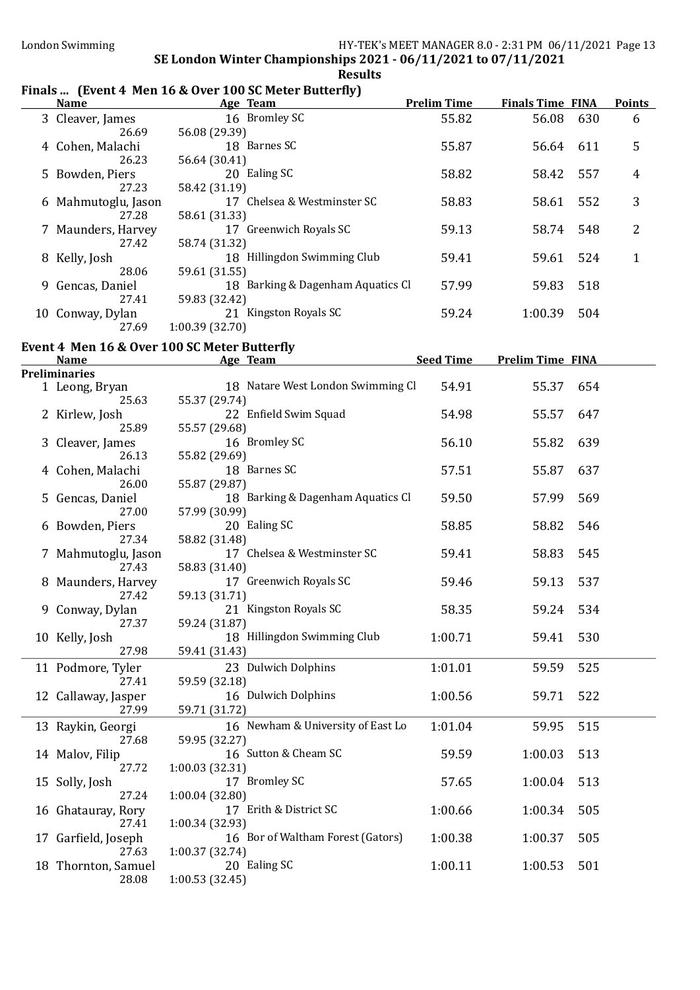## Finals ... (Event 4 Men 16 & Over 100 SC Meter Butterfly)

| <b>Name</b>                  | $\mathbf{r}$ mas  (Event + Men To $\alpha$ over Too Se Meter Butterny)<br>Age Team | <b>Prelim Time</b> | <b>Finals Time FINA</b> |     | <b>Points</b> |
|------------------------------|------------------------------------------------------------------------------------|--------------------|-------------------------|-----|---------------|
| 3 Cleaver, James             | 16 Bromley SC                                                                      | 55.82              | 56.08                   | 630 | 6             |
| 26.69                        | 56.08 (29.39)                                                                      |                    |                         |     |               |
| 4 Cohen, Malachi             | 18 Barnes SC                                                                       | 55.87              | 56.64                   | 611 | 5             |
| 26.23                        | 56.64 (30.41)                                                                      |                    |                         |     |               |
| 5 Bowden, Piers              | 20 Ealing SC                                                                       | 58.82              | 58.42                   | 557 | 4             |
| 27.23                        | 58.42 (31.19)                                                                      |                    |                         |     |               |
| 6 Mahmutoglu, Jason          | 17 Chelsea & Westminster SC                                                        | 58.83              | 58.61                   | 552 | 3             |
| 27.28                        | 58.61 (31.33)                                                                      |                    |                         |     |               |
| 7 Maunders, Harvey           | 17 Greenwich Royals SC                                                             | 59.13              | 58.74                   | 548 | 2             |
| 27.42                        | 58.74 (31.32)                                                                      |                    |                         |     |               |
| 8 Kelly, Josh                | 18 Hillingdon Swimming Club                                                        | 59.41              | 59.61                   | 524 | $\mathbf{1}$  |
| 28.06                        | 59.61 (31.55)                                                                      |                    |                         |     |               |
| 9 Gencas, Daniel             | 18 Barking & Dagenham Aquatics Cl                                                  | 57.99              | 59.83                   | 518 |               |
| 27.41                        | 59.83 (32.42)                                                                      |                    |                         |     |               |
| 10 Conway, Dylan             | 21 Kingston Royals SC                                                              | 59.24              | 1:00.39                 | 504 |               |
| 27.69                        | 1:00.39(32.70)                                                                     |                    |                         |     |               |
|                              | Event 4 Men 16 & Over 100 SC Meter Butterfly                                       |                    |                         |     |               |
| <b>Name</b>                  | Age Team                                                                           | <b>Seed Time</b>   | <b>Prelim Time FINA</b> |     |               |
| <b>Preliminaries</b>         |                                                                                    |                    |                         |     |               |
| 1 Leong, Bryan               | 18 Natare West London Swimming Cl                                                  | 54.91              | 55.37                   | 654 |               |
| 25.63                        | 55.37 (29.74)                                                                      |                    |                         |     |               |
| 2 Kirlew, Josh               | 22 Enfield Swim Squad                                                              | 54.98              | 55.57                   | 647 |               |
| 25.89                        | 55.57 (29.68)                                                                      |                    |                         |     |               |
| 3 Cleaver, James             | 16 Bromley SC                                                                      | 56.10              | 55.82                   | 639 |               |
| 26.13                        | 55.82 (29.69)                                                                      |                    |                         |     |               |
| 4 Cohen, Malachi             | 18 Barnes SC                                                                       | 57.51              | 55.87                   | 637 |               |
| 26.00                        | 55.87 (29.87)                                                                      |                    |                         |     |               |
| 5 Gencas, Daniel<br>27.00    | 18 Barking & Dagenham Aquatics Cl<br>57.99 (30.99)                                 | 59.50              | 57.99                   | 569 |               |
| 6 Bowden, Piers              | 20 Ealing SC                                                                       | 58.85              | 58.82                   | 546 |               |
| 27.34                        | 58.82 (31.48)                                                                      |                    |                         |     |               |
| 7 Mahmutoglu, Jason          | 17 Chelsea & Westminster SC                                                        | 59.41              | 58.83                   | 545 |               |
| 27.43                        | 58.83 (31.40)                                                                      |                    |                         |     |               |
| 8 Maunders, Harvey           | 17 Greenwich Royals SC                                                             | 59.46              | 59.13                   | 537 |               |
| 27.42                        | 59.13 (31.71)                                                                      |                    |                         |     |               |
| 9 Conway, Dylan              | 21 Kingston Royals SC                                                              | 58.35              | 59.24                   | 534 |               |
| 27.37                        | 59.24 (31.87)                                                                      |                    |                         |     |               |
| 10 Kelly, Josh               | 18 Hillingdon Swimming Club                                                        | 1:00.71            | 59.41                   | 530 |               |
| 27.98                        | 59.41 (31.43)                                                                      |                    |                         |     |               |
| 11 Podmore, Tyler            | 23 Dulwich Dolphins                                                                | 1:01.01            | 59.59                   | 525 |               |
| 27.41                        | 59.59 (32.18)                                                                      |                    |                         |     |               |
| 12 Callaway, Jasper          | 16 Dulwich Dolphins                                                                | 1:00.56            | 59.71                   | 522 |               |
| 27.99                        | 59.71 (31.72)                                                                      |                    |                         |     |               |
| 13 Raykin, Georgi            | 16 Newham & University of East Lo                                                  | 1:01.04            | 59.95                   | 515 |               |
| 27.68                        | 59.95 (32.27)                                                                      |                    |                         |     |               |
| 14 Malov, Filip              | 16 Sutton & Cheam SC                                                               | 59.59              | 1:00.03                 | 513 |               |
| 27.72                        | 1:00.03 (32.31)                                                                    |                    |                         |     |               |
| 15 Solly, Josh               | 17 Bromley SC                                                                      | 57.65              | 1:00.04                 | 513 |               |
| 27.24                        | 1:00.04 (32.80)                                                                    |                    |                         |     |               |
| 16 Ghatauray, Rory           | 17 Erith & District SC                                                             | 1:00.66            | 1:00.34                 | 505 |               |
| 27.41                        | 1:00.34 (32.93)                                                                    |                    |                         |     |               |
| 17 Garfield, Joseph          | 16 Bor of Waltham Forest (Gators)                                                  | 1:00.38            | 1:00.37                 | 505 |               |
| 27.63<br>18 Thornton, Samuel | 1:00.37 (32.74)<br>20 Ealing SC                                                    | 1:00.11            | 1:00.53                 | 501 |               |
| 28.08                        | 1:00.53 (32.45)                                                                    |                    |                         |     |               |
|                              |                                                                                    |                    |                         |     |               |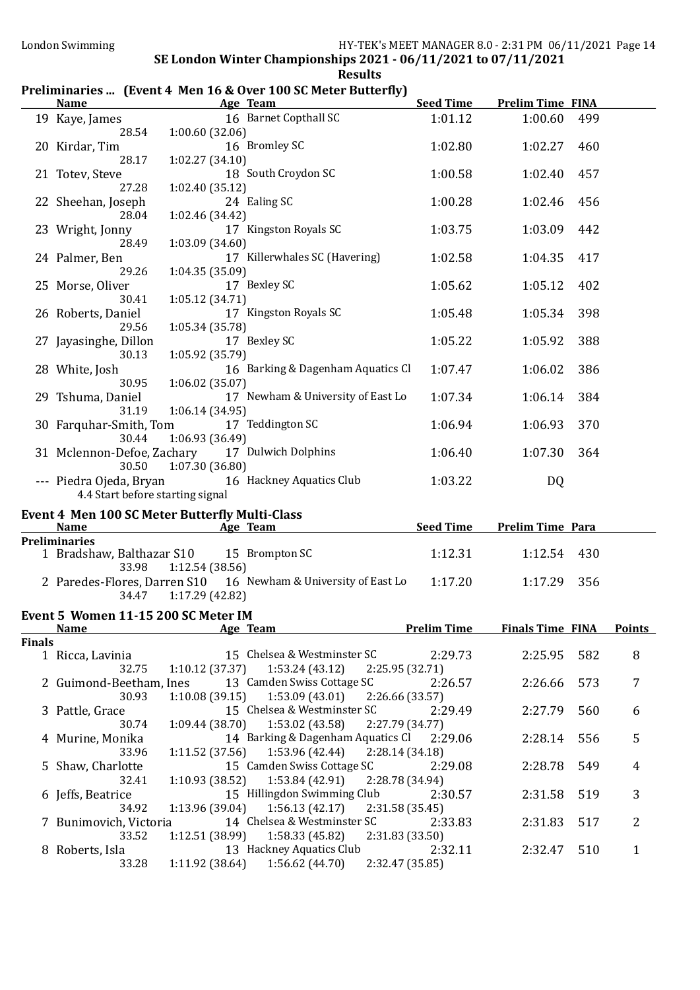# Preliminaries ... (Event 4 Men 16 & Over 100 SC Meter Butterfly)

|               | <b>Name</b>                                                          |                                    | Age Team                                                                                               | <b>Seed Time</b>   | <b>Prelim Time FINA</b> |     |               |
|---------------|----------------------------------------------------------------------|------------------------------------|--------------------------------------------------------------------------------------------------------|--------------------|-------------------------|-----|---------------|
|               | 19 Kaye, James<br>28.54                                              | 1:00.60(32.06)                     | 16 Barnet Copthall SC                                                                                  | 1:01.12            | 1:00.60                 | 499 |               |
|               | 20 Kirdar, Tim<br>28.17                                              | 1:02.27(34.10)                     | 16 Bromley SC                                                                                          | 1:02.80            | 1:02.27                 | 460 |               |
|               | 21 Totev, Steve                                                      |                                    | 18 South Croydon SC                                                                                    | 1:00.58            | 1:02.40                 | 457 |               |
|               | 27.28<br>22 Sheehan, Joseph                                          | 1:02.40(35.12)                     | 24 Ealing SC                                                                                           | 1:00.28            | 1:02.46                 | 456 |               |
|               | 28.04<br>23 Wright, Jonny                                            | 1:02.46 (34.42)                    | 17 Kingston Royals SC                                                                                  | 1:03.75            | 1:03.09                 | 442 |               |
|               | 28.49<br>24 Palmer, Ben                                              | 1:03.09(34.60)                     | 17 Killerwhales SC (Havering)                                                                          | 1:02.58            | 1:04.35                 | 417 |               |
|               | 29.26<br>25 Morse, Oliver                                            | 1:04.35(35.09)                     | 17 Bexley SC                                                                                           | 1:05.62            | 1:05.12                 | 402 |               |
|               | 30.41<br>26 Roberts, Daniel                                          | 1:05.12 (34.71)                    | 17 Kingston Royals SC                                                                                  | 1:05.48            | 1:05.34                 | 398 |               |
|               | 29.56<br>27 Jayasinghe, Dillon                                       | 1:05.34 (35.78)                    | 17 Bexley SC                                                                                           | 1:05.22            | 1:05.92                 | 388 |               |
|               | 30.13<br>28 White, Josh                                              | 1:05.92 (35.79)                    | 16 Barking & Dagenham Aquatics Cl                                                                      | 1:07.47            | 1:06.02                 | 386 |               |
|               | 30.95<br>29 Tshuma, Daniel                                           | 1:06.02(35.07)                     | 17 Newham & University of East Lo                                                                      | 1:07.34            | 1:06.14                 | 384 |               |
|               | 31.19<br>30 Farquhar-Smith, Tom<br>30.44                             | 1:06.14 (34.95)                    | 17 Teddington SC                                                                                       | 1:06.94            | 1:06.93                 | 370 |               |
|               | 31 Mclennon-Defoe, Zachary<br>30.50                                  | 1:06.93 (36.49)<br>1:07.30(36.80)  | 17 Dulwich Dolphins                                                                                    | 1:06.40            | 1:07.30                 | 364 |               |
|               | 4.4 Start before starting signal                                     |                                    | --- Piedra Ojeda, Bryan 16 Hackney Aquatics Club                                                       | 1:03.22            | DQ                      |     |               |
|               | <b>Event 4 Men 100 SC Meter Butterfly Multi-Class</b><br><b>Name</b> |                                    | Age Team                                                                                               | <b>Seed Time</b>   | <b>Prelim Time Para</b> |     |               |
|               | <b>Preliminaries</b>                                                 |                                    |                                                                                                        |                    |                         |     |               |
|               | 1 Bradshaw, Balthazar S10 15 Brompton SC<br>33.98                    | 1:12.54(38.56)                     |                                                                                                        | 1:12.31            | 1:12.54                 | 430 |               |
|               | 34.47                                                                | 1:17.29 (42.82)                    | 2 Paredes-Flores, Darren S10 16 Newham & University of East Lo                                         | 1:17.20            | 1:17.29                 | 356 |               |
|               | Event 5 Women 11-15 200 SC Meter IM                                  |                                    |                                                                                                        |                    |                         |     |               |
|               | <u>Name</u>                                                          |                                    | Age Team                                                                                               | <b>Prelim Time</b> | <b>Finals Time FINA</b> |     | <b>Points</b> |
| <b>Finals</b> |                                                                      |                                    |                                                                                                        |                    |                         |     |               |
|               | 1 Ricca, Lavinia<br>32.75                                            | 1:10.12(37.37)                     | 15 Chelsea & Westminster SC<br>1:53.24(43.12)<br>2:25.95 (32.71)                                       | 2:29.73            | 2:25.95                 | 582 | 8             |
|               | 2 Guimond-Beetham, Ines<br>30.93                                     | 1:10.08(39.15)                     | 13 Camden Swiss Cottage SC<br>1:53.09(43.01)<br>2:26.66 (33.57)                                        | 2:26.57            | 2:26.66                 | 573 | 7             |
|               | 3 Pattle, Grace<br>30.74                                             | 1:09.44(38.70)                     | 15 Chelsea & Westminster SC<br>1:53.02 (43.58)<br>2:27.79 (34.77)                                      | 2:29.49            | 2:27.79                 | 560 | 6             |
|               | 4 Murine, Monika<br>33.96                                            | 1:11.52(37.56)                     | 14 Barking & Dagenham Aquatics Cl<br>1:53.96 (42.44)<br>2:28.14(34.18)                                 | 2:29.06            | 2:28.14                 | 556 | 5             |
|               | 5 Shaw, Charlotte<br>32.41                                           | 1:10.93(38.52)                     | 15 Camden Swiss Cottage SC<br>1:53.84 (42.91)<br>2:28.78 (34.94)                                       | 2:29.08            | 2:28.78                 | 549 | 4             |
|               | 6 Jeffs, Beatrice                                                    |                                    | 15 Hillingdon Swimming Club                                                                            | 2:30.57            | 2:31.58                 | 519 | 3             |
|               | 34.92                                                                |                                    |                                                                                                        |                    |                         |     |               |
|               | 7 Bunimovich, Victoria<br>33.52                                      | 1:13.96 (39.04)<br>1:12.51 (38.99) | 1:56.13(42.17)<br>2:31.58 (35.45)<br>14 Chelsea & Westminster SC<br>1:58.33 (45.82)<br>2:31.83 (33.50) | 2:33.83            | 2:31.83                 | 517 | 2             |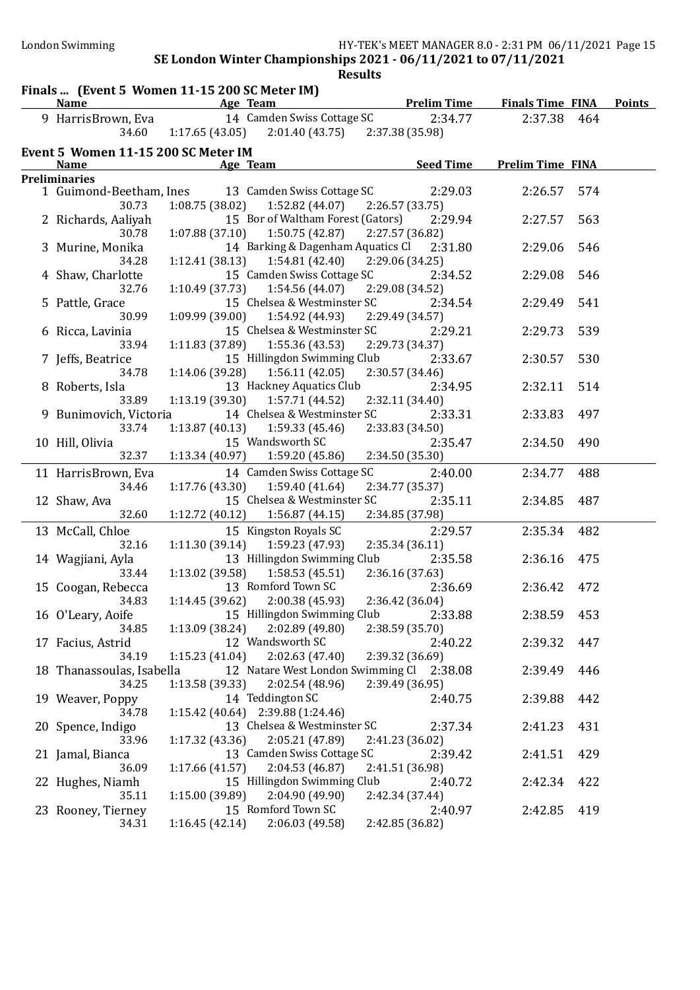| 14 Camden Swiss Cottage SC<br>9 HarrisBrown, Eva<br>2:34.77<br>2:37.38<br>464<br>$2:01.40(43.75)$ $2:37.38(35.98)$<br>34.60<br>1:17.65(43.05)<br>Event 5 Women 11-15 200 SC Meter IM<br><b>Seed Time</b><br><b>Prelim Time FINA</b><br><b>Name</b><br>Age Team<br><b>Preliminaries</b><br>13 Camden Swiss Cottage SC<br>2:29.03<br>1 Guimond-Beetham, Ines<br>2:26.57<br>574<br>1:08.75(38.02)<br>30.73<br>1:52.82 (44.07)<br>2:26.57 (33.75)<br>15 Bor of Waltham Forest (Gators)<br>2 Richards, Aaliyah<br>2:29.94<br>2:27.57<br>563<br>1:07.88(37.10)<br>1:50.75(42.87)<br>2:27.57 (36.82)<br>30.78<br>14 Barking & Dagenham Aquatics Cl<br>3 Murine, Monika<br>2:31.80<br>2:29.06<br>546<br>1:54.81(42.40)<br>2:29.06 (34.25)<br>34.28<br>1:12.41(38.13)<br>15 Camden Swiss Cottage SC<br>2:34.52<br>2:29.08<br>4 Shaw, Charlotte<br>546<br>1:54.56 (44.07)<br>32.76<br>1:10.49(37.73)<br>2:29.08 (34.52)<br>15 Chelsea & Westminster SC<br>2:34.54<br>2:29.49<br>541<br>5 Pattle, Grace<br>30.99<br>1:09.99 (39.00)<br>1:54.92 (44.93)<br>2:29.49 (34.57)<br>15 Chelsea & Westminster SC<br>539<br>2:29.21<br>2:29.73<br>6 Ricca, Lavinia<br>1:11.83 (37.89)<br>1:55.36 (43.53)<br>2:29.73 (34.37)<br>33.94<br>15 Hillingdon Swimming Club<br>2:33.67<br>2:30.57<br>530<br>7 Jeffs, Beatrice<br>34.78<br>1:14.06 (39.28)<br>1:56.11(42.05)<br>2:30.57 (34.46)<br>13 Hackney Aquatics Club<br>2:32.11<br>514<br>8 Roberts, Isla<br>2:34.95<br>1:13.19(39.30)<br>1:57.71 (44.52)<br>33.89<br>2:32.11 (34.40)<br>14 Chelsea & Westminster SC<br>9 Bunimovich, Victoria<br>2:33.31<br>2:33.83<br>497<br>33.74<br>1:13.87(40.13)<br>1:59.33(45.46)<br>2:33.83 (34.50)<br>15 Wandsworth SC<br>10 Hill, Olivia<br>490<br>2:35.47<br>2:34.50<br>1:59.20 (45.86)<br>32.37<br>1:13.34(40.97)<br>2:34.50 (35.30)<br>14 Camden Swiss Cottage SC<br>2:34.77<br>11 HarrisBrown, Eva<br>2:40.00<br>488<br>1:59.40(41.64)<br>34.46<br>1:17.76 (43.30)<br>2:34.77 (35.37)<br>15 Chelsea & Westminster SC<br>2:35.11<br>2:34.85<br>487<br>12 Shaw, Ava<br>32.60<br>1:12.72 (40.12)<br>1:56.87(44.15)<br>2:34.85 (37.98)<br>15 Kingston Royals SC<br>2:29.57<br>2:35.34<br>482<br>13 McCall, Chloe<br>1:59.23 (47.93)<br>32.16<br>1:11.30(39.14)<br>2:35.34 (36.11)<br>13 Hillingdon Swimming Club<br>2:35.58<br>2:36.16<br>475<br>14 Wagjiani, Ayla<br>1:13.02 (39.58)<br>1:58.53(45.51)<br>2:36.16 (37.63)<br>33.44<br>13 Romford Town SC<br>2:36.69<br>2:36.42<br>15 Coogan, Rebecca<br>472<br>34.83<br>1:14.45 (39.62)<br>2:00.38 (45.93)<br>2:36.42 (36.04)<br>16 O'Leary, Aoife<br>15 Hillingdon Swimming Club<br>2:33.88<br>2:38.59<br>453<br>2:02.89(49.80)<br>34.85<br>1:13.09(38.24)<br>2:38.59 (35.70)<br>12 Wandsworth SC<br>17 Facius, Astrid<br>2:40.22<br>2:39.32<br>447<br>34.19<br>2:02.63(47.40)<br>2:39.32 (36.69)<br>1:15.23(41.04)<br>18 Thanassoulas, Isabella<br>12 Natare West London Swimming Cl 2:38.08<br>2:39.49<br>446<br>1:13.58(39.33)<br>2:02.54(48.96)<br>2:39.49 (36.95)<br>34.25<br>14 Teddington SC<br>19 Weaver, Poppy<br>2:40.75<br>2:39.88<br>442<br>34.78<br>1:15.42 (40.64) 2:39.88 (1:24.46)<br>13 Chelsea & Westminster SC<br>2:37.34<br>2:41.23<br>431<br>20 Spence, Indigo<br>2:05.21 (47.89)<br>33.96<br>1:17.32(43.36)<br>2:41.23 (36.02)<br>13 Camden Swiss Cottage SC<br>429<br>21 Jamal, Bianca<br>2:39.42<br>2:41.51<br>36.09<br>1:17.66(41.57)<br>2:04.53(46.87)<br>2:41.51 (36.98)<br>15 Hillingdon Swimming Club<br>22 Hughes, Niamh<br>2:40.72<br>2:42.34<br>422<br>1:15.00 (39.89)<br>2:04.90 (49.90)<br>2:42.34 (37.44)<br>35.11<br>15 Romford Town SC<br>23 Rooney, Tierney<br>419<br>2:40.97<br>2:42.85<br>1:16.45(42.14)<br>2:06.03(49.58)<br>2:42.85 (36.82)<br>34.31 | Finals  (Event 5 Women 11-15 200 SC Meter IM)<br><b>Name</b> | Age Team | <b>Prelim Time</b> | <b>Finals Time FINA</b> | <b>Points</b> |
|----------------------------------------------------------------------------------------------------------------------------------------------------------------------------------------------------------------------------------------------------------------------------------------------------------------------------------------------------------------------------------------------------------------------------------------------------------------------------------------------------------------------------------------------------------------------------------------------------------------------------------------------------------------------------------------------------------------------------------------------------------------------------------------------------------------------------------------------------------------------------------------------------------------------------------------------------------------------------------------------------------------------------------------------------------------------------------------------------------------------------------------------------------------------------------------------------------------------------------------------------------------------------------------------------------------------------------------------------------------------------------------------------------------------------------------------------------------------------------------------------------------------------------------------------------------------------------------------------------------------------------------------------------------------------------------------------------------------------------------------------------------------------------------------------------------------------------------------------------------------------------------------------------------------------------------------------------------------------------------------------------------------------------------------------------------------------------------------------------------------------------------------------------------------------------------------------------------------------------------------------------------------------------------------------------------------------------------------------------------------------------------------------------------------------------------------------------------------------------------------------------------------------------------------------------------------------------------------------------------------------------------------------------------------------------------------------------------------------------------------------------------------------------------------------------------------------------------------------------------------------------------------------------------------------------------------------------------------------------------------------------------------------------------------------------------------------------------------------------------------------------------------------------------------------------------------------------------------------------------------------------------------------------------------------------------------------------------------------------------------------------------------------------------------------------------------------------------------------------------------------------------------------------------------------------------------------------------------------------------------------------------------------------------------------------------------------------------------|--------------------------------------------------------------|----------|--------------------|-------------------------|---------------|
|                                                                                                                                                                                                                                                                                                                                                                                                                                                                                                                                                                                                                                                                                                                                                                                                                                                                                                                                                                                                                                                                                                                                                                                                                                                                                                                                                                                                                                                                                                                                                                                                                                                                                                                                                                                                                                                                                                                                                                                                                                                                                                                                                                                                                                                                                                                                                                                                                                                                                                                                                                                                                                                                                                                                                                                                                                                                                                                                                                                                                                                                                                                                                                                                                                                                                                                                                                                                                                                                                                                                                                                                                                                                                                                      |                                                              |          |                    |                         |               |
|                                                                                                                                                                                                                                                                                                                                                                                                                                                                                                                                                                                                                                                                                                                                                                                                                                                                                                                                                                                                                                                                                                                                                                                                                                                                                                                                                                                                                                                                                                                                                                                                                                                                                                                                                                                                                                                                                                                                                                                                                                                                                                                                                                                                                                                                                                                                                                                                                                                                                                                                                                                                                                                                                                                                                                                                                                                                                                                                                                                                                                                                                                                                                                                                                                                                                                                                                                                                                                                                                                                                                                                                                                                                                                                      |                                                              |          |                    |                         |               |
|                                                                                                                                                                                                                                                                                                                                                                                                                                                                                                                                                                                                                                                                                                                                                                                                                                                                                                                                                                                                                                                                                                                                                                                                                                                                                                                                                                                                                                                                                                                                                                                                                                                                                                                                                                                                                                                                                                                                                                                                                                                                                                                                                                                                                                                                                                                                                                                                                                                                                                                                                                                                                                                                                                                                                                                                                                                                                                                                                                                                                                                                                                                                                                                                                                                                                                                                                                                                                                                                                                                                                                                                                                                                                                                      |                                                              |          |                    |                         |               |
|                                                                                                                                                                                                                                                                                                                                                                                                                                                                                                                                                                                                                                                                                                                                                                                                                                                                                                                                                                                                                                                                                                                                                                                                                                                                                                                                                                                                                                                                                                                                                                                                                                                                                                                                                                                                                                                                                                                                                                                                                                                                                                                                                                                                                                                                                                                                                                                                                                                                                                                                                                                                                                                                                                                                                                                                                                                                                                                                                                                                                                                                                                                                                                                                                                                                                                                                                                                                                                                                                                                                                                                                                                                                                                                      |                                                              |          |                    |                         |               |
|                                                                                                                                                                                                                                                                                                                                                                                                                                                                                                                                                                                                                                                                                                                                                                                                                                                                                                                                                                                                                                                                                                                                                                                                                                                                                                                                                                                                                                                                                                                                                                                                                                                                                                                                                                                                                                                                                                                                                                                                                                                                                                                                                                                                                                                                                                                                                                                                                                                                                                                                                                                                                                                                                                                                                                                                                                                                                                                                                                                                                                                                                                                                                                                                                                                                                                                                                                                                                                                                                                                                                                                                                                                                                                                      |                                                              |          |                    |                         |               |
|                                                                                                                                                                                                                                                                                                                                                                                                                                                                                                                                                                                                                                                                                                                                                                                                                                                                                                                                                                                                                                                                                                                                                                                                                                                                                                                                                                                                                                                                                                                                                                                                                                                                                                                                                                                                                                                                                                                                                                                                                                                                                                                                                                                                                                                                                                                                                                                                                                                                                                                                                                                                                                                                                                                                                                                                                                                                                                                                                                                                                                                                                                                                                                                                                                                                                                                                                                                                                                                                                                                                                                                                                                                                                                                      |                                                              |          |                    |                         |               |
|                                                                                                                                                                                                                                                                                                                                                                                                                                                                                                                                                                                                                                                                                                                                                                                                                                                                                                                                                                                                                                                                                                                                                                                                                                                                                                                                                                                                                                                                                                                                                                                                                                                                                                                                                                                                                                                                                                                                                                                                                                                                                                                                                                                                                                                                                                                                                                                                                                                                                                                                                                                                                                                                                                                                                                                                                                                                                                                                                                                                                                                                                                                                                                                                                                                                                                                                                                                                                                                                                                                                                                                                                                                                                                                      |                                                              |          |                    |                         |               |
|                                                                                                                                                                                                                                                                                                                                                                                                                                                                                                                                                                                                                                                                                                                                                                                                                                                                                                                                                                                                                                                                                                                                                                                                                                                                                                                                                                                                                                                                                                                                                                                                                                                                                                                                                                                                                                                                                                                                                                                                                                                                                                                                                                                                                                                                                                                                                                                                                                                                                                                                                                                                                                                                                                                                                                                                                                                                                                                                                                                                                                                                                                                                                                                                                                                                                                                                                                                                                                                                                                                                                                                                                                                                                                                      |                                                              |          |                    |                         |               |
|                                                                                                                                                                                                                                                                                                                                                                                                                                                                                                                                                                                                                                                                                                                                                                                                                                                                                                                                                                                                                                                                                                                                                                                                                                                                                                                                                                                                                                                                                                                                                                                                                                                                                                                                                                                                                                                                                                                                                                                                                                                                                                                                                                                                                                                                                                                                                                                                                                                                                                                                                                                                                                                                                                                                                                                                                                                                                                                                                                                                                                                                                                                                                                                                                                                                                                                                                                                                                                                                                                                                                                                                                                                                                                                      |                                                              |          |                    |                         |               |
|                                                                                                                                                                                                                                                                                                                                                                                                                                                                                                                                                                                                                                                                                                                                                                                                                                                                                                                                                                                                                                                                                                                                                                                                                                                                                                                                                                                                                                                                                                                                                                                                                                                                                                                                                                                                                                                                                                                                                                                                                                                                                                                                                                                                                                                                                                                                                                                                                                                                                                                                                                                                                                                                                                                                                                                                                                                                                                                                                                                                                                                                                                                                                                                                                                                                                                                                                                                                                                                                                                                                                                                                                                                                                                                      |                                                              |          |                    |                         |               |
|                                                                                                                                                                                                                                                                                                                                                                                                                                                                                                                                                                                                                                                                                                                                                                                                                                                                                                                                                                                                                                                                                                                                                                                                                                                                                                                                                                                                                                                                                                                                                                                                                                                                                                                                                                                                                                                                                                                                                                                                                                                                                                                                                                                                                                                                                                                                                                                                                                                                                                                                                                                                                                                                                                                                                                                                                                                                                                                                                                                                                                                                                                                                                                                                                                                                                                                                                                                                                                                                                                                                                                                                                                                                                                                      |                                                              |          |                    |                         |               |
|                                                                                                                                                                                                                                                                                                                                                                                                                                                                                                                                                                                                                                                                                                                                                                                                                                                                                                                                                                                                                                                                                                                                                                                                                                                                                                                                                                                                                                                                                                                                                                                                                                                                                                                                                                                                                                                                                                                                                                                                                                                                                                                                                                                                                                                                                                                                                                                                                                                                                                                                                                                                                                                                                                                                                                                                                                                                                                                                                                                                                                                                                                                                                                                                                                                                                                                                                                                                                                                                                                                                                                                                                                                                                                                      |                                                              |          |                    |                         |               |
|                                                                                                                                                                                                                                                                                                                                                                                                                                                                                                                                                                                                                                                                                                                                                                                                                                                                                                                                                                                                                                                                                                                                                                                                                                                                                                                                                                                                                                                                                                                                                                                                                                                                                                                                                                                                                                                                                                                                                                                                                                                                                                                                                                                                                                                                                                                                                                                                                                                                                                                                                                                                                                                                                                                                                                                                                                                                                                                                                                                                                                                                                                                                                                                                                                                                                                                                                                                                                                                                                                                                                                                                                                                                                                                      |                                                              |          |                    |                         |               |
|                                                                                                                                                                                                                                                                                                                                                                                                                                                                                                                                                                                                                                                                                                                                                                                                                                                                                                                                                                                                                                                                                                                                                                                                                                                                                                                                                                                                                                                                                                                                                                                                                                                                                                                                                                                                                                                                                                                                                                                                                                                                                                                                                                                                                                                                                                                                                                                                                                                                                                                                                                                                                                                                                                                                                                                                                                                                                                                                                                                                                                                                                                                                                                                                                                                                                                                                                                                                                                                                                                                                                                                                                                                                                                                      |                                                              |          |                    |                         |               |
|                                                                                                                                                                                                                                                                                                                                                                                                                                                                                                                                                                                                                                                                                                                                                                                                                                                                                                                                                                                                                                                                                                                                                                                                                                                                                                                                                                                                                                                                                                                                                                                                                                                                                                                                                                                                                                                                                                                                                                                                                                                                                                                                                                                                                                                                                                                                                                                                                                                                                                                                                                                                                                                                                                                                                                                                                                                                                                                                                                                                                                                                                                                                                                                                                                                                                                                                                                                                                                                                                                                                                                                                                                                                                                                      |                                                              |          |                    |                         |               |
|                                                                                                                                                                                                                                                                                                                                                                                                                                                                                                                                                                                                                                                                                                                                                                                                                                                                                                                                                                                                                                                                                                                                                                                                                                                                                                                                                                                                                                                                                                                                                                                                                                                                                                                                                                                                                                                                                                                                                                                                                                                                                                                                                                                                                                                                                                                                                                                                                                                                                                                                                                                                                                                                                                                                                                                                                                                                                                                                                                                                                                                                                                                                                                                                                                                                                                                                                                                                                                                                                                                                                                                                                                                                                                                      |                                                              |          |                    |                         |               |
|                                                                                                                                                                                                                                                                                                                                                                                                                                                                                                                                                                                                                                                                                                                                                                                                                                                                                                                                                                                                                                                                                                                                                                                                                                                                                                                                                                                                                                                                                                                                                                                                                                                                                                                                                                                                                                                                                                                                                                                                                                                                                                                                                                                                                                                                                                                                                                                                                                                                                                                                                                                                                                                                                                                                                                                                                                                                                                                                                                                                                                                                                                                                                                                                                                                                                                                                                                                                                                                                                                                                                                                                                                                                                                                      |                                                              |          |                    |                         |               |
|                                                                                                                                                                                                                                                                                                                                                                                                                                                                                                                                                                                                                                                                                                                                                                                                                                                                                                                                                                                                                                                                                                                                                                                                                                                                                                                                                                                                                                                                                                                                                                                                                                                                                                                                                                                                                                                                                                                                                                                                                                                                                                                                                                                                                                                                                                                                                                                                                                                                                                                                                                                                                                                                                                                                                                                                                                                                                                                                                                                                                                                                                                                                                                                                                                                                                                                                                                                                                                                                                                                                                                                                                                                                                                                      |                                                              |          |                    |                         |               |
|                                                                                                                                                                                                                                                                                                                                                                                                                                                                                                                                                                                                                                                                                                                                                                                                                                                                                                                                                                                                                                                                                                                                                                                                                                                                                                                                                                                                                                                                                                                                                                                                                                                                                                                                                                                                                                                                                                                                                                                                                                                                                                                                                                                                                                                                                                                                                                                                                                                                                                                                                                                                                                                                                                                                                                                                                                                                                                                                                                                                                                                                                                                                                                                                                                                                                                                                                                                                                                                                                                                                                                                                                                                                                                                      |                                                              |          |                    |                         |               |
|                                                                                                                                                                                                                                                                                                                                                                                                                                                                                                                                                                                                                                                                                                                                                                                                                                                                                                                                                                                                                                                                                                                                                                                                                                                                                                                                                                                                                                                                                                                                                                                                                                                                                                                                                                                                                                                                                                                                                                                                                                                                                                                                                                                                                                                                                                                                                                                                                                                                                                                                                                                                                                                                                                                                                                                                                                                                                                                                                                                                                                                                                                                                                                                                                                                                                                                                                                                                                                                                                                                                                                                                                                                                                                                      |                                                              |          |                    |                         |               |
|                                                                                                                                                                                                                                                                                                                                                                                                                                                                                                                                                                                                                                                                                                                                                                                                                                                                                                                                                                                                                                                                                                                                                                                                                                                                                                                                                                                                                                                                                                                                                                                                                                                                                                                                                                                                                                                                                                                                                                                                                                                                                                                                                                                                                                                                                                                                                                                                                                                                                                                                                                                                                                                                                                                                                                                                                                                                                                                                                                                                                                                                                                                                                                                                                                                                                                                                                                                                                                                                                                                                                                                                                                                                                                                      |                                                              |          |                    |                         |               |
|                                                                                                                                                                                                                                                                                                                                                                                                                                                                                                                                                                                                                                                                                                                                                                                                                                                                                                                                                                                                                                                                                                                                                                                                                                                                                                                                                                                                                                                                                                                                                                                                                                                                                                                                                                                                                                                                                                                                                                                                                                                                                                                                                                                                                                                                                                                                                                                                                                                                                                                                                                                                                                                                                                                                                                                                                                                                                                                                                                                                                                                                                                                                                                                                                                                                                                                                                                                                                                                                                                                                                                                                                                                                                                                      |                                                              |          |                    |                         |               |
|                                                                                                                                                                                                                                                                                                                                                                                                                                                                                                                                                                                                                                                                                                                                                                                                                                                                                                                                                                                                                                                                                                                                                                                                                                                                                                                                                                                                                                                                                                                                                                                                                                                                                                                                                                                                                                                                                                                                                                                                                                                                                                                                                                                                                                                                                                                                                                                                                                                                                                                                                                                                                                                                                                                                                                                                                                                                                                                                                                                                                                                                                                                                                                                                                                                                                                                                                                                                                                                                                                                                                                                                                                                                                                                      |                                                              |          |                    |                         |               |
|                                                                                                                                                                                                                                                                                                                                                                                                                                                                                                                                                                                                                                                                                                                                                                                                                                                                                                                                                                                                                                                                                                                                                                                                                                                                                                                                                                                                                                                                                                                                                                                                                                                                                                                                                                                                                                                                                                                                                                                                                                                                                                                                                                                                                                                                                                                                                                                                                                                                                                                                                                                                                                                                                                                                                                                                                                                                                                                                                                                                                                                                                                                                                                                                                                                                                                                                                                                                                                                                                                                                                                                                                                                                                                                      |                                                              |          |                    |                         |               |
|                                                                                                                                                                                                                                                                                                                                                                                                                                                                                                                                                                                                                                                                                                                                                                                                                                                                                                                                                                                                                                                                                                                                                                                                                                                                                                                                                                                                                                                                                                                                                                                                                                                                                                                                                                                                                                                                                                                                                                                                                                                                                                                                                                                                                                                                                                                                                                                                                                                                                                                                                                                                                                                                                                                                                                                                                                                                                                                                                                                                                                                                                                                                                                                                                                                                                                                                                                                                                                                                                                                                                                                                                                                                                                                      |                                                              |          |                    |                         |               |
|                                                                                                                                                                                                                                                                                                                                                                                                                                                                                                                                                                                                                                                                                                                                                                                                                                                                                                                                                                                                                                                                                                                                                                                                                                                                                                                                                                                                                                                                                                                                                                                                                                                                                                                                                                                                                                                                                                                                                                                                                                                                                                                                                                                                                                                                                                                                                                                                                                                                                                                                                                                                                                                                                                                                                                                                                                                                                                                                                                                                                                                                                                                                                                                                                                                                                                                                                                                                                                                                                                                                                                                                                                                                                                                      |                                                              |          |                    |                         |               |
|                                                                                                                                                                                                                                                                                                                                                                                                                                                                                                                                                                                                                                                                                                                                                                                                                                                                                                                                                                                                                                                                                                                                                                                                                                                                                                                                                                                                                                                                                                                                                                                                                                                                                                                                                                                                                                                                                                                                                                                                                                                                                                                                                                                                                                                                                                                                                                                                                                                                                                                                                                                                                                                                                                                                                                                                                                                                                                                                                                                                                                                                                                                                                                                                                                                                                                                                                                                                                                                                                                                                                                                                                                                                                                                      |                                                              |          |                    |                         |               |
|                                                                                                                                                                                                                                                                                                                                                                                                                                                                                                                                                                                                                                                                                                                                                                                                                                                                                                                                                                                                                                                                                                                                                                                                                                                                                                                                                                                                                                                                                                                                                                                                                                                                                                                                                                                                                                                                                                                                                                                                                                                                                                                                                                                                                                                                                                                                                                                                                                                                                                                                                                                                                                                                                                                                                                                                                                                                                                                                                                                                                                                                                                                                                                                                                                                                                                                                                                                                                                                                                                                                                                                                                                                                                                                      |                                                              |          |                    |                         |               |
|                                                                                                                                                                                                                                                                                                                                                                                                                                                                                                                                                                                                                                                                                                                                                                                                                                                                                                                                                                                                                                                                                                                                                                                                                                                                                                                                                                                                                                                                                                                                                                                                                                                                                                                                                                                                                                                                                                                                                                                                                                                                                                                                                                                                                                                                                                                                                                                                                                                                                                                                                                                                                                                                                                                                                                                                                                                                                                                                                                                                                                                                                                                                                                                                                                                                                                                                                                                                                                                                                                                                                                                                                                                                                                                      |                                                              |          |                    |                         |               |
|                                                                                                                                                                                                                                                                                                                                                                                                                                                                                                                                                                                                                                                                                                                                                                                                                                                                                                                                                                                                                                                                                                                                                                                                                                                                                                                                                                                                                                                                                                                                                                                                                                                                                                                                                                                                                                                                                                                                                                                                                                                                                                                                                                                                                                                                                                                                                                                                                                                                                                                                                                                                                                                                                                                                                                                                                                                                                                                                                                                                                                                                                                                                                                                                                                                                                                                                                                                                                                                                                                                                                                                                                                                                                                                      |                                                              |          |                    |                         |               |
|                                                                                                                                                                                                                                                                                                                                                                                                                                                                                                                                                                                                                                                                                                                                                                                                                                                                                                                                                                                                                                                                                                                                                                                                                                                                                                                                                                                                                                                                                                                                                                                                                                                                                                                                                                                                                                                                                                                                                                                                                                                                                                                                                                                                                                                                                                                                                                                                                                                                                                                                                                                                                                                                                                                                                                                                                                                                                                                                                                                                                                                                                                                                                                                                                                                                                                                                                                                                                                                                                                                                                                                                                                                                                                                      |                                                              |          |                    |                         |               |
|                                                                                                                                                                                                                                                                                                                                                                                                                                                                                                                                                                                                                                                                                                                                                                                                                                                                                                                                                                                                                                                                                                                                                                                                                                                                                                                                                                                                                                                                                                                                                                                                                                                                                                                                                                                                                                                                                                                                                                                                                                                                                                                                                                                                                                                                                                                                                                                                                                                                                                                                                                                                                                                                                                                                                                                                                                                                                                                                                                                                                                                                                                                                                                                                                                                                                                                                                                                                                                                                                                                                                                                                                                                                                                                      |                                                              |          |                    |                         |               |
|                                                                                                                                                                                                                                                                                                                                                                                                                                                                                                                                                                                                                                                                                                                                                                                                                                                                                                                                                                                                                                                                                                                                                                                                                                                                                                                                                                                                                                                                                                                                                                                                                                                                                                                                                                                                                                                                                                                                                                                                                                                                                                                                                                                                                                                                                                                                                                                                                                                                                                                                                                                                                                                                                                                                                                                                                                                                                                                                                                                                                                                                                                                                                                                                                                                                                                                                                                                                                                                                                                                                                                                                                                                                                                                      |                                                              |          |                    |                         |               |
|                                                                                                                                                                                                                                                                                                                                                                                                                                                                                                                                                                                                                                                                                                                                                                                                                                                                                                                                                                                                                                                                                                                                                                                                                                                                                                                                                                                                                                                                                                                                                                                                                                                                                                                                                                                                                                                                                                                                                                                                                                                                                                                                                                                                                                                                                                                                                                                                                                                                                                                                                                                                                                                                                                                                                                                                                                                                                                                                                                                                                                                                                                                                                                                                                                                                                                                                                                                                                                                                                                                                                                                                                                                                                                                      |                                                              |          |                    |                         |               |
|                                                                                                                                                                                                                                                                                                                                                                                                                                                                                                                                                                                                                                                                                                                                                                                                                                                                                                                                                                                                                                                                                                                                                                                                                                                                                                                                                                                                                                                                                                                                                                                                                                                                                                                                                                                                                                                                                                                                                                                                                                                                                                                                                                                                                                                                                                                                                                                                                                                                                                                                                                                                                                                                                                                                                                                                                                                                                                                                                                                                                                                                                                                                                                                                                                                                                                                                                                                                                                                                                                                                                                                                                                                                                                                      |                                                              |          |                    |                         |               |
|                                                                                                                                                                                                                                                                                                                                                                                                                                                                                                                                                                                                                                                                                                                                                                                                                                                                                                                                                                                                                                                                                                                                                                                                                                                                                                                                                                                                                                                                                                                                                                                                                                                                                                                                                                                                                                                                                                                                                                                                                                                                                                                                                                                                                                                                                                                                                                                                                                                                                                                                                                                                                                                                                                                                                                                                                                                                                                                                                                                                                                                                                                                                                                                                                                                                                                                                                                                                                                                                                                                                                                                                                                                                                                                      |                                                              |          |                    |                         |               |
|                                                                                                                                                                                                                                                                                                                                                                                                                                                                                                                                                                                                                                                                                                                                                                                                                                                                                                                                                                                                                                                                                                                                                                                                                                                                                                                                                                                                                                                                                                                                                                                                                                                                                                                                                                                                                                                                                                                                                                                                                                                                                                                                                                                                                                                                                                                                                                                                                                                                                                                                                                                                                                                                                                                                                                                                                                                                                                                                                                                                                                                                                                                                                                                                                                                                                                                                                                                                                                                                                                                                                                                                                                                                                                                      |                                                              |          |                    |                         |               |
|                                                                                                                                                                                                                                                                                                                                                                                                                                                                                                                                                                                                                                                                                                                                                                                                                                                                                                                                                                                                                                                                                                                                                                                                                                                                                                                                                                                                                                                                                                                                                                                                                                                                                                                                                                                                                                                                                                                                                                                                                                                                                                                                                                                                                                                                                                                                                                                                                                                                                                                                                                                                                                                                                                                                                                                                                                                                                                                                                                                                                                                                                                                                                                                                                                                                                                                                                                                                                                                                                                                                                                                                                                                                                                                      |                                                              |          |                    |                         |               |
|                                                                                                                                                                                                                                                                                                                                                                                                                                                                                                                                                                                                                                                                                                                                                                                                                                                                                                                                                                                                                                                                                                                                                                                                                                                                                                                                                                                                                                                                                                                                                                                                                                                                                                                                                                                                                                                                                                                                                                                                                                                                                                                                                                                                                                                                                                                                                                                                                                                                                                                                                                                                                                                                                                                                                                                                                                                                                                                                                                                                                                                                                                                                                                                                                                                                                                                                                                                                                                                                                                                                                                                                                                                                                                                      |                                                              |          |                    |                         |               |
|                                                                                                                                                                                                                                                                                                                                                                                                                                                                                                                                                                                                                                                                                                                                                                                                                                                                                                                                                                                                                                                                                                                                                                                                                                                                                                                                                                                                                                                                                                                                                                                                                                                                                                                                                                                                                                                                                                                                                                                                                                                                                                                                                                                                                                                                                                                                                                                                                                                                                                                                                                                                                                                                                                                                                                                                                                                                                                                                                                                                                                                                                                                                                                                                                                                                                                                                                                                                                                                                                                                                                                                                                                                                                                                      |                                                              |          |                    |                         |               |
|                                                                                                                                                                                                                                                                                                                                                                                                                                                                                                                                                                                                                                                                                                                                                                                                                                                                                                                                                                                                                                                                                                                                                                                                                                                                                                                                                                                                                                                                                                                                                                                                                                                                                                                                                                                                                                                                                                                                                                                                                                                                                                                                                                                                                                                                                                                                                                                                                                                                                                                                                                                                                                                                                                                                                                                                                                                                                                                                                                                                                                                                                                                                                                                                                                                                                                                                                                                                                                                                                                                                                                                                                                                                                                                      |                                                              |          |                    |                         |               |
|                                                                                                                                                                                                                                                                                                                                                                                                                                                                                                                                                                                                                                                                                                                                                                                                                                                                                                                                                                                                                                                                                                                                                                                                                                                                                                                                                                                                                                                                                                                                                                                                                                                                                                                                                                                                                                                                                                                                                                                                                                                                                                                                                                                                                                                                                                                                                                                                                                                                                                                                                                                                                                                                                                                                                                                                                                                                                                                                                                                                                                                                                                                                                                                                                                                                                                                                                                                                                                                                                                                                                                                                                                                                                                                      |                                                              |          |                    |                         |               |
|                                                                                                                                                                                                                                                                                                                                                                                                                                                                                                                                                                                                                                                                                                                                                                                                                                                                                                                                                                                                                                                                                                                                                                                                                                                                                                                                                                                                                                                                                                                                                                                                                                                                                                                                                                                                                                                                                                                                                                                                                                                                                                                                                                                                                                                                                                                                                                                                                                                                                                                                                                                                                                                                                                                                                                                                                                                                                                                                                                                                                                                                                                                                                                                                                                                                                                                                                                                                                                                                                                                                                                                                                                                                                                                      |                                                              |          |                    |                         |               |
|                                                                                                                                                                                                                                                                                                                                                                                                                                                                                                                                                                                                                                                                                                                                                                                                                                                                                                                                                                                                                                                                                                                                                                                                                                                                                                                                                                                                                                                                                                                                                                                                                                                                                                                                                                                                                                                                                                                                                                                                                                                                                                                                                                                                                                                                                                                                                                                                                                                                                                                                                                                                                                                                                                                                                                                                                                                                                                                                                                                                                                                                                                                                                                                                                                                                                                                                                                                                                                                                                                                                                                                                                                                                                                                      |                                                              |          |                    |                         |               |
|                                                                                                                                                                                                                                                                                                                                                                                                                                                                                                                                                                                                                                                                                                                                                                                                                                                                                                                                                                                                                                                                                                                                                                                                                                                                                                                                                                                                                                                                                                                                                                                                                                                                                                                                                                                                                                                                                                                                                                                                                                                                                                                                                                                                                                                                                                                                                                                                                                                                                                                                                                                                                                                                                                                                                                                                                                                                                                                                                                                                                                                                                                                                                                                                                                                                                                                                                                                                                                                                                                                                                                                                                                                                                                                      |                                                              |          |                    |                         |               |
|                                                                                                                                                                                                                                                                                                                                                                                                                                                                                                                                                                                                                                                                                                                                                                                                                                                                                                                                                                                                                                                                                                                                                                                                                                                                                                                                                                                                                                                                                                                                                                                                                                                                                                                                                                                                                                                                                                                                                                                                                                                                                                                                                                                                                                                                                                                                                                                                                                                                                                                                                                                                                                                                                                                                                                                                                                                                                                                                                                                                                                                                                                                                                                                                                                                                                                                                                                                                                                                                                                                                                                                                                                                                                                                      |                                                              |          |                    |                         |               |
|                                                                                                                                                                                                                                                                                                                                                                                                                                                                                                                                                                                                                                                                                                                                                                                                                                                                                                                                                                                                                                                                                                                                                                                                                                                                                                                                                                                                                                                                                                                                                                                                                                                                                                                                                                                                                                                                                                                                                                                                                                                                                                                                                                                                                                                                                                                                                                                                                                                                                                                                                                                                                                                                                                                                                                                                                                                                                                                                                                                                                                                                                                                                                                                                                                                                                                                                                                                                                                                                                                                                                                                                                                                                                                                      |                                                              |          |                    |                         |               |
|                                                                                                                                                                                                                                                                                                                                                                                                                                                                                                                                                                                                                                                                                                                                                                                                                                                                                                                                                                                                                                                                                                                                                                                                                                                                                                                                                                                                                                                                                                                                                                                                                                                                                                                                                                                                                                                                                                                                                                                                                                                                                                                                                                                                                                                                                                                                                                                                                                                                                                                                                                                                                                                                                                                                                                                                                                                                                                                                                                                                                                                                                                                                                                                                                                                                                                                                                                                                                                                                                                                                                                                                                                                                                                                      |                                                              |          |                    |                         |               |
|                                                                                                                                                                                                                                                                                                                                                                                                                                                                                                                                                                                                                                                                                                                                                                                                                                                                                                                                                                                                                                                                                                                                                                                                                                                                                                                                                                                                                                                                                                                                                                                                                                                                                                                                                                                                                                                                                                                                                                                                                                                                                                                                                                                                                                                                                                                                                                                                                                                                                                                                                                                                                                                                                                                                                                                                                                                                                                                                                                                                                                                                                                                                                                                                                                                                                                                                                                                                                                                                                                                                                                                                                                                                                                                      |                                                              |          |                    |                         |               |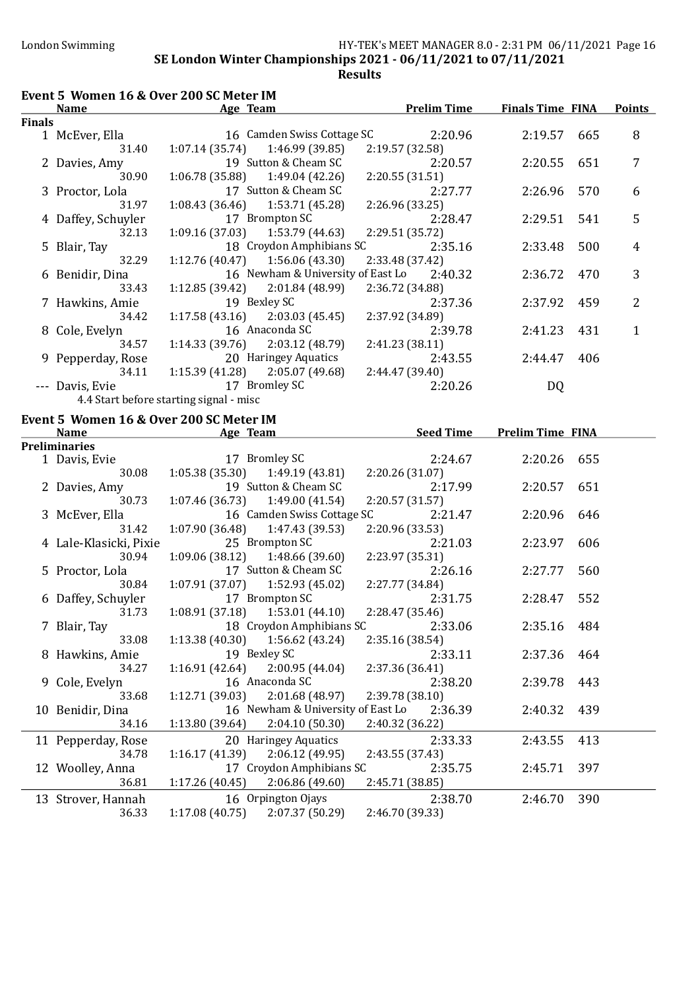Results

## Event 5 Women 16 & Over 200 SC Meter IM

|               | Name               | Age Team                                | <b>Prelim Time</b>                        | <b>Finals Time FINA</b> |     | <b>Points</b> |
|---------------|--------------------|-----------------------------------------|-------------------------------------------|-------------------------|-----|---------------|
| <b>Finals</b> |                    |                                         |                                           |                         |     |               |
|               | 1 McEver, Ella     | 16 Camden Swiss Cottage SC              | 2:20.96                                   | 2:19.57                 | 665 | 8             |
|               | 31.40              | $1:07.14(35.74)$ $1:46.99(39.85)$       | 2:19.57 (32.58)                           |                         |     |               |
|               | 2 Davies, Amy      | 19 Sutton & Cheam SC                    | 2:20.57                                   | 2:20.55                 | 651 | 7             |
|               | 30.90              | $1:06.78(35.88)$ $1:49.04(42.26)$       | 2:20.55(31.51)                            |                         |     |               |
|               | 3 Proctor, Lola    | 17 Sutton & Cheam SC                    | 2:27.77                                   | 2:26.96                 | 570 | 6             |
|               | 31.97              | $1:08.43(36.46)$ $1:53.71(45.28)$       | 2:26.96 (33.25)                           |                         |     |               |
|               | 4 Daffey, Schuyler | 17 Brompton SC                          | 2:28.47                                   | 2:29.51                 | 541 | 5             |
|               | 32.13              | $1:09.16(37.03)$ $1:53.79(44.63)$       | 2:29.51 (35.72)                           |                         |     |               |
|               | 5 Blair, Tay       | 18 Croydon Amphibians SC                | 2:35.16                                   | 2:33.48                 | 500 | 4             |
|               | 32.29              | $1:12.76(40.47)$ $1:56.06(43.30)$       | 2:33.48 (37.42)                           |                         |     |               |
|               | 6 Benidir, Dina    |                                         | 16 Newham & University of East Lo 2:40.32 | 2:36.72                 | 470 | 3             |
|               | 33.43              | $1:12.85(39.42)$ $2:01.84(48.99)$       | 2:36.72 (34.88)                           |                         |     |               |
|               | 7 Hawkins, Amie    | 19 Bexley SC                            | 2:37.36                                   | 2:37.92                 | 459 | 2             |
|               | 34.42              | $1:17.58(43.16)$ $2:03.03(45.45)$       | 2:37.92 (34.89)                           |                         |     |               |
|               | 8 Cole, Evelyn     | 16 Anaconda SC                          | 2:39.78                                   | 2:41.23                 | 431 |               |
|               | 34.57              | $1:14.33(39.76)$ $2:03.12(48.79)$       | 2:41.23(38.11)                            |                         |     |               |
|               | 9 Pepperday, Rose  | 20 Haringey Aquatics                    | 2:43.55                                   | 2:44.47                 | 406 |               |
|               | 34.11              | $1:15.39(41.28)$ $2:05.07(49.68)$       | 2:44.47 (39.40)                           |                         |     |               |
|               | --- Davis, Evie    | 17 Bromley SC                           | 2:20.26                                   | DQ                      |     |               |
|               |                    | 4.4 Start before starting signal - misc |                                           |                         |     |               |

#### Event 5 Women 16 & Over 200 SC Meter IM

| <b>Preliminaries</b><br>17 Bromley SC<br>2:24.67<br>2:20.26 655<br>1 Davis, Evie<br>$1:05.38(35.30)$ $1:49.19(43.81)$<br>2:20.26(31.07)<br>30.08<br>19 Sutton & Cheam SC<br>2:17.99<br>2:20.57 651<br>2 Davies, Amy<br>$1:07.46(36.73)$ $1:49.00(41.54)$<br>2:20.57(31.57)<br>30.73<br>16 Camden Swiss Cottage SC 2:21.47<br>3 McEver, Ella<br>2:20.96 646 |  |
|------------------------------------------------------------------------------------------------------------------------------------------------------------------------------------------------------------------------------------------------------------------------------------------------------------------------------------------------------------|--|
|                                                                                                                                                                                                                                                                                                                                                            |  |
|                                                                                                                                                                                                                                                                                                                                                            |  |
|                                                                                                                                                                                                                                                                                                                                                            |  |
|                                                                                                                                                                                                                                                                                                                                                            |  |
|                                                                                                                                                                                                                                                                                                                                                            |  |
|                                                                                                                                                                                                                                                                                                                                                            |  |
| $1:07.90(36.48)$ $1:47.43(39.53)$<br>31.42<br>2:20.96(33.53)                                                                                                                                                                                                                                                                                               |  |
| 25 Brompton SC<br>4 Lale-Klasicki, Pixie<br>2:21.03<br>2:23.97<br>606                                                                                                                                                                                                                                                                                      |  |
| 2:23.97(35.31)<br>$1:09.06(38.12)$ $1:48.66(39.60)$<br>30.94                                                                                                                                                                                                                                                                                               |  |
| 17 Sutton & Cheam SC<br>5 Proctor, Lola<br>2:26.16<br>2:27.77<br>560                                                                                                                                                                                                                                                                                       |  |
| $1:07.91(37.07)$ $1:52.93(45.02)$<br>2:27.77 (34.84)<br>30.84                                                                                                                                                                                                                                                                                              |  |
| 17 Brompton SC<br>6 Daffey, Schuyler<br>2:31.75<br>2:28.47 552                                                                                                                                                                                                                                                                                             |  |
| $1:08.91(37.18)$ $1:53.01(44.10)$<br>2:28.47(35.46)<br>31.73                                                                                                                                                                                                                                                                                               |  |
| 18 Croydon Amphibians SC<br>2:33.06<br>2:35.16 484<br>7 Blair, Tay                                                                                                                                                                                                                                                                                         |  |
| $1:13.38(40.30)$ $1:56.62(43.24)$<br>33.08<br>2:35.16(38.54)                                                                                                                                                                                                                                                                                               |  |
| 19 Bexley SC<br>8 Hawkins, Amie<br>2:33.11<br>2:37.36 464                                                                                                                                                                                                                                                                                                  |  |
| 2:37.36 (36.41)<br>34.27<br>$1:16.91(42.64)$ $2:00.95(44.04)$                                                                                                                                                                                                                                                                                              |  |
| 16 Anaconda SC<br>9 Cole, Evelyn<br>2:38.20<br>2:39.78 443                                                                                                                                                                                                                                                                                                 |  |
| $1:12.71(39.03)$ $2:01.68(48.97)$<br>2:39.78(38.10)<br>33.68                                                                                                                                                                                                                                                                                               |  |
| 16 Newham & University of East Lo 2:36.39<br>10 Benidir, Dina<br>2:40.32 439                                                                                                                                                                                                                                                                               |  |
| $1:13.80(39.64)$ $2:04.10(50.30)$<br>2:40.32 (36.22)<br>34.16                                                                                                                                                                                                                                                                                              |  |
| 20 Haringey Aquatics<br>2:33.33<br>2:43.55 413<br>11 Pepperday, Rose                                                                                                                                                                                                                                                                                       |  |
| $1:16.17(41.39)$ $2:06.12(49.95)$<br>2:43.55 (37.43)<br>34.78                                                                                                                                                                                                                                                                                              |  |
| 17 Croydon Amphibians SC<br>12 Woolley, Anna<br>2:35.75<br>397<br>2:45.71                                                                                                                                                                                                                                                                                  |  |
| $1:17.26(40.45)$ $2:06.86(49.60)$<br>36.81<br>2:45.71 (38.85)                                                                                                                                                                                                                                                                                              |  |
| 16 Orpington Ojays<br>2:38.70<br>390<br>13 Strover, Hannah<br>2:46.70                                                                                                                                                                                                                                                                                      |  |
| $1:17.08(40.75)$ $2:07.37(50.29)$<br>36.33<br>2:46.70 (39.33)                                                                                                                                                                                                                                                                                              |  |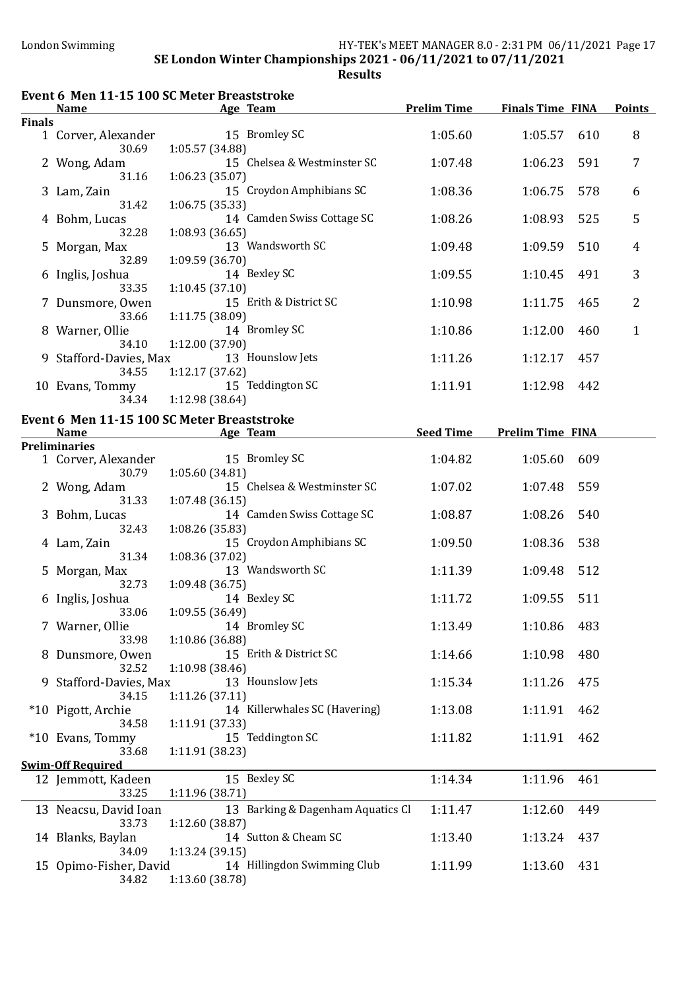# London Swimming HY-TEK's MEET MANAGER 8.0 - 2:31 PM 06/11/2021 Page 17

SE London Winter Championships 2021 - 06/11/2021 to 07/11/2021 Results

|               | Event 6 Men 11-15 100 SC Meter Breaststroke |                                                                             |                    |                         |     |                |  |
|---------------|---------------------------------------------|-----------------------------------------------------------------------------|--------------------|-------------------------|-----|----------------|--|
|               | <b>Name</b>                                 | <b>Example 2</b> Age Team                                                   | <b>Prelim Time</b> | <b>Finals Time FINA</b> |     | <b>Points</b>  |  |
| <b>Finals</b> | 1 Corver, Alexander                         | 15 Bromley SC                                                               | 1:05.60            | 1:05.57                 | 610 | 8              |  |
|               | 30.69                                       | 1:05.57 (34.88)                                                             |                    |                         |     |                |  |
|               | 2 Wong, Adam<br>31.16                       | 15 Chelsea & Westminster SC<br>1:06.23(35.07)                               | 1:07.48            | 1:06.23                 | 591 | 7              |  |
|               | 3 Lam, Zain<br>31.42                        | 15 Croydon Amphibians SC<br>1:06.75 (35.33)                                 | 1:08.36            | 1:06.75                 | 578 | 6              |  |
|               | 4 Bohm, Lucas<br>32.28                      | 14 Camden Swiss Cottage SC<br>1:08.93 (36.65)                               | 1:08.26            | 1:08.93                 | 525 | 5              |  |
|               | 5 Morgan, Max<br>32.89                      | 13 Wandsworth SC<br>1:09.59(36.70)                                          | 1:09.48            | 1:09.59                 | 510 | $\overline{4}$ |  |
|               | 6 Inglis, Joshua                            | 14 Bexley SC                                                                | 1:09.55            | 1:10.45                 | 491 | 3              |  |
|               | 33.35<br>7 Dunsmore, Owen                   | 1:10.45(37.10)<br>15 Erith & District SC                                    | 1:10.98            | 1:11.75                 | 465 | $\overline{2}$ |  |
|               | 33.66<br>8 Warner, Ollie                    | 1:11.75 (38.09)<br>14 Bromley SC                                            | 1:10.86            | 1:12.00                 | 460 | $\mathbf{1}$   |  |
|               | 34.10<br>9 Stafford-Davies, Max             | 1:12.00 (37.90)<br>13 Hounslow Jets                                         | 1:11.26            | 1:12.17                 | 457 |                |  |
|               | 34.55<br>10 Evans, Tommy<br>34.34           | 1:12.17 (37.62)<br>15 Teddington SC<br>1:12.98 (38.64)                      | 1:11.91            | 1:12.98                 | 442 |                |  |
|               |                                             |                                                                             |                    |                         |     |                |  |
|               | <b>Name</b>                                 | Event 6 Men 11-15 100 SC Meter Breaststroke<br><b>Example 2018</b> Age Team | <b>Seed Time</b>   | <b>Prelim Time FINA</b> |     |                |  |
|               | <b>Preliminaries</b>                        | 15 Bromley SC                                                               |                    |                         |     |                |  |
|               | 1 Corver, Alexander<br>30.79                | 1:05.60 (34.81)                                                             | 1:04.82            | 1:05.60                 | 609 |                |  |
|               | 2 Wong, Adam<br>31.33                       | 15 Chelsea & Westminster SC<br>1:07.48 (36.15)                              | 1:07.02            | 1:07.48                 | 559 |                |  |
|               | 3 Bohm, Lucas<br>32.43                      | 14 Camden Swiss Cottage SC<br>1:08.26 (35.83)                               | 1:08.87            | 1:08.26                 | 540 |                |  |
|               | 4 Lam, Zain<br>31.34                        | 15 Croydon Amphibians SC<br>1:08.36 (37.02)                                 | 1:09.50            | 1:08.36                 | 538 |                |  |
|               | 5 Morgan, Max<br>32.73                      | 13 Wandsworth SC<br>1:09.48(36.75)                                          | 1:11.39            | 1:09.48                 | 512 |                |  |
|               | 6 Inglis, Joshua<br>33.06                   | 14 Bexley SC<br>1:09.55(36.49)                                              | 1:11.72            | 1:09.55                 | 511 |                |  |
|               | 7 Warner, Ollie<br>33.98                    | 14 Bromley SC<br>1:10.86 (36.88)                                            | 1:13.49            | 1:10.86                 | 483 |                |  |
|               | 8 Dunsmore, Owen<br>32.52                   | 15 Erith & District SC<br>1:10.98(38.46)                                    | 1:14.66            | 1:10.98                 | 480 |                |  |
|               | 9 Stafford-Davies, Max<br>34.15             | 13 Hounslow Jets<br>1:11.26(37.11)                                          | 1:15.34            | 1:11.26                 | 475 |                |  |
|               | *10 Pigott, Archie<br>34.58                 | 14 Killerwhales SC (Havering)<br>1:11.91(37.33)                             | 1:13.08            | 1:11.91                 | 462 |                |  |
|               | *10 Evans, Tommy<br>33.68                   | 15 Teddington SC<br>1:11.91(38.23)                                          | 1:11.82            | 1:11.91                 | 462 |                |  |
|               | <b>Swim-Off Required</b>                    |                                                                             |                    |                         |     |                |  |
|               | 12 Jemmott, Kadeen<br>33.25                 | 15 Bexley SC<br>1:11.96 (38.71)                                             | 1:14.34            | 1:11.96                 | 461 |                |  |
|               | 13 Neacsu, David Ioan<br>33.73              | 13 Barking & Dagenham Aquatics Cl<br>1:12.60(38.87)                         | 1:11.47            | 1:12.60                 | 449 |                |  |
|               | 14 Blanks, Baylan<br>34.09                  | 14 Sutton & Cheam SC<br>1:13.24(39.15)                                      | 1:13.40            | 1:13.24                 | 437 |                |  |
|               | 15 Opimo-Fisher, David<br>34.82             | 14 Hillingdon Swimming Club<br>1:13.60 (38.78)                              | 1:11.99            | 1:13.60                 | 431 |                |  |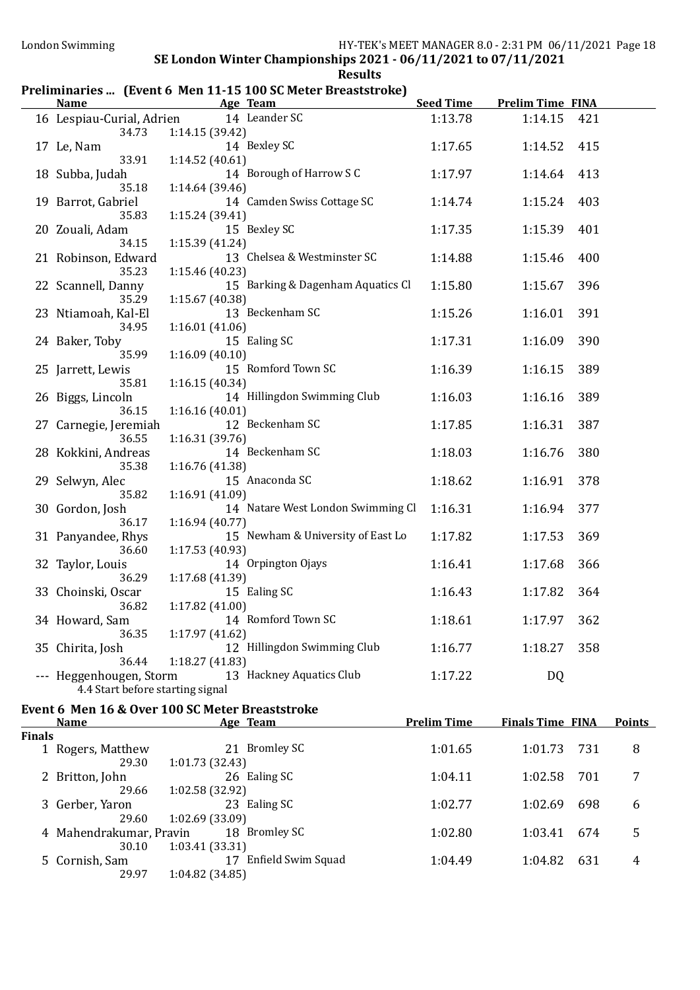### Preliminaries ... (Event 6 Men 11-15 100 SC Meter Breaststroke)

| <b>Name</b>                      | <b>Example 2</b> Age Team                       | <b>Seed Time</b> | <b>Prelim Time FINA</b> |     |  |
|----------------------------------|-------------------------------------------------|------------------|-------------------------|-----|--|
| 16 Lespiau-Curial, Adrien        | 14 Leander SC                                   | 1:13.78          | 1:14.15                 | 421 |  |
| 34.73                            | 1:14.15(39.42)                                  |                  |                         |     |  |
| 17 Le, Nam                       | 14 Bexley SC                                    | 1:17.65          | 1:14.52                 | 415 |  |
| 33.91                            | 1:14.52(40.61)                                  |                  |                         |     |  |
| 18 Subba, Judah                  | 14 Borough of Harrow S C                        | 1:17.97          | 1:14.64                 | 413 |  |
| 35.18                            | 1:14.64 (39.46)                                 |                  |                         |     |  |
| 19 Barrot, Gabriel               | 14 Camden Swiss Cottage SC                      | 1:14.74          | 1:15.24                 | 403 |  |
| 35.83                            | 1:15.24 (39.41)                                 |                  |                         |     |  |
| 20 Zouali, Adam<br>34.15         | 15 Bexley SC                                    | 1:17.35          | 1:15.39                 | 401 |  |
| 21 Robinson, Edward              | 1:15.39(41.24)<br>13 Chelsea & Westminster SC   | 1:14.88          | 1:15.46                 | 400 |  |
| 35.23                            | 1:15.46 (40.23)                                 |                  |                         |     |  |
| 22 Scannell, Danny               | 15 Barking & Dagenham Aquatics Cl               | 1:15.80          | 1:15.67                 | 396 |  |
| 35.29                            | 1:15.67 (40.38)                                 |                  |                         |     |  |
| 23 Ntiamoah, Kal-El              | 13 Beckenham SC                                 | 1:15.26          | 1:16.01                 | 391 |  |
| 34.95                            | 1:16.01(41.06)                                  |                  |                         |     |  |
| 24 Baker, Toby                   | 15 Ealing SC                                    | 1:17.31          | 1:16.09                 | 390 |  |
| 35.99                            | 1:16.09(40.10)                                  |                  |                         |     |  |
| 25 Jarrett, Lewis                | 15 Romford Town SC                              | 1:16.39          | 1:16.15                 | 389 |  |
| 35.81                            | 1:16.15(40.34)                                  |                  |                         |     |  |
| 26 Biggs, Lincoln                | 14 Hillingdon Swimming Club                     | 1:16.03          | 1:16.16                 | 389 |  |
| 36.15                            | 1:16.16(40.01)                                  |                  |                         |     |  |
| 27 Carnegie, Jeremiah<br>36.55   | 12 Beckenham SC<br>1:16.31(39.76)               | 1:17.85          | 1:16.31                 | 387 |  |
| 28 Kokkini, Andreas              | 14 Beckenham SC                                 | 1:18.03          | 1:16.76                 | 380 |  |
| 35.38                            | 1:16.76(41.38)                                  |                  |                         |     |  |
| 29 Selwyn, Alec                  | 15 Anaconda SC                                  | 1:18.62          | 1:16.91                 | 378 |  |
| 35.82                            | 1:16.91(41.09)                                  |                  |                         |     |  |
| 30 Gordon, Josh                  | 14 Natare West London Swimming Cl               | 1:16.31          | 1:16.94                 | 377 |  |
| 36.17                            | 1:16.94(40.77)                                  |                  |                         |     |  |
| 31 Panyandee, Rhys               | 15 Newham & University of East Lo               | 1:17.82          | 1:17.53                 | 369 |  |
| 36.60                            | 1:17.53(40.93)                                  |                  |                         |     |  |
| 32 Taylor, Louis                 | 14 Orpington Ojays                              | 1:16.41          | 1:17.68                 | 366 |  |
| 36.29                            | 1:17.68 (41.39)                                 |                  |                         |     |  |
| 33 Choinski, Oscar               | 15 Ealing SC                                    | 1:16.43          | 1:17.82                 | 364 |  |
| 36.82                            | 1:17.82 (41.00)                                 |                  |                         |     |  |
| 34 Howard, Sam<br>36.35          | 14 Romford Town SC<br>1:17.97 (41.62)           | 1:18.61          | 1:17.97                 | 362 |  |
| 35 Chirita, Josh                 | 12 Hillingdon Swimming Club                     | 1:16.77          | 1:18.27                 | 358 |  |
| 36.44                            | 1:18.27(41.83)                                  |                  |                         |     |  |
| --- Heggenhougen, Storm          | 13 Hackney Aquatics Club                        | 1:17.22          | DQ                      |     |  |
| 4.4 Start before starting signal |                                                 |                  |                         |     |  |
|                                  | Event 6 Men 16 & Over 100 SC Meter Breaststroke |                  |                         |     |  |
|                                  |                                                 |                  |                         |     |  |

| <b>Name</b><br>Age Team |                         |                          | <b>Prelim Time</b> | <b>Finals Time FINA</b> | <b>Points</b> |   |
|-------------------------|-------------------------|--------------------------|--------------------|-------------------------|---------------|---|
| <b>Finals</b>           |                         |                          |                    |                         |               |   |
|                         | Rogers, Matthew         | <b>Bromley SC</b><br>21  | 1:01.65            | 1:01.73                 | 731           | 8 |
|                         | 29.30                   | 1:01.73 (32.43)          |                    |                         |               |   |
|                         | 2 Britton, John         | 26 Ealing SC             | 1:04.11            | 1:02.58                 | 701           | 7 |
|                         | 29.66                   | 1:02.58 (32.92)          |                    |                         |               |   |
|                         | 3 Gerber, Yaron         | 23 Ealing SC             | 1:02.77            | 1:02.69                 | 698           | 6 |
|                         | 29.60                   | 1:02.69(33.09)           |                    |                         |               |   |
|                         | 4 Mahendrakumar, Pravin | 18 Bromley SC            | 1:02.80            | 1:03.41                 | 674           | 5 |
|                         | 30.10                   | 1:03.41(33.31)           |                    |                         |               |   |
|                         | 5 Cornish, Sam          | Enfield Swim Squad<br>17 | 1:04.49            | 1:04.82                 | 631           | 4 |
|                         | 29.97                   | 1:04.82(34.85)           |                    |                         |               |   |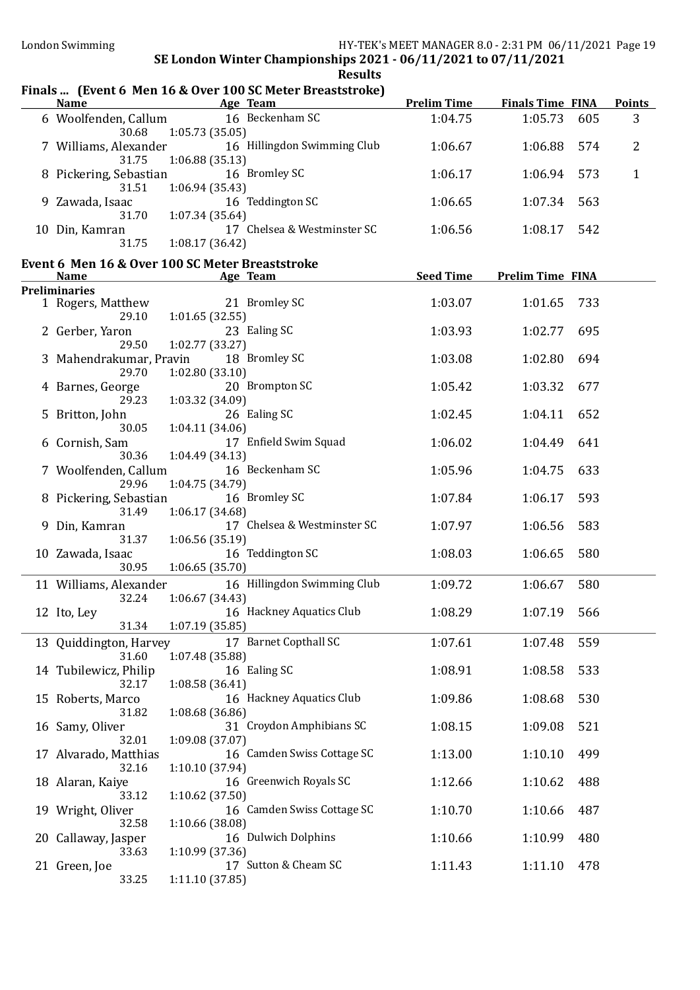#### Finals ... (Event 6 Men 16 & Over 100 SC Meter Breaststroke) Name Age Team Reference Prelim Time Finals Time FINA Points 6 Woolfenden, Callum 16 Beckenham SC 1:04.75 1:05.73 605 3 30.68 1:05.73 (35.05) 7 Williams, Alexander 16 Hillingdon Swimming Club 1:06.67 1:06.88 574 2 31.75 1:06.88 (35.13) 8 Pickering, Sebastian 16 Bromley SC 1:06.17 1:06.94 573 1 31.51 1:06.94 (35.43) 9 Zawada, Isaac 16 Teddington SC 1:06.65 1:07.34 563 31.70 1:07.34 (35.64) 10 Din, Kamran 17 Chelsea & Westminster SC 1:06.56 1:08.17 542 31.75 1:08.17 (36.42) Event 6 Men 16 & Over 100 SC Meter Breaststroke Name Age Team Age Team Seed Time Prelim Time FINA Preliminaries 1 Rogers, Matthew 21 Bromley SC 1:03.07 1:01.65 733 29.10 1:01.65 (32.55) 2 Gerber, Yaron 23 Ealing SC 1:03.93 1:02.77 695 29.50 1:02.77 (33.27) 3 Mahendrakumar, Pravin 18 Bromley SC 1:03.08 1:02.80 694 29.70 1:02.80 (33.10)<br>
20 Brompton SC 4 Barnes, George 20 Brompton SC 1:05.42 1:03.32 677 29.23 1:03.32 (34.09) 5 Britton, John 26 Ealing SC 1:02.45 1:04.11 652 30.05 1:04.11 (34.06) 6 Cornish, Sam 17 Enϐield Swim Squad 1:06.02 1:04.49 641 30.36 1:04.49 (34.13) 7 Woolfenden, Callum 16 Beckenham SC 1:05.96 1:04.75 633 29.96 1:04.75 (34.79) 8 Pickering, Sebastian 16 Bromley SC 1:07.84 1:06.17 593 31.49 1:06.17 (34.68) 9 Din, Kamran 17 Chelsea & Westminster SC 1:07.97 1:06.56 583 31.37 1:06.56 (35.19) 10 Zawada, Isaac 16 Teddington SC 1:08.03 1:06.65 580 30.95 1:06.65 (35.70) 11 Williams, Alexander 16 Hillingdon Swimming Club 1:09.72 1:06.67 580 32.24 1:06.67 (34.43) 12 Ito, Ley 16 Hackney Aquatics Club 1:08.29 1:07.19 566 31.34 1:07.19 (35.85) 13 Quiddington, Harvey 17 Barnet Copthall SC 1:07.61 1:07.48 559 31.60 1:07.48 (35.88) 14 Tubilewicz, Philip 16 Ealing SC 1:08.91 1:08.58 533 32.17 1:08.58 (36.41) 15 Roberts, Marco 16 Hackney Aquatics Club 1:09.86 1:08.68 530 31.82 1:08.68 (36.86) 16 Samy, Oliver 31 Croydon Amphibians SC 1:08.15 1:09.08 521 32.01 1:09.08 (37.07) 17 Alvarado, Matthias 16 Camden Swiss Cottage SC 1:13.00 1:10.10 499 32.16 1:10.10 (37.94) 18 Alaran, Kaiye 16 Greenwich Royals SC 1:12.66 1:10.62 488 33.12 1:10.62 (37.50) 19 Wright, Oliver 16 Camden Swiss Cottage SC 1:10.70 1:10.66 487 32.58 1:10.66 (38.08) 20 Callaway, Jasper 16 Dulwich Dolphins 1:10.66 1:10.99 480 33.63 1:10.99 (37.36) 21 Green, Joe 17 Sutton & Cheam SC 1:11.43 1:11.10 478 33.25 1:11.10 (37.85)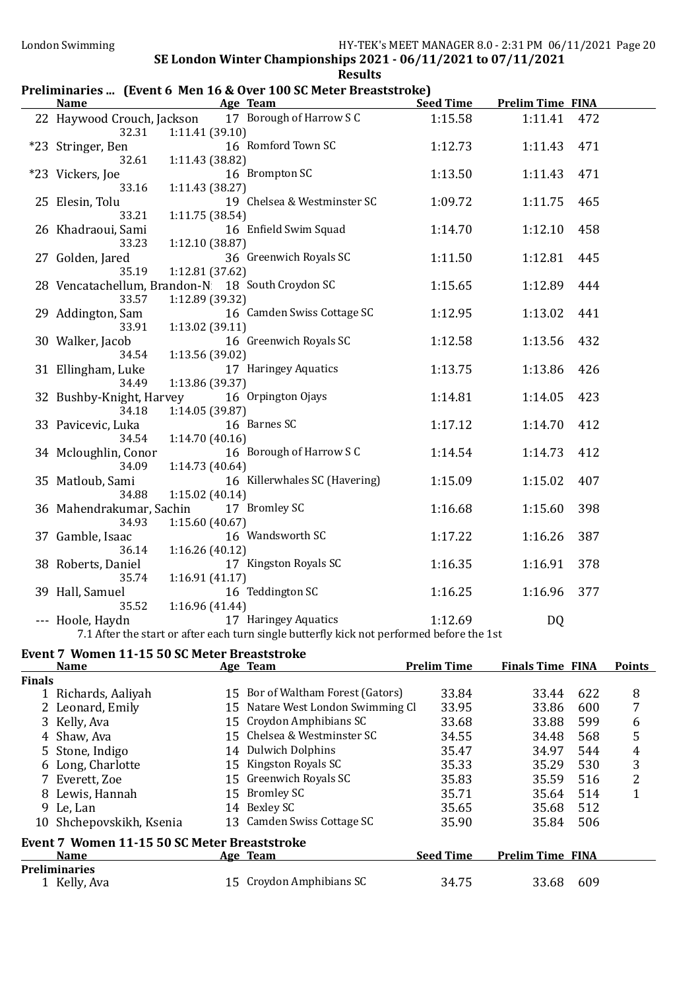### Preliminaries ... (Event 6 Men 16 & Over 100 SC Meter Breaststroke)

| <b>Name</b>                                      |                 | <b>Example 2 Age Team</b>                                                                 | <b>Seed Time</b> | <b>Prelim Time FINA</b> |     |
|--------------------------------------------------|-----------------|-------------------------------------------------------------------------------------------|------------------|-------------------------|-----|
|                                                  |                 | 22 Haywood Crouch, Jackson 17 Borough of Harrow S C                                       | 1:15.58          | 1:11.41                 | 472 |
| 32.31                                            | 1:11.41(39.10)  |                                                                                           |                  |                         |     |
| *23 Stringer, Ben                                |                 | 16 Romford Town SC                                                                        | 1:12.73          | 1:11.43                 | 471 |
| 32.61                                            | 1:11.43 (38.82) |                                                                                           |                  |                         |     |
| *23 Vickers, Joe                                 |                 | 16 Brompton SC                                                                            | 1:13.50          | 1:11.43                 | 471 |
| 33.16                                            | 1:11.43(38.27)  |                                                                                           |                  |                         |     |
| 25 Elesin, Tolu                                  |                 | 19 Chelsea & Westminster SC                                                               | 1:09.72          | 1:11.75                 | 465 |
| 33.21                                            | 1:11.75(38.54)  |                                                                                           |                  |                         |     |
| 26 Khadraoui, Sami                               |                 | 16 Enfield Swim Squad                                                                     | 1:14.70          | 1:12.10                 | 458 |
| 33.23                                            | 1:12.10(38.87)  |                                                                                           |                  |                         |     |
| 27 Golden, Jared                                 |                 | 36 Greenwich Royals SC                                                                    | 1:11.50          | 1:12.81                 | 445 |
| 35.19                                            | 1:12.81 (37.62) |                                                                                           |                  |                         |     |
| 28 Vencatachellum, Brandon-N 18 South Croydon SC |                 |                                                                                           | 1:15.65          | 1:12.89                 | 444 |
| 33.57                                            | 1:12.89 (39.32) |                                                                                           |                  |                         |     |
| 29 Addington, Sam                                |                 | 16 Camden Swiss Cottage SC                                                                | 1:12.95          | 1:13.02                 | 441 |
| 33.91                                            | 1:13.02 (39.11) |                                                                                           |                  |                         |     |
| 30 Walker, Jacob                                 |                 | 16 Greenwich Royals SC                                                                    | 1:12.58          | 1:13.56                 | 432 |
| 34.54                                            | 1:13.56 (39.02) |                                                                                           |                  |                         |     |
| 31 Ellingham, Luke                               |                 | 17 Haringey Aquatics                                                                      | 1:13.75          | 1:13.86                 | 426 |
| 34.49                                            | 1:13.86 (39.37) | 16 Orpington Ojays                                                                        | 1:14.81          |                         | 423 |
| 32 Bushby-Knight, Harvey<br>34.18                | 1:14.05 (39.87) |                                                                                           |                  | 1:14.05                 |     |
| 33 Pavicevic, Luka                               |                 | 16 Barnes SC                                                                              | 1:17.12          | 1:14.70                 | 412 |
| 34.54                                            | 1:14.70(40.16)  |                                                                                           |                  |                         |     |
| 34 Mcloughlin, Conor                             |                 | 16 Borough of Harrow S C                                                                  | 1:14.54          | 1:14.73                 | 412 |
| 34.09                                            | 1:14.73(40.64)  |                                                                                           |                  |                         |     |
| 35 Matloub, Sami                                 |                 | 16 Killerwhales SC (Havering)                                                             | 1:15.09          | 1:15.02                 | 407 |
| 34.88                                            | 1:15.02(40.14)  |                                                                                           |                  |                         |     |
| 36 Mahendrakumar, Sachin                         |                 | 17 Bromley SC                                                                             | 1:16.68          | 1:15.60                 | 398 |
| 34.93                                            | 1:15.60(40.67)  |                                                                                           |                  |                         |     |
| 37 Gamble, Isaac                                 |                 | 16 Wandsworth SC                                                                          | 1:17.22          | 1:16.26                 | 387 |
| 36.14                                            | 1:16.26(40.12)  |                                                                                           |                  |                         |     |
| 38 Roberts, Daniel                               |                 | 17 Kingston Royals SC                                                                     | 1:16.35          | 1:16.91                 | 378 |
| 35.74                                            | 1:16.91(41.17)  |                                                                                           |                  |                         |     |
| 39 Hall, Samuel                                  |                 | 16 Teddington SC                                                                          | 1:16.25          | 1:16.96                 | 377 |
| 35.52                                            | 1:16.96(41.44)  |                                                                                           |                  |                         |     |
| --- Hoole, Haydn                                 |                 | 17 Haringey Aquatics                                                                      | 1:12.69          | DQ                      |     |
|                                                  |                 | 7.1 After the start or after each turn single butterfly kick not performed before the 1st |                  |                         |     |

## Event 7 Women 11-15 50 SC Meter Breaststroke

|               | <b>Name</b>                                  |    | Age Team                          | <b>Prelim Time</b> | <b>Finals Time FINA</b> |     | <b>Points</b>  |
|---------------|----------------------------------------------|----|-----------------------------------|--------------------|-------------------------|-----|----------------|
| <b>Finals</b> |                                              |    |                                   |                    |                         |     |                |
|               | 1 Richards, Aaliyah                          |    | 15 Bor of Waltham Forest (Gators) | 33.84              | 33.44                   | 622 | 8              |
|               | 2 Leonard, Emily                             |    | 15 Natare West London Swimming Cl | 33.95              | 33.86                   | 600 | 7              |
|               | 3 Kelly, Ava                                 |    | 15 Croydon Amphibians SC          | 33.68              | 33.88                   | 599 | 6              |
|               | 4 Shaw, Ava                                  |    | 15 Chelsea & Westminster SC       | 34.55              | 34.48                   | 568 | 5              |
|               | 5 Stone, Indigo                              |    | 14 Dulwich Dolphins               | 35.47              | 34.97                   | 544 | 4              |
|               | 6 Long, Charlotte                            |    | 15 Kingston Royals SC             | 35.33              | 35.29                   | 530 | 3              |
|               | 7 Everett, Zoe                               |    | 15 Greenwich Royals SC            | 35.83              | 35.59                   | 516 | $\overline{2}$ |
|               | 8 Lewis, Hannah                              |    | 15 Bromley SC                     | 35.71              | 35.64                   | 514 | 1              |
|               | 9 Le, Lan                                    | 14 | Bexley SC                         | 35.65              | 35.68                   | 512 |                |
|               | 10 Shchepovskikh, Ksenia                     |    | 13 Camden Swiss Cottage SC        | 35.90              | 35.84                   | 506 |                |
|               | Event 7 Women 11-15 50 SC Meter Breaststroke |    |                                   |                    |                         |     |                |
|               | <b>Name</b>                                  |    | Age Team                          | <b>Seed Time</b>   | <b>Prelim Time FINA</b> |     |                |
|               | <b>Preliminaries</b>                         |    |                                   |                    |                         |     |                |
|               | 1 Kelly, Ava                                 |    | 15 Croydon Amphibians SC          | 34.75              | 33.68                   | 609 |                |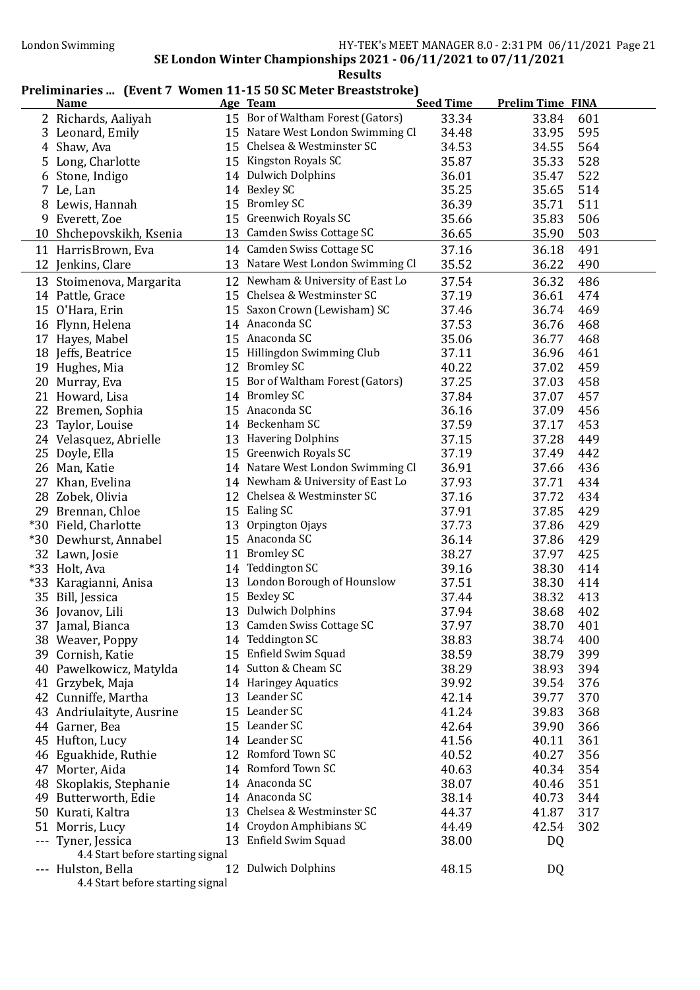#### Preliminaries ... (Event 7 Women 11-15 50 SC Meter Breaststroke)

|       | <b>Name</b>                               |    | Age Team                          | <b>Seed Time</b> | <b>Prelim Time FINA</b> |     |
|-------|-------------------------------------------|----|-----------------------------------|------------------|-------------------------|-----|
|       | 2 Richards, Aaliyah                       |    | 15 Bor of Waltham Forest (Gators) | 33.34            | 33.84                   | 601 |
|       | 3 Leonard, Emily                          |    | 15 Natare West London Swimming Cl | 34.48            | 33.95                   | 595 |
|       | 4 Shaw, Ava                               |    | 15 Chelsea & Westminster SC       | 34.53            | 34.55                   | 564 |
|       | 5 Long, Charlotte                         |    | 15 Kingston Royals SC             | 35.87            | 35.33                   | 528 |
|       | 6 Stone, Indigo                           |    | 14 Dulwich Dolphins               | 36.01            | 35.47                   | 522 |
|       | 7 Le, Lan                                 |    | 14 Bexley SC                      | 35.25            | 35.65                   | 514 |
|       | 8 Lewis, Hannah                           |    | 15 Bromley SC                     | 36.39            | 35.71                   | 511 |
|       | 9 Everett, Zoe                            |    | 15 Greenwich Royals SC            | 35.66            | 35.83                   | 506 |
|       | 10 Shchepovskikh, Ksenia                  |    | 13 Camden Swiss Cottage SC        | 36.65            | 35.90                   | 503 |
|       | 11 HarrisBrown, Eva                       |    | 14 Camden Swiss Cottage SC        | 37.16            | 36.18                   | 491 |
|       | 12 Jenkins, Clare                         |    | 13 Natare West London Swimming Cl | 35.52            | 36.22                   | 490 |
|       | 13 Stoimenova, Margarita                  |    | 12 Newham & University of East Lo | 37.54            | 36.32                   | 486 |
|       | 14 Pattle, Grace                          |    | 15 Chelsea & Westminster SC       | 37.19            | 36.61                   | 474 |
|       | 15 O'Hara, Erin                           |    | 15 Saxon Crown (Lewisham) SC      | 37.46            | 36.74                   | 469 |
|       | 16 Flynn, Helena                          |    | 14 Anaconda SC                    | 37.53            | 36.76                   | 468 |
|       | 17 Hayes, Mabel                           |    | 15 Anaconda SC                    | 35.06            | 36.77                   | 468 |
|       | 18 Jeffs, Beatrice                        |    | 15 Hillingdon Swimming Club       | 37.11            | 36.96                   | 461 |
|       | 19 Hughes, Mia                            |    | 12 Bromley SC                     | 40.22            | 37.02                   | 459 |
|       | 20 Murray, Eva                            |    | 15 Bor of Waltham Forest (Gators) | 37.25            | 37.03                   | 458 |
|       | 21 Howard, Lisa                           |    | 14 Bromley SC                     | 37.84            | 37.07                   | 457 |
|       | 22 Bremen, Sophia                         |    | 15 Anaconda SC                    | 36.16            | 37.09                   | 456 |
|       | 23 Taylor, Louise                         |    | 14 Beckenham SC                   | 37.59            | 37.17                   | 453 |
|       | 24 Velasquez, Abrielle                    |    | 13 Havering Dolphins              | 37.15            | 37.28                   | 449 |
|       | 25 Doyle, Ella                            |    | 15 Greenwich Royals SC            | 37.19            | 37.49                   | 442 |
|       | 26 Man, Katie                             |    | 14 Natare West London Swimming Cl | 36.91            | 37.66                   | 436 |
|       | 27 Khan, Evelina                          |    | 14 Newham & University of East Lo | 37.93            | 37.71                   | 434 |
|       |                                           |    | 12 Chelsea & Westminster SC       | 37.16            | 37.72                   | 434 |
|       | 28 Zobek, Olivia                          |    | 15 Ealing SC                      | 37.91            | 37.85                   | 429 |
|       | 29 Brennan, Chloe<br>*30 Field, Charlotte |    | 13 Orpington Ojays                | 37.73            | 37.86                   | 429 |
|       | *30 Dewhurst, Annabel                     |    | 15 Anaconda SC                    | 36.14            | 37.86                   | 429 |
|       | 32 Lawn, Josie                            | 11 | <b>Bromley SC</b>                 | 38.27            | 37.97                   | 425 |
|       | *33 Holt, Ava                             | 14 | Teddington SC                     | 39.16            | 38.30                   | 414 |
| $*33$ | Karagianni, Anisa                         |    | 13 London Borough of Hounslow     | 37.51            | 38.30                   | 414 |
| 35    |                                           |    | 15 Bexley SC                      | 37.44            | 38.32                   | 413 |
|       | Bill, Jessica<br>36 Jovanov, Lili         |    | 13 Dulwich Dolphins               | 37.94            | 38.68                   | 402 |
|       |                                           |    | 13 Camden Swiss Cottage SC        |                  | 38.70                   | 401 |
|       | 37 Jamal, Bianca<br>38 Weaver, Poppy      |    | 14 Teddington SC                  | 37.97<br>38.83   | 38.74                   | 400 |
|       | 39 Cornish, Katie                         |    | 15 Enfield Swim Squad             | 38.59            | 38.79                   | 399 |
|       | 40 Pawelkowicz, Matylda                   |    | 14 Sutton & Cheam SC              | 38.29            | 38.93                   | 394 |
|       | 41 Grzybek, Maja                          |    | 14 Haringey Aquatics              | 39.92            | 39.54                   | 376 |
|       | 42 Cunniffe, Martha                       |    | 13 Leander SC                     | 42.14            | 39.77                   | 370 |
|       | 43 Andriulaityte, Ausrine                 |    | 15 Leander SC                     | 41.24            | 39.83                   | 368 |
|       | 44 Garner, Bea                            |    | 15 Leander SC                     | 42.64            | 39.90                   | 366 |
|       | 45 Hufton, Lucy                           |    | 14 Leander SC                     | 41.56            | 40.11                   | 361 |
|       | 46 Eguakhide, Ruthie                      |    | 12 Romford Town SC                | 40.52            | 40.27                   | 356 |
|       | 47 Morter, Aida                           |    | 14 Romford Town SC                | 40.63            | 40.34                   | 354 |
|       | 48 Skoplakis, Stephanie                   |    | 14 Anaconda SC                    | 38.07            | 40.46                   | 351 |
|       | 49 Butterworth, Edie                      |    | 14 Anaconda SC                    | 38.14            | 40.73                   | 344 |
|       | 50 Kurati, Kaltra                         |    | 13 Chelsea & Westminster SC       | 44.37            | 41.87                   | 317 |
|       | 51 Morris, Lucy                           |    | 14 Croydon Amphibians SC          | 44.49            | 42.54                   | 302 |
|       | --- Tyner, Jessica                        |    | 13 Enfield Swim Squad             | 38.00            | DQ                      |     |
|       | 4.4 Start before starting signal          |    |                                   |                  |                         |     |
|       | --- Hulston, Bella                        |    | 12 Dulwich Dolphins               | 48.15            | DQ                      |     |
|       | 4.4 Start before starting signal          |    |                                   |                  |                         |     |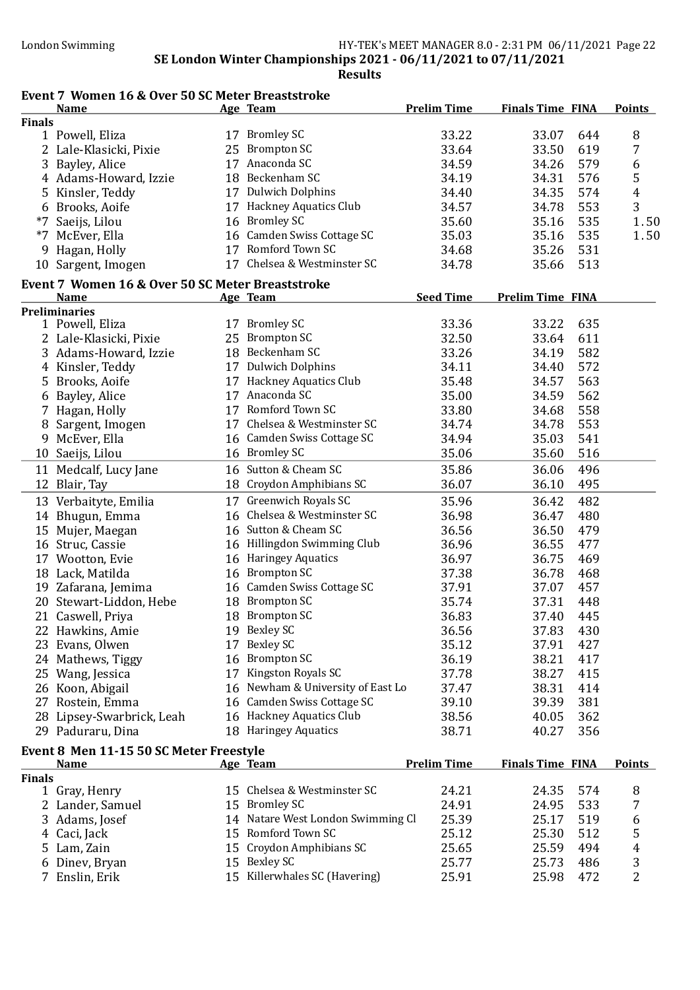## Event 7 Women 16 & Over 50 SC Meter Breaststroke

|               | <b>Name</b>                                      |    | Age Team                          | <b>Prelim Time</b> | <b>Finals Time FINA</b> |     | <b>Points</b> |
|---------------|--------------------------------------------------|----|-----------------------------------|--------------------|-------------------------|-----|---------------|
| <b>Finals</b> |                                                  |    |                                   |                    |                         |     |               |
|               | 1 Powell, Eliza                                  |    | 17 Bromley SC                     | 33.22              | 33.07                   | 644 | 8             |
|               | 2 Lale-Klasicki, Pixie                           |    | 25 Brompton SC                    | 33.64              | 33.50                   | 619 | 7             |
| 3             | Bayley, Alice                                    | 17 | Anaconda SC                       | 34.59              | 34.26                   | 579 | 6             |
|               | 4 Adams-Howard, Izzie                            |    | 18 Beckenham SC                   | 34.19              | 34.31                   | 576 | 5             |
| 5             | Kinsler, Teddy                                   |    | 17 Dulwich Dolphins               | 34.40              | 34.35                   | 574 | 4             |
|               | 6 Brooks, Aoife                                  |    | 17 Hackney Aquatics Club          | 34.57              | 34.78                   | 553 | 3             |
| $*7$          | Saeijs, Lilou                                    |    | 16 Bromley SC                     | 35.60              | 35.16                   | 535 | 1.50          |
| $*7$          | McEver, Ella                                     |    | 16 Camden Swiss Cottage SC        | 35.03              | 35.16                   | 535 | 1.50          |
| 9             | Hagan, Holly                                     |    | 17 Romford Town SC                | 34.68              | 35.26                   | 531 |               |
|               | 10 Sargent, Imogen                               |    | 17 Chelsea & Westminster SC       | 34.78              | 35.66                   | 513 |               |
|               | Event 7 Women 16 & Over 50 SC Meter Breaststroke |    |                                   |                    |                         |     |               |
|               | <b>Name</b>                                      |    | Age Team                          | <b>Seed Time</b>   | <b>Prelim Time FINA</b> |     |               |
|               | <b>Preliminaries</b>                             |    |                                   |                    |                         |     |               |
|               | 1 Powell, Eliza                                  |    | 17 Bromley SC                     | 33.36              | 33.22                   | 635 |               |
|               | 2 Lale-Klasicki, Pixie                           | 25 | <b>Brompton SC</b>                | 32.50              | 33.64                   | 611 |               |
|               | 3 Adams-Howard, Izzie                            |    | 18 Beckenham SC                   | 33.26              | 34.19                   | 582 |               |
|               | 4 Kinsler, Teddy                                 |    | 17 Dulwich Dolphins               | 34.11              | 34.40                   | 572 |               |
|               | 5 Brooks, Aoife                                  |    | 17 Hackney Aquatics Club          | 35.48              | 34.57                   | 563 |               |
| 6             | Bayley, Alice                                    |    | 17 Anaconda SC                    | 35.00              | 34.59                   | 562 |               |
|               | 7 Hagan, Holly                                   |    | 17 Romford Town SC                | 33.80              | 34.68                   | 558 |               |
| 8             | Sargent, Imogen                                  |    | 17 Chelsea & Westminster SC       | 34.74              | 34.78                   | 553 |               |
| 9             | McEver, Ella                                     |    | 16 Camden Swiss Cottage SC        | 34.94              | 35.03                   | 541 |               |
|               | 10 Saeijs, Lilou                                 |    | 16 Bromley SC                     | 35.06              | 35.60                   | 516 |               |
|               | 11 Medcalf, Lucy Jane                            |    | 16 Sutton & Cheam SC              | 35.86              | 36.06                   | 496 |               |
|               | 12 Blair, Tay                                    |    | 18 Croydon Amphibians SC          | 36.07              | 36.10                   | 495 |               |
|               | 13 Verbaityte, Emilia                            |    | 17 Greenwich Royals SC            | 35.96              | 36.42                   | 482 |               |
|               |                                                  |    | 16 Chelsea & Westminster SC       | 36.98              |                         | 480 |               |
|               | 14 Bhugun, Emma                                  |    | 16 Sutton & Cheam SC              |                    | 36.47                   |     |               |
|               | 15 Mujer, Maegan                                 |    |                                   | 36.56              | 36.50                   | 479 |               |
|               | 16 Struc, Cassie                                 |    | 16 Hillingdon Swimming Club       | 36.96              | 36.55                   | 477 |               |
|               | 17 Wootton, Evie                                 |    | 16 Haringey Aquatics              | 36.97              | 36.75                   | 469 |               |
|               | 18 Lack, Matilda                                 |    | 16 Brompton SC                    | 37.38              | 36.78                   | 468 |               |
|               | 19 Zafarana, Jemima                              |    | 16 Camden Swiss Cottage SC        | 37.91              | 37.07                   | 457 |               |
|               | 20 Stewart-Liddon, Hebe                          |    | 18 Brompton SC                    | 35.74              | 37.31                   | 448 |               |
|               | 21 Caswell, Priya                                |    | 18 Brompton SC                    | 36.83              | 37.40                   | 445 |               |
|               | 22 Hawkins, Amie                                 |    | 19 Bexley SC                      | 36.56              | 37.83                   | 430 |               |
|               | 23 Evans, Olwen                                  |    | 17 Bexley SC                      | 35.12              | 37.91                   | 427 |               |
|               | 24 Mathews, Tiggy                                |    | 16 Brompton SC                    | 36.19              | 38.21                   | 417 |               |
|               | 25 Wang, Jessica                                 |    | 17 Kingston Royals SC             | 37.78              | 38.27                   | 415 |               |
|               | 26 Koon, Abigail                                 |    | 16 Newham & University of East Lo | 37.47              | 38.31                   | 414 |               |
|               | 27 Rostein, Emma                                 |    | 16 Camden Swiss Cottage SC        | 39.10              | 39.39                   | 381 |               |
|               | 28 Lipsey-Swarbrick, Leah                        |    | 16 Hackney Aquatics Club          | 38.56              | 40.05                   | 362 |               |
|               | 29 Paduraru, Dina                                |    | 18 Haringey Aquatics              | 38.71              | 40.27                   | 356 |               |
|               | Event 8 Men 11-15 50 SC Meter Freestyle          |    |                                   |                    |                         |     |               |
|               | <b>Name</b>                                      |    | Age Team                          | <b>Prelim Time</b> | <b>Finals Time FINA</b> |     | <b>Points</b> |
| <b>Finals</b> |                                                  |    |                                   |                    |                         |     |               |
|               | 1 Gray, Henry                                    |    | 15 Chelsea & Westminster SC       | 24.21              | 24.35                   | 574 | 8             |
|               | 2 Lander, Samuel                                 |    | 15 Bromley SC                     | 24.91              | 24.95                   | 533 | 7             |
|               | 3 Adams, Josef                                   |    | 14 Natare West London Swimming Cl | 25.39              | 25.17                   | 519 | 6             |
|               | 4 Caci, Jack                                     |    | 15 Romford Town SC                | 25.12              | 25.30                   | 512 | 5             |
| 5.            | Lam, Zain                                        |    | 15 Croydon Amphibians SC          | 25.65              | 25.59                   | 494 | 4             |
| 6             | Dinev, Bryan                                     |    | 15 Bexley SC                      | 25.77              | 25.73                   | 486 | 3             |
|               | 7 Enslin, Erik                                   |    | 15 Killerwhales SC (Havering)     | 25.91              | 25.98                   | 472 | 2             |
|               |                                                  |    |                                   |                    |                         |     |               |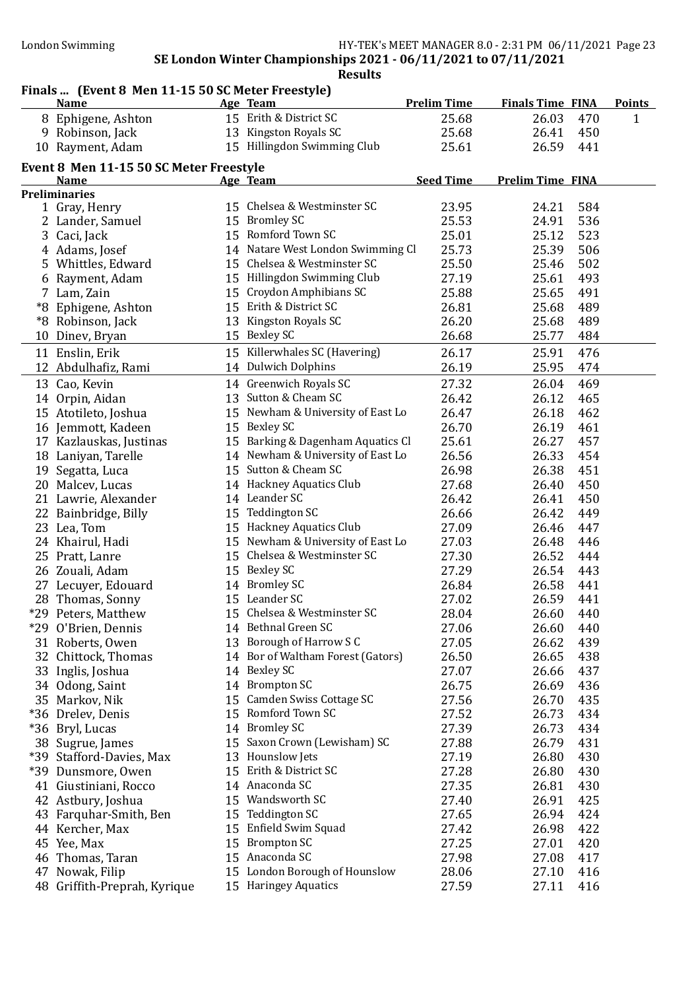# Finals ... (Event 8 Men 11-15 50 SC Meter Freestyle)

| <b>Name</b>                                            |    | Age Team                          | <b>Prelim Time</b> | <b>Finals Time FINA</b> | <b>Points</b> |
|--------------------------------------------------------|----|-----------------------------------|--------------------|-------------------------|---------------|
| 8 Ephigene, Ashton                                     |    | 15 Erith & District SC            | 25.68              | 26.03<br>470            | 1             |
| 9 Robinson, Jack                                       |    | 13 Kingston Royals SC             | 25.68              | 26.41<br>450            |               |
| 10 Rayment, Adam                                       |    | 15 Hillingdon Swimming Club       | 25.61              | 26.59<br>441            |               |
|                                                        |    |                                   |                    |                         |               |
| Event 8 Men 11-15 50 SC Meter Freestyle<br><b>Name</b> |    | Age Team                          | <b>Seed Time</b>   | <b>Prelim Time FINA</b> |               |
| <b>Preliminaries</b>                                   |    |                                   |                    |                         |               |
| 1 Gray, Henry                                          |    | 15 Chelsea & Westminster SC       | 23.95              | 584<br>24.21            |               |
| 2 Lander, Samuel                                       |    | 15 Bromley SC                     | 25.53              | 536<br>24.91            |               |
| 3 Caci, Jack                                           |    | 15 Romford Town SC                | 25.01              | 523<br>25.12            |               |
| 4 Adams, Josef                                         |    | 14 Natare West London Swimming Cl | 25.73              | 25.39<br>506            |               |
| 5 Whittles, Edward                                     |    | 15 Chelsea & Westminster SC       | 25.50              | 502<br>25.46            |               |
| 6 Rayment, Adam                                        |    | 15 Hillingdon Swimming Club       | 27.19              | 493<br>25.61            |               |
| 7 Lam, Zain                                            |    | 15 Croydon Amphibians SC          | 25.88              | 25.65<br>491            |               |
| *8 Ephigene, Ashton                                    |    | 15 Erith & District SC            | 26.81              | 25.68<br>489            |               |
| *8 Robinson, Jack                                      |    | 13 Kingston Royals SC             | 26.20              | 489<br>25.68            |               |
| 10 Dinev, Bryan                                        |    | 15 Bexley SC                      | 26.68              | 484<br>25.77            |               |
|                                                        |    | 15 Killerwhales SC (Havering)     |                    |                         |               |
| 11 Enslin, Erik                                        |    | 14 Dulwich Dolphins               | 26.17<br>26.19     | 476<br>25.91            |               |
| 12 Abdulhafiz, Rami                                    |    |                                   |                    | 25.95<br>474            |               |
| 13 Cao, Kevin                                          |    | 14 Greenwich Royals SC            | 27.32              | 469<br>26.04            |               |
| 14 Orpin, Aidan                                        |    | 13 Sutton & Cheam SC              | 26.42              | 26.12<br>465            |               |
| 15 Atotileto, Joshua                                   |    | 15 Newham & University of East Lo | 26.47              | 462<br>26.18            |               |
| 16 Jemmott, Kadeen                                     |    | 15 Bexley SC                      | 26.70              | 461<br>26.19            |               |
| 17 Kazlauskas, Justinas                                |    | 15 Barking & Dagenham Aquatics Cl | 25.61              | 26.27<br>457            |               |
| 18 Laniyan, Tarelle                                    |    | 14 Newham & University of East Lo | 26.56              | 26.33<br>454            |               |
| 19 Segatta, Luca                                       |    | 15 Sutton & Cheam SC              | 26.98              | 451<br>26.38            |               |
| 20 Malcev, Lucas                                       |    | 14 Hackney Aquatics Club          | 27.68              | 26.40<br>450            |               |
| 21 Lawrie, Alexander                                   |    | 14 Leander SC                     | 26.42              | 450<br>26.41            |               |
| 22 Bainbridge, Billy                                   |    | 15 Teddington SC                  | 26.66              | 449<br>26.42            |               |
| 23 Lea, Tom                                            |    | 15 Hackney Aquatics Club          | 27.09              | 447<br>26.46            |               |
| 24 Khairul, Hadi                                       |    | 15 Newham & University of East Lo | 27.03              | 446<br>26.48            |               |
| 25 Pratt, Lanre                                        |    | 15 Chelsea & Westminster SC       | 27.30              | 26.52<br>444            |               |
| 26 Zouali, Adam                                        |    | 15 Bexley SC                      | 27.29              | 443<br>26.54            |               |
| 27 Lecuyer, Edouard                                    |    | 14 Bromley SC                     | 26.84              | 26.58<br>441            |               |
| 28 Thomas, Sonny                                       |    | 15 Leander SC                     | 27.02              | 26.59<br>441            |               |
| *29 Peters, Matthew                                    |    | 15 Chelsea & Westminster SC       | 28.04              | 26.60<br>440            |               |
| *29 O'Brien, Dennis                                    |    | 14 Bethnal Green SC               | 27.06              | 26.60<br>440            |               |
| 31 Roberts, Owen                                       |    | 13 Borough of Harrow S C          | 27.05              | 439<br>26.62            |               |
| 32 Chittock, Thomas                                    |    | 14 Bor of Waltham Forest (Gators) | 26.50              | 26.65<br>438            |               |
| 33 Inglis, Joshua                                      |    | 14 Bexley SC                      | 27.07              | 437<br>26.66            |               |
| 34 Odong, Saint                                        |    | 14 Brompton SC                    | 26.75              | 26.69<br>436            |               |
| 35 Markov, Nik                                         | 15 | Camden Swiss Cottage SC           | 27.56              | 435<br>26.70            |               |
| *36 Drelev, Denis                                      | 15 | Romford Town SC                   | 27.52              | 26.73<br>434            |               |
| *36 Bryl, Lucas                                        | 14 | <b>Bromley SC</b>                 | 27.39              | 26.73<br>434            |               |
| 38 Sugrue, James                                       | 15 | Saxon Crown (Lewisham) SC         | 27.88              | 26.79<br>431            |               |
| *39 Stafford-Davies, Max                               | 13 | <b>Hounslow Jets</b>              | 27.19              | 26.80<br>430            |               |
| *39 Dunsmore, Owen                                     | 15 | Erith & District SC               | 27.28              | 26.80<br>430            |               |
| 41 Giustiniani, Rocco                                  |    | 14 Anaconda SC                    | 27.35              | 26.81<br>430            |               |
| 42 Astbury, Joshua                                     | 15 | Wandsworth SC                     | 27.40              | 425<br>26.91            |               |
| 43 Farquhar-Smith, Ben                                 | 15 | <b>Teddington SC</b>              | 27.65              | 26.94<br>424            |               |
| 44 Kercher, Max                                        | 15 | Enfield Swim Squad                | 27.42              | 422<br>26.98            |               |
| 45 Yee, Max                                            | 15 | <b>Brompton SC</b>                | 27.25              | 420<br>27.01            |               |
| 46 Thomas, Taran                                       | 15 | Anaconda SC                       | 27.98              | 27.08<br>417            |               |
| 47 Nowak, Filip                                        | 15 | London Borough of Hounslow        | 28.06              | 27.10<br>416            |               |
| 48 Griffith-Preprah, Kyrique                           |    | 15 Haringey Aquatics              | 27.59              | 416<br>27.11            |               |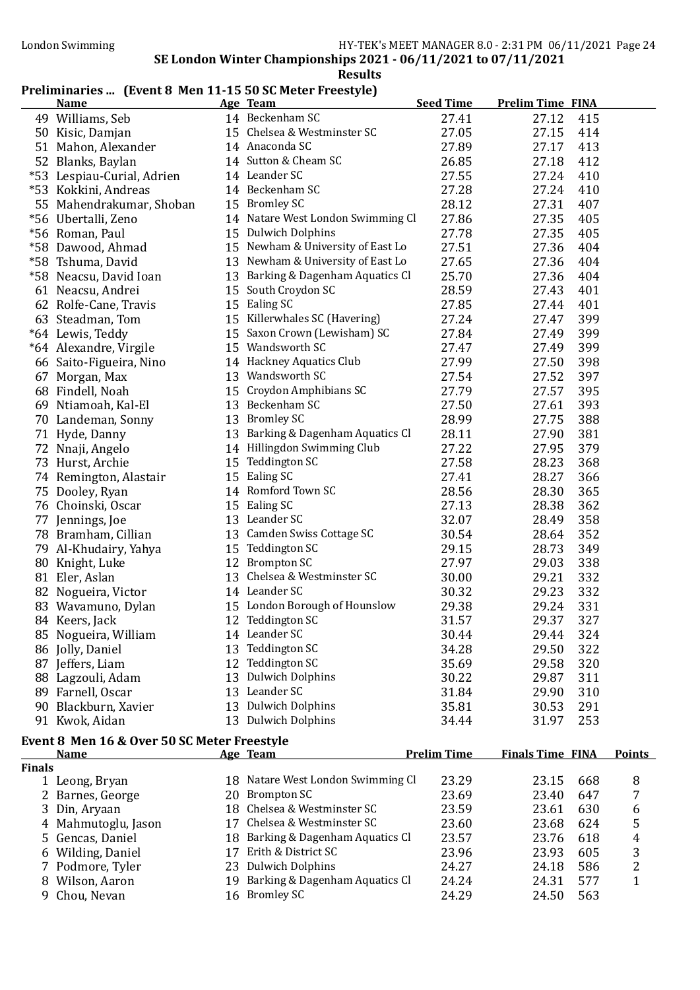### Preliminaries ... (Event 8 Men 11-15 50 SC Meter Freestyle)

|               | <b>Name</b>                                 | Age Team                          | <b>Seed Time</b>   | <b>Prelim Time FINA</b> |                |
|---------------|---------------------------------------------|-----------------------------------|--------------------|-------------------------|----------------|
|               | 49 Williams, Seb                            | 14 Beckenham SC                   | 27.41              | 415<br>27.12            |                |
|               | 50 Kisic, Damjan                            | 15 Chelsea & Westminster SC       | 27.05              | 27.15<br>414            |                |
|               | 51 Mahon, Alexander                         | 14 Anaconda SC                    | 27.89              | 27.17<br>413            |                |
|               | 52 Blanks, Baylan                           | 14 Sutton & Cheam SC              | 26.85              | 412<br>27.18            |                |
|               | *53 Lespiau-Curial, Adrien                  | 14 Leander SC                     | 27.55              | 410<br>27.24            |                |
|               | *53 Kokkini, Andreas                        | 14 Beckenham SC                   | 27.28              | 27.24<br>410            |                |
|               | 55 Mahendrakumar, Shoban                    | 15 Bromley SC                     | 28.12              | 407<br>27.31            |                |
|               | *56 Ubertalli, Zeno                         | 14 Natare West London Swimming Cl | 27.86              | 27.35<br>405            |                |
|               | *56 Roman, Paul                             | 15 Dulwich Dolphins               | 27.78              | 405<br>27.35            |                |
|               | *58 Dawood, Ahmad                           | 15 Newham & University of East Lo | 27.51              | 404<br>27.36            |                |
|               | *58 Tshuma, David                           | 13 Newham & University of East Lo | 27.65              | 27.36<br>404            |                |
|               | *58 Neacsu, David Ioan                      | 13 Barking & Dagenham Aquatics Cl | 25.70              | 27.36<br>404            |                |
|               | 61 Neacsu, Andrei                           | 15 South Croydon SC               | 28.59              | 401<br>27.43            |                |
|               | 62 Rolfe-Cane, Travis                       | 15 Ealing SC                      | 27.85              | 27.44<br>401            |                |
|               | 63 Steadman, Tom                            | 15 Killerwhales SC (Havering)     | 27.24              | 399<br>27.47            |                |
|               | *64 Lewis, Teddy                            | 15 Saxon Crown (Lewisham) SC      | 27.84              | 399<br>27.49            |                |
|               | *64 Alexandre, Virgile                      | 15 Wandsworth SC                  | 27.47              | 399<br>27.49            |                |
|               | 66 Saito-Figueira, Nino                     | 14 Hackney Aquatics Club          | 27.99              | 398<br>27.50            |                |
|               | 67 Morgan, Max                              | 13 Wandsworth SC                  | 27.54              | 397<br>27.52            |                |
|               | 68 Findell, Noah                            | 15 Croydon Amphibians SC          | 27.79              | 395<br>27.57            |                |
|               | 69 Ntiamoah, Kal-El                         | 13 Beckenham SC                   | 27.50              | 27.61<br>393            |                |
|               | 70 Landeman, Sonny                          | 13 Bromley SC                     | 28.99              | 27.75<br>388            |                |
|               | 71 Hyde, Danny                              | 13 Barking & Dagenham Aquatics Cl | 28.11              | 381<br>27.90            |                |
|               | 72 Nnaji, Angelo                            | 14 Hillingdon Swimming Club       | 27.22              | 379<br>27.95            |                |
|               | 73 Hurst, Archie                            | 15 Teddington SC                  | 27.58              | 368<br>28.23            |                |
|               | 74 Remington, Alastair                      | 15 Ealing SC                      | 27.41              | 28.27<br>366            |                |
|               | 75 Dooley, Ryan                             | 14 Romford Town SC                | 28.56              | 28.30<br>365            |                |
|               | 76 Choinski, Oscar                          | 15 Ealing SC                      | 27.13              | 362<br>28.38            |                |
|               | 77 Jennings, Joe                            | 13 Leander SC                     | 32.07              | 358<br>28.49            |                |
|               | 78 Bramham, Cillian                         | 13 Camden Swiss Cottage SC        | 30.54              | 352<br>28.64            |                |
|               | 79 Al-Khudairy, Yahya                       | 15 Teddington SC                  | 29.15              | 349<br>28.73            |                |
|               | 80 Knight, Luke                             | 12 Brompton SC                    | 27.97              | 338<br>29.03            |                |
|               | 81 Eler, Aslan                              | 13 Chelsea & Westminster SC       | 30.00              | 332<br>29.21            |                |
|               | 82 Nogueira, Victor                         | 14 Leander SC                     | 30.32              | 332<br>29.23            |                |
|               | 83 Wavamuno, Dylan                          | 15 London Borough of Hounslow     | 29.38              | 331<br>29.24            |                |
|               | 84 Keers, Jack                              | 12 Teddington SC                  | 31.57              | 29.37<br>327            |                |
|               | 85 Nogueira, William                        | 14 Leander SC                     | 30.44              | 29.44<br>324            |                |
|               | 86 Jolly, Daniel                            | 13 Teddington SC                  | 34.28              | 29.50<br>322            |                |
|               | 87 Jeffers, Liam                            | 12 Teddington SC                  | 35.69              | 320<br>29.58            |                |
|               | 88 Lagzouli, Adam                           | 13 Dulwich Dolphins               | 30.22              | 29.87<br>311            |                |
|               | 89 Farnell, Oscar                           | 13 Leander SC                     | 31.84              | 29.90<br>310            |                |
|               | 90 Blackburn, Xavier                        | 13 Dulwich Dolphins               | 35.81              | 30.53<br>291            |                |
|               | 91 Kwok, Aidan                              | 13 Dulwich Dolphins               | 34.44              | 253<br>31.97            |                |
|               |                                             |                                   |                    |                         |                |
|               | Event 8 Men 16 & Over 50 SC Meter Freestyle |                                   | <b>Prelim Time</b> | <b>Finals Time FINA</b> | <b>Points</b>  |
| <b>Finals</b> | <u>Name</u>                                 | Age Team                          |                    |                         |                |
|               | 1 Leong, Bryan                              | 18 Natare West London Swimming Cl | 23.29              | 23.15<br>668            | 8              |
|               | 2 Barnes, George                            | 20 Brompton SC                    | 23.69              | 23.40<br>647            | 7              |
|               | 3 Din, Aryaan                               | 18 Chelsea & Westminster SC       | 23.59              | 23.61<br>630            | 6              |
|               | 4 Mahmutoglu, Jason                         | 17 Chelsea & Westminster SC       | 23.60              | 23.68<br>624            | 5              |
|               | 5 Gencas, Daniel                            | 18 Barking & Dagenham Aquatics Cl | 23.57              | 23.76<br>618            | 4              |
|               | 6 Wilding, Daniel                           | 17 Erith & District SC            | 23.96              | 23.93<br>605            | 3              |
|               | 7 Podmore, Tyler                            | 23 Dulwich Dolphins               | 24.27              | 24.18<br>586            | $\overline{2}$ |
|               | 8 Wilson, Aaron                             | 19 Barking & Dagenham Aquatics Cl | 24.24              | 24.31<br>577            | $\mathbf{1}$   |
| 9.            | Chou, Nevan                                 | 16 Bromley SC                     | 24.29              | 24.50<br>563            |                |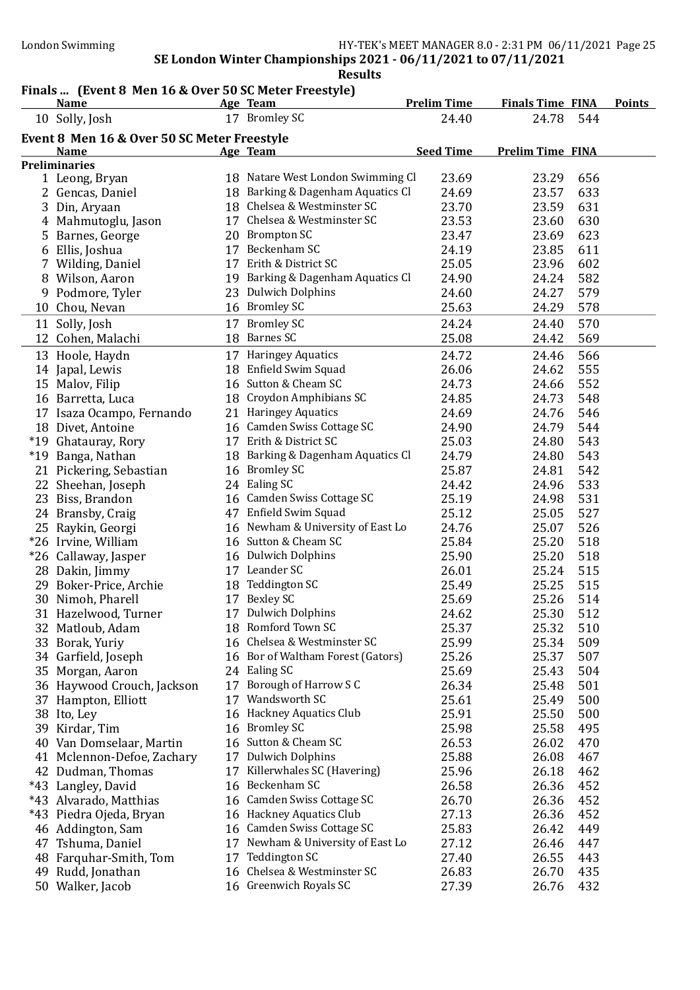#### Finals ... (Event 8 Men 16 & Over 50 SC Meter Freestyle)

|    | <b>Name</b>                                 |    | Age Team                          | <b>Prelim Time</b> | <b>Finals Time FINA</b> |     | <b>Points</b> |
|----|---------------------------------------------|----|-----------------------------------|--------------------|-------------------------|-----|---------------|
|    | 10 Solly, Josh                              |    | 17 Bromley SC                     | 24.40              | 24.78                   | 544 |               |
|    | Event 8 Men 16 & Over 50 SC Meter Freestyle |    |                                   |                    |                         |     |               |
|    | <b>Name</b>                                 |    | Age Team                          | <b>Seed Time</b>   | <b>Prelim Time FINA</b> |     |               |
|    | <b>Preliminaries</b>                        |    |                                   |                    |                         |     |               |
|    | 1 Leong, Bryan                              |    | 18 Natare West London Swimming Cl | 23.69              | 23.29                   | 656 |               |
|    | 2 Gencas, Daniel                            |    | 18 Barking & Dagenham Aquatics Cl | 24.69              | 23.57                   | 633 |               |
|    | 3 Din, Aryaan                               |    | 18 Chelsea & Westminster SC       | 23.70              | 23.59                   | 631 |               |
|    | 4 Mahmutoglu, Jason                         |    | 17 Chelsea & Westminster SC       | 23.53              | 23.60                   | 630 |               |
|    | 5 Barnes, George                            |    | 20 Brompton SC                    | 23.47              | 23.69                   | 623 |               |
|    | 6 Ellis, Joshua                             |    | 17 Beckenham SC                   | 24.19              | 23.85                   | 611 |               |
|    | 7 Wilding, Daniel                           |    | 17 Erith & District SC            | 25.05              | 23.96                   | 602 |               |
|    | 8 Wilson, Aaron                             |    | 19 Barking & Dagenham Aquatics Cl | 24.90              | 24.24                   | 582 |               |
|    | 9 Podmore, Tyler                            |    | 23 Dulwich Dolphins               | 24.60              | 24.27                   | 579 |               |
|    | 10 Chou, Nevan                              |    | 16 Bromley SC                     | 25.63              | 24.29                   | 578 |               |
|    |                                             |    |                                   |                    |                         |     |               |
|    | 11 Solly, Josh                              |    | 17 Bromley SC<br>18 Barnes SC     | 24.24              | 24.40                   | 570 |               |
|    | 12 Cohen, Malachi                           |    |                                   | 25.08              | 24.42                   | 569 |               |
|    | 13 Hoole, Haydn                             |    | 17 Haringey Aquatics              | 24.72              | 24.46                   | 566 |               |
|    | 14 Japal, Lewis                             |    | 18 Enfield Swim Squad             | 26.06              | 24.62                   | 555 |               |
|    | 15 Malov, Filip                             |    | 16 Sutton & Cheam SC              | 24.73              | 24.66                   | 552 |               |
|    | 16 Barretta, Luca                           |    | 18 Croydon Amphibians SC          | 24.85              | 24.73                   | 548 |               |
|    | 17 Isaza Ocampo, Fernando                   |    | 21 Haringey Aquatics              | 24.69              | 24.76                   | 546 |               |
|    | 18 Divet, Antoine                           |    | 16 Camden Swiss Cottage SC        | 24.90              | 24.79                   | 544 |               |
|    | *19 Ghatauray, Rory                         |    | 17 Erith & District SC            | 25.03              | 24.80                   | 543 |               |
|    | *19 Banga, Nathan                           |    | 18 Barking & Dagenham Aquatics Cl | 24.79              | 24.80                   | 543 |               |
|    | 21 Pickering, Sebastian                     |    | 16 Bromley SC                     | 25.87              | 24.81                   | 542 |               |
|    | 22 Sheehan, Joseph                          |    | 24 Ealing SC                      | 24.42              | 24.96                   | 533 |               |
|    | 23 Biss, Brandon                            |    | 16 Camden Swiss Cottage SC        | 25.19              | 24.98                   | 531 |               |
|    | 24 Bransby, Craig                           |    | 47 Enfield Swim Squad             | 25.12              | 25.05                   | 527 |               |
|    | 25 Raykin, Georgi                           |    | 16 Newham & University of East Lo | 24.76              | 25.07                   | 526 |               |
|    | *26 Irvine, William                         |    | 16 Sutton & Cheam SC              | 25.84              | 25.20                   | 518 |               |
|    | *26 Callaway, Jasper                        |    | 16 Dulwich Dolphins               | 25.90              | 25.20                   | 518 |               |
|    | 28 Dakin, Jimmy                             |    | 17 Leander SC                     | 26.01              | 25.24                   | 515 |               |
|    | 29 Boker-Price, Archie                      |    | 18 Teddington SC                  | 25.49              | 25.25                   | 515 |               |
|    | 30 Nimoh, Pharell                           |    | 17 Bexley SC                      | 25.69              | 25.26                   | 514 |               |
|    | 31 Hazelwood, Turner                        |    | 17 Dulwich Dolphins               | 24.62              | 25.30                   | 512 |               |
|    | 32 Matloub, Adam                            |    | 18 Romford Town SC                | 25.37              | 25.32                   | 510 |               |
|    | 33 Borak, Yuriy                             |    | 16 Chelsea & Westminster SC       | 25.99              | 25.34                   | 509 |               |
|    | 34 Garfield, Joseph                         |    | 16 Bor of Waltham Forest (Gators) | 25.26              | 25.37                   | 507 |               |
|    | 35 Morgan, Aaron                            |    | 24 Ealing SC                      | 25.69              | 25.43                   | 504 |               |
|    | 36 Haywood Crouch, Jackson                  | 17 | Borough of Harrow S C             | 26.34              | 25.48                   | 501 |               |
|    | 37 Hampton, Elliott                         |    | 17 Wandsworth SC                  | 25.61              | 25.49                   | 500 |               |
|    | 38 Ito, Ley                                 |    | 16 Hackney Aquatics Club          | 25.91              | 25.50                   | 500 |               |
|    | 39 Kirdar, Tim                              |    | 16 Bromley SC                     | 25.98              | 25.58                   | 495 |               |
|    | 40 Van Domselaar, Martin                    |    | 16 Sutton & Cheam SC              | 26.53              | 26.02                   | 470 |               |
|    | 41 Mclennon-Defoe, Zachary                  | 17 | <b>Dulwich Dolphins</b>           | 25.88              | 26.08                   | 467 |               |
|    | 42 Dudman, Thomas                           | 17 | Killerwhales SC (Havering)        | 25.96              | 26.18                   | 462 |               |
|    | *43 Langley, David                          |    | 16 Beckenham SC                   | 26.58              | 26.36                   | 452 |               |
|    | *43 Alvarado, Matthias                      |    | 16 Camden Swiss Cottage SC        | 26.70              | 26.36                   | 452 |               |
|    | *43 Piedra Ojeda, Bryan                     |    | 16 Hackney Aquatics Club          | 27.13              | 26.36                   | 452 |               |
|    | 46 Addington, Sam                           | 16 | Camden Swiss Cottage SC           | 25.83              | 26.42                   | 449 |               |
|    | 47 Tshuma, Daniel                           | 17 | Newham & University of East Lo    | 27.12              | 26.46                   | 447 |               |
|    | 48 Farquhar-Smith, Tom                      | 17 | <b>Teddington SC</b>              | 27.40              | 26.55                   | 443 |               |
| 49 | Rudd, Jonathan                              | 16 | Chelsea & Westminster SC          | 26.83              | 26.70                   | 435 |               |
|    | 50 Walker, Jacob                            |    | 16 Greenwich Royals SC            | 27.39              | 26.76                   | 432 |               |
|    |                                             |    |                                   |                    |                         |     |               |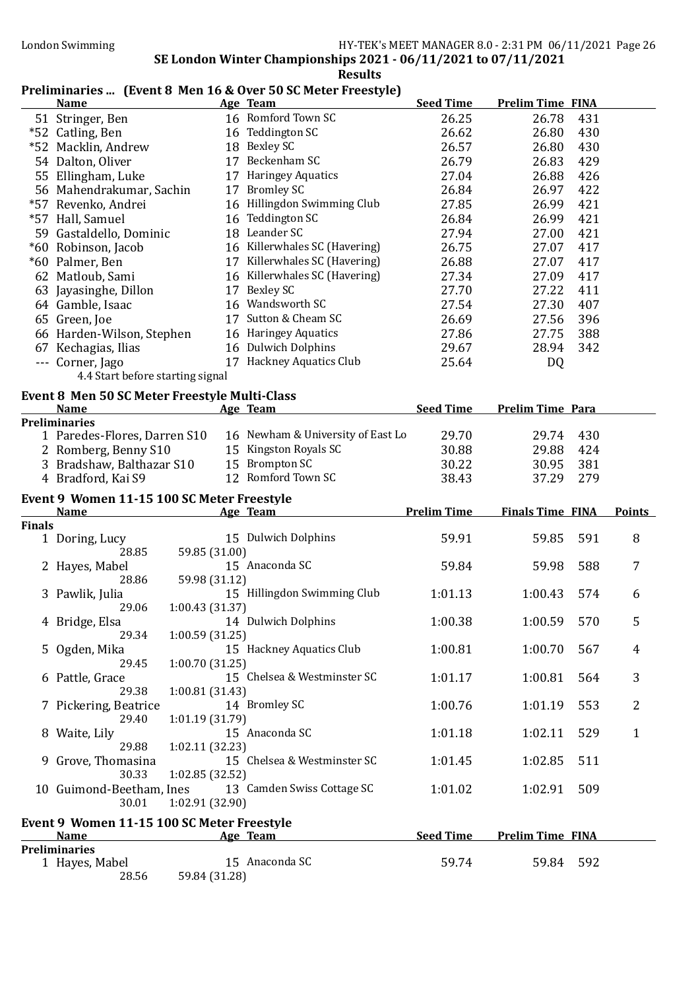# London Swimming HY-TEK's MEET MANAGER 8.0 - 2:31 PM 06/11/2021 Page 26

#### SE London Winter Championships 2021 - 06/11/2021 to 07/11/2021 **Results**

# Preliminaries ... (Event 8 Men 16 & Over 50 SC Meter Freestyle)

|               | <b>Name</b>                                               | Age Team                          | <b>Seed Time</b>   | <b>Prelim Time FINA</b> |     |               |
|---------------|-----------------------------------------------------------|-----------------------------------|--------------------|-------------------------|-----|---------------|
|               | 51 Stringer, Ben                                          | 16 Romford Town SC                | 26.25              | 26.78                   | 431 |               |
|               | *52 Catling, Ben                                          | 16 Teddington SC                  | 26.62              | 26.80                   | 430 |               |
|               | *52 Macklin, Andrew                                       | 18 Bexley SC                      | 26.57              | 26.80                   | 430 |               |
|               | 54 Dalton, Oliver                                         | 17 Beckenham SC                   | 26.79              | 26.83                   | 429 |               |
|               | 55 Ellingham, Luke                                        | 17 Haringey Aquatics              | 27.04              | 26.88                   | 426 |               |
|               | 56 Mahendrakumar, Sachin                                  | 17 Bromley SC                     | 26.84              | 26.97                   | 422 |               |
|               | *57 Revenko, Andrei                                       | 16 Hillingdon Swimming Club       | 27.85              | 26.99                   | 421 |               |
|               | *57 Hall, Samuel                                          | 16 Teddington SC                  | 26.84              | 26.99                   | 421 |               |
|               | 59 Gastaldello, Dominic                                   | 18 Leander SC                     | 27.94              | 27.00                   | 421 |               |
|               | *60 Robinson, Jacob                                       | 16 Killerwhales SC (Havering)     | 26.75              | 27.07                   | 417 |               |
|               | *60 Palmer, Ben                                           | 17 Killerwhales SC (Havering)     | 26.88              | 27.07                   | 417 |               |
|               |                                                           | 16 Killerwhales SC (Havering)     |                    |                         |     |               |
|               | 62 Matloub, Sami                                          |                                   | 27.34              | 27.09                   | 417 |               |
|               | 63 Jayasinghe, Dillon                                     | 17 Bexley SC                      | 27.70              | 27.22                   | 411 |               |
|               | 64 Gamble, Isaac                                          | 16 Wandsworth SC                  | 27.54              | 27.30                   | 407 |               |
|               | 65 Green, Joe                                             | 17 Sutton & Cheam SC              | 26.69              | 27.56                   | 396 |               |
|               | 66 Harden-Wilson, Stephen                                 | 16 Haringey Aquatics              | 27.86              | 27.75                   | 388 |               |
|               | 67 Kechagias, Ilias                                       | 16 Dulwich Dolphins               | 29.67              | 28.94                   | 342 |               |
|               | --- Corner, Jago                                          | 17 Hackney Aquatics Club          | 25.64              | DQ                      |     |               |
|               | 4.4 Start before starting signal                          |                                   |                    |                         |     |               |
|               | Event 8 Men 50 SC Meter Freestyle Multi-Class             |                                   |                    |                         |     |               |
|               | <b>Name</b>                                               | Age Team                          | <b>Seed Time</b>   | <b>Prelim Time Para</b> |     |               |
|               | <b>Preliminaries</b>                                      |                                   |                    |                         |     |               |
|               | 1 Paredes-Flores, Darren S10                              | 16 Newham & University of East Lo | 29.70              | 29.74                   | 430 |               |
|               | 2 Romberg, Benny S10                                      | 15 Kingston Royals SC             | 30.88              | 29.88                   | 424 |               |
|               | 3 Bradshaw, Balthazar S10                                 | 15 Brompton SC                    | 30.22              | 30.95                   | 381 |               |
|               | 4 Bradford, Kai S9                                        | 12 Romford Town SC                | 38.43              | 37.29                   | 279 |               |
|               |                                                           |                                   |                    |                         |     |               |
|               |                                                           |                                   |                    |                         |     |               |
|               | Event 9 Women 11-15 100 SC Meter Freestyle<br><b>Name</b> | Age Team                          | <b>Prelim Time</b> | <b>Finals Time FINA</b> |     | <b>Points</b> |
| <b>Finals</b> |                                                           |                                   |                    |                         |     |               |
|               | 1 Doring, Lucy                                            | 15 Dulwich Dolphins               | 59.91              | 59.85                   | 591 | 8             |
|               | 28.85<br>59.85 (31.00)                                    |                                   |                    |                         |     |               |
|               | 2 Hayes, Mabel                                            | 15 Anaconda SC                    | 59.84              | 59.98                   | 588 | 7             |
|               | 59.98 (31.12)<br>28.86                                    |                                   |                    |                         |     |               |
|               | 3 Pawlik, Julia                                           | 15 Hillingdon Swimming Club       | 1:01.13            | 1:00.43                 | 574 | 6             |
|               | 29.06<br>1:00.43(31.37)                                   |                                   |                    |                         |     |               |
|               | 4 Bridge, Elsa                                            | 14 Dulwich Dolphins               | 1:00.38            | 1:00.59                 | 570 | 5             |
|               | 29.34<br>1:00.59(31.25)                                   |                                   |                    |                         |     |               |
|               | 5 Ogden, Mika                                             | 15 Hackney Aquatics Club          | 1:00.81            | 1:00.70                 | 567 | 4             |
|               | 29.45<br>1:00.70(31.25)                                   |                                   |                    |                         |     |               |
|               | 6 Pattle, Grace                                           | 15 Chelsea & Westminster SC       | 1:01.17            | 1:00.81                 | 564 | 3             |
|               | 29.38<br>1:00.81 (31.43)                                  |                                   |                    |                         |     |               |
|               | 7 Pickering, Beatrice                                     | 14 Bromley SC                     | 1:00.76            | 1:01.19                 | 553 | 2             |
|               | 29.40<br>1:01.19 (31.79)                                  |                                   |                    |                         |     |               |
|               | 8 Waite, Lily                                             | 15 Anaconda SC                    | 1:01.18            | 1:02.11                 | 529 | $\mathbf{1}$  |
|               | 1:02.11 (32.23)<br>29.88                                  |                                   |                    |                         |     |               |
|               | 9 Grove, Thomasina                                        | 15 Chelsea & Westminster SC       | 1:01.45            | 1:02.85                 | 511 |               |
|               | 30.33<br>1:02.85 (32.52)                                  |                                   |                    |                         |     |               |
|               | 10 Guimond-Beetham, Ines                                  | 13 Camden Swiss Cottage SC        | 1:01.02            | 1:02.91                 | 509 |               |
|               | 1:02.91 (32.90)<br>30.01                                  |                                   |                    |                         |     |               |
|               | Event 9 Women 11-15 100 SC Meter Freestyle                |                                   |                    |                         |     |               |
|               | <u>Name</u>                                               | <b>Age Team</b>                   | <b>Seed Time</b>   | <b>Prelim Time FINA</b> |     |               |
|               | <b>Preliminaries</b>                                      |                                   |                    |                         |     |               |
|               | 1 Hayes, Mabel<br>28.56<br>59.84 (31.28)                  | 15 Anaconda SC                    | 59.74              | 59.84 592               |     |               |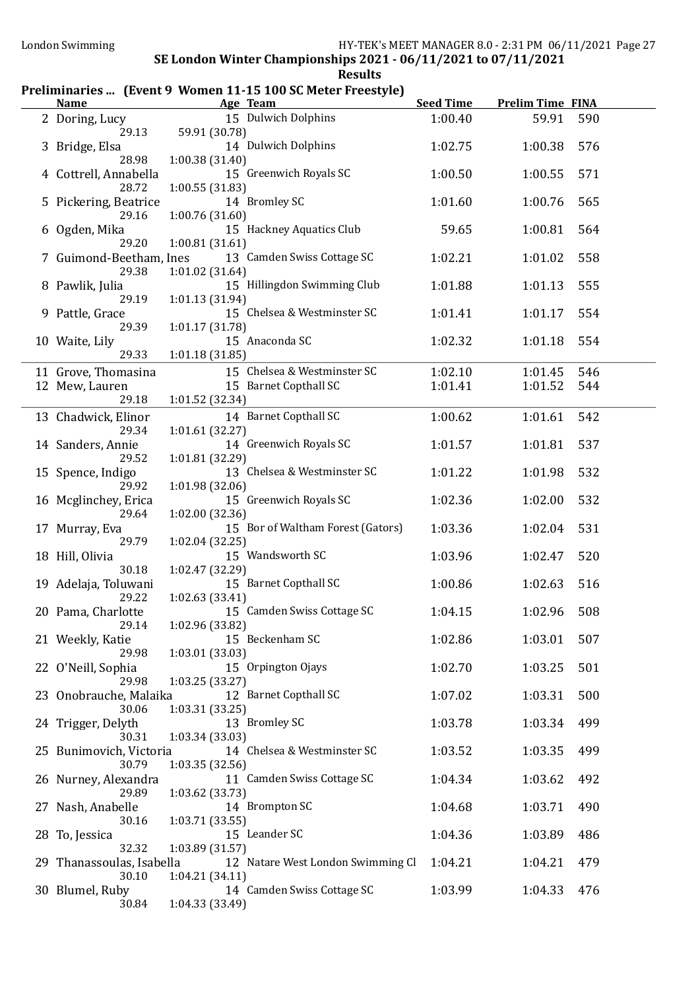### Preliminaries ... (Event 9 Women 11-15 100 SC Meter Freestyle)

| <b>Name</b>                      | Age Team                                     | <b>Seed Time</b> | <b>Prelim Time FINA</b> |     |
|----------------------------------|----------------------------------------------|------------------|-------------------------|-----|
| 2 Doring, Lucy                   | 15 Dulwich Dolphins                          | 1:00.40          | 59.91                   | 590 |
| 29.13                            | 59.91 (30.78)                                |                  |                         |     |
| 3 Bridge, Elsa                   | 14 Dulwich Dolphins                          | 1:02.75          | 1:00.38                 | 576 |
| 28.98                            | 1:00.38(31.40)                               |                  |                         |     |
| 4 Cottrell, Annabella            | 15 Greenwich Royals SC                       | 1:00.50          | 1:00.55                 | 571 |
| 28.72                            | 1:00.55(31.83)                               |                  |                         |     |
| 5 Pickering, Beatrice            | 14 Bromley SC                                | 1:01.60          | 1:00.76                 | 565 |
| 29.16                            | 1:00.76 (31.60)                              |                  |                         |     |
| 6 Ogden, Mika                    | 15 Hackney Aquatics Club                     | 59.65            | 1:00.81                 | 564 |
| 29.20                            | 1:00.81(31.61)<br>13 Camden Swiss Cottage SC | 1:02.21          |                         | 558 |
| 7 Guimond-Beetham, Ines<br>29.38 | 1:01.02 (31.64)                              |                  | 1:01.02                 |     |
| 8 Pawlik, Julia                  | 15 Hillingdon Swimming Club                  | 1:01.88          | 1:01.13                 | 555 |
| 29.19                            | 1:01.13 (31.94)                              |                  |                         |     |
| 9 Pattle, Grace                  | 15 Chelsea & Westminster SC                  | 1:01.41          | 1:01.17                 | 554 |
| 29.39                            | 1:01.17 (31.78)                              |                  |                         |     |
| 10 Waite, Lily                   | 15 Anaconda SC                               | 1:02.32          | 1:01.18                 | 554 |
| 29.33                            | 1:01.18 (31.85)                              |                  |                         |     |
| 11 Grove, Thomasina              | 15 Chelsea & Westminster SC                  | 1:02.10          | 1:01.45                 | 546 |
| 12 Mew, Lauren                   | 15 Barnet Copthall SC                        | 1:01.41          | 1:01.52                 | 544 |
| 29.18                            | 1:01.52 (32.34)                              |                  |                         |     |
| 13 Chadwick, Elinor              | 14 Barnet Copthall SC                        | 1:00.62          | 1:01.61                 | 542 |
| 29.34                            | 1:01.61 (32.27)                              |                  |                         |     |
| 14 Sanders, Annie                | 14 Greenwich Royals SC                       | 1:01.57          | 1:01.81                 | 537 |
| 29.52                            | 1:01.81 (32.29)                              |                  |                         |     |
| 15 Spence, Indigo                | 13 Chelsea & Westminster SC                  | 1:01.22          | 1:01.98                 | 532 |
| 29.92                            | 1:01.98 (32.06)                              |                  |                         |     |
| 16 Mcglinchey, Erica             | 15 Greenwich Royals SC                       | 1:02.36          | 1:02.00                 | 532 |
| 29.64                            | 1:02.00 (32.36)                              |                  |                         |     |
| 17 Murray, Eva                   | 15 Bor of Waltham Forest (Gators)            | 1:03.36          | 1:02.04                 | 531 |
| 29.79                            | 1:02.04 (32.25)                              |                  |                         |     |
| 18 Hill, Olivia                  | 15 Wandsworth SC                             | 1:03.96          | 1:02.47                 | 520 |
| 30.18<br>19 Adelaja, Toluwani    | 1:02.47 (32.29)<br>15 Barnet Copthall SC     | 1:00.86          | 1:02.63                 | 516 |
| 29.22                            | 1:02.63 (33.41)                              |                  |                         |     |
| 20 Pama, Charlotte               | 15 Camden Swiss Cottage SC                   | 1:04.15          | 1:02.96                 | 508 |
| 29.14                            | 1:02.96 (33.82)                              |                  |                         |     |
| 21 Weekly, Katie                 | 15 Beckenham SC                              | 1:02.86          | 1:03.01                 | 507 |
| 29.98                            | 1:03.01 (33.03)                              |                  |                         |     |
| 22 O'Neill, Sophia               | 15 Orpington Ojays                           | 1:02.70          | 1:03.25                 | 501 |
| 29.98                            | 1:03.25 (33.27)                              |                  |                         |     |
| 23 Onobrauche, Malaika           | 12 Barnet Copthall SC                        | 1:07.02          | 1:03.31                 | 500 |
| 30.06                            | 1:03.31(33.25)                               |                  |                         |     |
| 24 Trigger, Delyth               | 13 Bromley SC                                | 1:03.78          | 1:03.34                 | 499 |
| 30.31                            | 1:03.34(33.03)                               |                  |                         |     |
| 25 Bunimovich, Victoria          | 14 Chelsea & Westminster SC                  | 1:03.52          | 1:03.35                 | 499 |
| 30.79                            | 1:03.35(32.56)                               |                  |                         |     |
| 26 Nurney, Alexandra             | 11 Camden Swiss Cottage SC                   | 1:04.34          | 1:03.62                 | 492 |
| 29.89                            | 1:03.62 (33.73)                              |                  |                         |     |
| 27 Nash, Anabelle<br>30.16       | 14 Brompton SC<br>1:03.71(33.55)             | 1:04.68          | 1:03.71                 | 490 |
| 28 To, Jessica                   | 15 Leander SC                                | 1:04.36          | 1:03.89                 | 486 |
| 32.32                            | 1:03.89 (31.57)                              |                  |                         |     |
| 29 Thanassoulas, Isabella        | 12 Natare West London Swimming Cl            | 1:04.21          | 1:04.21                 | 479 |
| 30.10                            | 1:04.21 (34.11)                              |                  |                         |     |
| 30 Blumel, Ruby                  | 14 Camden Swiss Cottage SC                   | 1:03.99          | 1:04.33                 | 476 |
| 30.84                            | 1:04.33 (33.49)                              |                  |                         |     |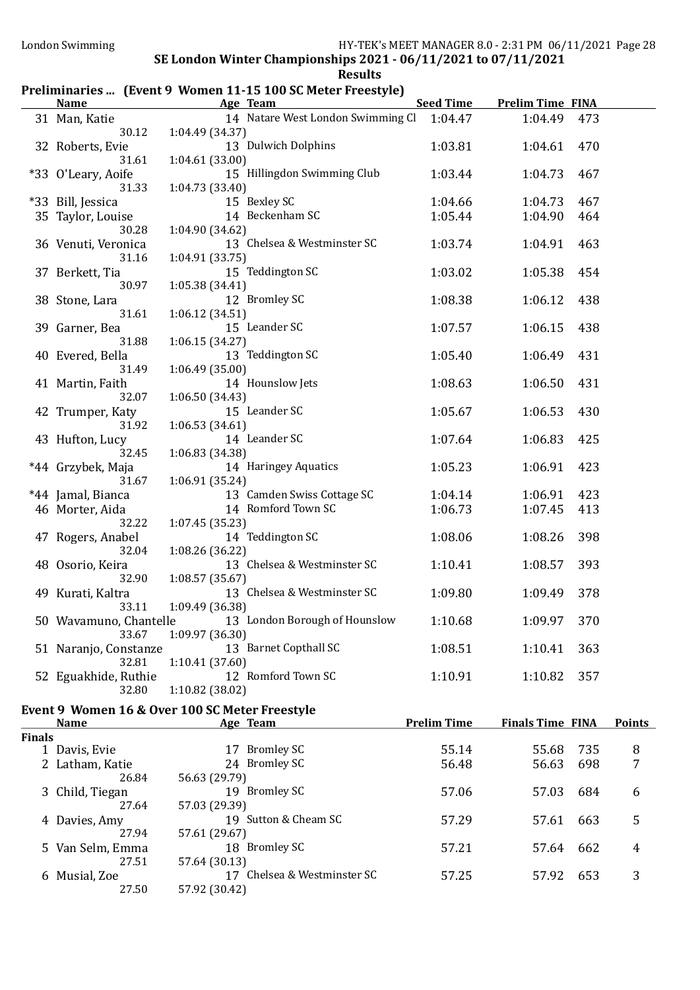## Preliminaries ... (Event 9 Women 11-15 100 SC Meter Freestyle)

27.64 57.03 (29.39)

27.50 57.92 (30.42)

27.51 57.64 (30.13)

57.61 (29.67)<br>18 Bromley SC

|               | <b>Name</b>           | <u>Age Team and Age Team</u>                         | Seed Time Prelim Time FINA |                         |     |               |
|---------------|-----------------------|------------------------------------------------------|----------------------------|-------------------------|-----|---------------|
|               | 31 Man, Katie         | 14 Natare West London Swimming Cl 1:04.47            |                            | 1:04.49                 | 473 |               |
|               | 30.12                 | 1:04.49 (34.37)                                      |                            |                         |     |               |
|               | 32 Roberts, Evie      | 13 Dulwich Dolphins                                  | 1:03.81                    | 1:04.61                 | 470 |               |
|               | 31.61                 | 1:04.61 (33.00)                                      |                            |                         |     |               |
|               | *33 O'Leary, Aoife    | 15 Hillingdon Swimming Club                          | 1:03.44                    | 1:04.73                 | 467 |               |
|               | 31.33                 | 1:04.73 (33.40)                                      |                            |                         |     |               |
|               | *33 Bill, Jessica     | 15 Bexley SC                                         | 1:04.66                    | 1:04.73                 | 467 |               |
|               | 35 Taylor, Louise     | 14 Beckenham SC                                      | 1:05.44                    | 1:04.90                 | 464 |               |
|               | 30.28                 | 1:04.90 (34.62)                                      |                            |                         |     |               |
|               | 36 Venuti, Veronica   | 13 Chelsea & Westminster SC                          | 1:03.74                    | 1:04.91                 | 463 |               |
|               | 31.16                 | 1:04.91 (33.75)                                      |                            |                         |     |               |
|               | 37 Berkett, Tia       | 15 Teddington SC                                     | 1:03.02                    | 1:05.38                 | 454 |               |
|               | 30.97                 | 1:05.38 (34.41)                                      |                            |                         |     |               |
|               | 38 Stone, Lara        | 12 Bromley SC                                        | 1:08.38                    | 1:06.12                 | 438 |               |
|               | 31.61                 | 1:06.12 (34.51)                                      |                            |                         |     |               |
|               | 39 Garner, Bea        | 15 Leander SC                                        | 1:07.57                    | 1:06.15                 | 438 |               |
|               | 31.88                 | 1:06.15 (34.27)                                      |                            |                         |     |               |
|               | 40 Evered, Bella      | 13 Teddington SC                                     | 1:05.40                    | 1:06.49                 | 431 |               |
|               | 31.49                 | 1:06.49(35.00)                                       |                            |                         |     |               |
|               | 41 Martin, Faith      | 14 Hounslow Jets                                     | 1:08.63                    | 1:06.50                 | 431 |               |
|               | 32.07                 | 1:06.50(34.43)                                       |                            |                         |     |               |
|               | 42 Trumper, Katy      | 15 Leander SC                                        | 1:05.67                    | 1:06.53                 | 430 |               |
|               | 31.92                 | 1:06.53(34.61)                                       |                            |                         |     |               |
|               | 43 Hufton, Lucy       | 14 Leander SC                                        | 1:07.64                    | 1:06.83                 | 425 |               |
|               | 32.45                 | 1:06.83 (34.38)                                      |                            |                         |     |               |
|               | *44 Grzybek, Maja     | 14 Haringey Aquatics                                 | 1:05.23                    | 1:06.91                 | 423 |               |
|               | 31.67                 | 1:06.91 (35.24)                                      |                            |                         |     |               |
|               | *44 Jamal, Bianca     | 13 Camden Swiss Cottage SC                           | 1:04.14                    | 1:06.91                 | 423 |               |
|               | 46 Morter, Aida       | 14 Romford Town SC                                   | 1:06.73                    | 1:07.45                 | 413 |               |
|               | 32.22                 | 1:07.45(35.23)                                       |                            |                         |     |               |
|               | 47 Rogers, Anabel     | 14 Teddington SC                                     | 1:08.06                    | 1:08.26                 | 398 |               |
|               | 32.04                 | 1:08.26 (36.22)                                      |                            |                         |     |               |
|               | 48 Osorio, Keira      | 13 Chelsea & Westminster SC                          | 1:10.41                    | 1:08.57                 | 393 |               |
|               | 32.90                 | 1:08.57(35.67)                                       |                            |                         |     |               |
|               | 49 Kurati, Kaltra     | 13 Chelsea & Westminster SC                          | 1:09.80                    | 1:09.49                 | 378 |               |
|               | 33.11                 | 1:09.49 (36.38)                                      |                            |                         |     |               |
|               |                       | 50 Wavamuno, Chantelle 13 London Borough of Hounslow | 1:10.68                    | 1:09.97                 | 370 |               |
|               | 33.67                 | 1:09.97 (36.30)                                      |                            |                         |     |               |
|               | 51 Naranjo, Constanze | 13 Barnet Copthall SC                                | 1:08.51                    | 1:10.41                 | 363 |               |
|               | 32.81                 | 1:10.41 (37.60)                                      |                            |                         |     |               |
|               | 52 Eguakhide, Ruthie  | 12 Romford Town SC                                   | 1:10.91                    | 1:10.82                 | 357 |               |
|               | 32.80                 | 1:10.82 (38.02)                                      |                            |                         |     |               |
|               |                       | Event 9 Women 16 & Over 100 SC Meter Freestyle       |                            |                         |     |               |
|               | <b>Name</b>           | Age Team                                             | <b>Prelim Time</b>         | <b>Finals Time FINA</b> |     | <b>Points</b> |
| <b>Finals</b> |                       |                                                      |                            |                         |     |               |
|               | 1 Davis, Evie         | 17 Bromley SC                                        | 55.14                      | 55.68                   | 735 | 8             |
|               | 2 Latham, Katie       | 24 Bromley SC                                        | 56.48                      | 56.63                   | 698 | 7             |
|               | 26.84                 | 56.63 (29.79)                                        |                            |                         |     |               |
|               | 3 Child, Tiegan       | 19 Bromley SC                                        | 57.06                      | 57.03                   | 684 | 6             |
|               | 27.64                 | 57.03 (29.39)                                        |                            |                         |     |               |

4 Davies, Amy 19 Sutton & Cheam SC 57.29 57.61 663 5<br>27.94 57.61 (29.67)

5 Van Selm, Emma 18 Bromley SC 57.21 57.64 662 4

6 Musial, Zoe 17 Chelsea & Westminster SC 57.25 57.92 653 3<br>27.50 57.92 (30.42)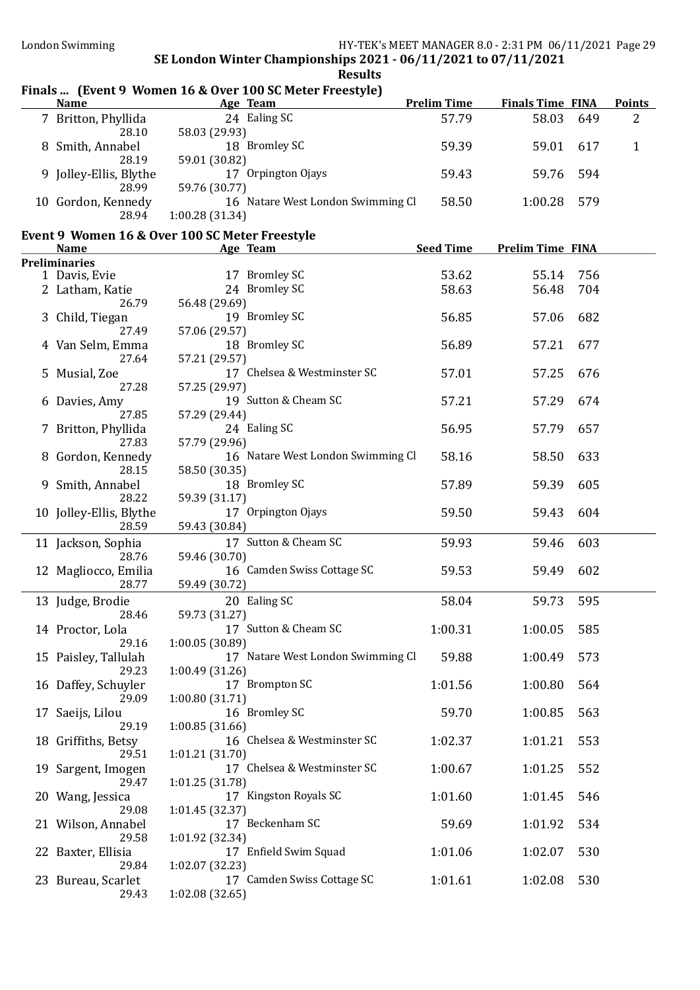### Finals ... (Event 9 Women 16 & Over 100 SC Meter Freestyle)

| <b>Name</b>            | Age Team                          | <b>Prelim Time</b> | <b>Finals Time FINA</b> |      | <b>Points</b> |
|------------------------|-----------------------------------|--------------------|-------------------------|------|---------------|
| 7 Britton, Phyllida    | 24 Ealing SC                      | 57.79              | 58.03                   | 649  | 2             |
| 28.10                  | 58.03 (29.93)                     |                    |                         |      |               |
| 8 Smith, Annabel       | 18 Bromley SC                     | 59.39              | 59.01                   | -617 |               |
| 28.19                  | 59.01 (30.82)                     |                    |                         |      |               |
| 9 Jolley-Ellis, Blythe | Orpington Ojays<br>17             | 59.43              | 59.76 594               |      |               |
| 28.99                  | 59.76 (30.77)                     |                    |                         |      |               |
| 10 Gordon, Kennedy     | 16 Natare West London Swimming Cl | 58.50              | 1:00.28                 | 579  |               |
| 28.94                  | 1:00.28(31.34)                    |                    |                         |      |               |

#### Event 9 Women 16 & Over 100 SC Meter Freestyle

| <b>Name</b>             | Age Team                          | <b>Seed Time</b> | <b>Prelim Time FINA</b> |     |
|-------------------------|-----------------------------------|------------------|-------------------------|-----|
| <b>Preliminaries</b>    |                                   |                  |                         |     |
| 1 Davis, Evie           | 17 Bromley SC                     | 53.62            | 55.14                   | 756 |
| 2 Latham, Katie         | 24 Bromley SC                     | 58.63            | 56.48                   | 704 |
| 26.79                   | 56.48 (29.69)                     |                  |                         |     |
| 3 Child, Tiegan         | 19 Bromley SC                     | 56.85            | 57.06                   | 682 |
| 27.49                   | 57.06 (29.57)                     |                  |                         |     |
| 4 Van Selm, Emma        | 18 Bromley SC                     | 56.89            | 57.21                   | 677 |
| 27.64                   | 57.21 (29.57)                     |                  |                         |     |
| 5 Musial, Zoe           | 17 Chelsea & Westminster SC       | 57.01            | 57.25                   | 676 |
| 27.28                   | 57.25 (29.97)                     |                  |                         |     |
|                         | 19 Sutton & Cheam SC              |                  |                         |     |
| 6 Davies, Amy           |                                   | 57.21            | 57.29                   | 674 |
| 27.85                   | 57.29 (29.44)                     |                  |                         |     |
| 7 Britton, Phyllida     | 24 Ealing SC                      | 56.95            | 57.79                   | 657 |
| 27.83                   | 57.79 (29.96)                     |                  |                         |     |
| 8 Gordon, Kennedy       | 16 Natare West London Swimming Cl | 58.16            | 58.50                   | 633 |
| 28.15                   | 58.50 (30.35)                     |                  |                         |     |
| 9 Smith, Annabel        | 18 Bromley SC                     | 57.89            | 59.39                   | 605 |
| 28.22                   | 59.39 (31.17)                     |                  |                         |     |
| 10 Jolley-Ellis, Blythe | 17 Orpington Ojays                | 59.50            | 59.43                   | 604 |
| 28.59                   | 59.43 (30.84)                     |                  |                         |     |
| 11 Jackson, Sophia      | 17 Sutton & Cheam SC              | 59.93            | 59.46                   | 603 |
| 28.76                   | 59.46 (30.70)                     |                  |                         |     |
| 12 Magliocco, Emilia    | 16 Camden Swiss Cottage SC        | 59.53            | 59.49                   | 602 |
| 28.77                   | 59.49 (30.72)                     |                  |                         |     |
| 13 Judge, Brodie        | 20 Ealing SC                      | 58.04            | 59.73                   | 595 |
| 28.46                   |                                   |                  |                         |     |
|                         | 59.73 (31.27)                     |                  |                         |     |
| 14 Proctor, Lola        | 17 Sutton & Cheam SC              | 1:00.31          | 1:00.05                 | 585 |
| 29.16                   | 1:00.05 (30.89)                   |                  |                         |     |
| 15 Paisley, Tallulah    | 17 Natare West London Swimming Cl | 59.88            | 1:00.49                 | 573 |
| 29.23                   | 1:00.49 (31.26)                   |                  |                         |     |
| 16 Daffey, Schuyler     | 17 Brompton SC                    | 1:01.56          | 1:00.80                 | 564 |
| 29.09                   | 1:00.80(31.71)                    |                  |                         |     |
| 17 Saeijs, Lilou        | 16 Bromley SC                     | 59.70            | 1:00.85                 | 563 |
| 29.19                   | 1:00.85(31.66)                    |                  |                         |     |
| 18 Griffiths, Betsy     | 16 Chelsea & Westminster SC       | 1:02.37          | 1:01.21                 | 553 |
| 29.51                   | 1:01.21 (31.70)                   |                  |                         |     |
| 19 Sargent, Imogen      | 17 Chelsea & Westminster SC       | 1:00.67          | 1:01.25                 | 552 |
| 29.47                   | 1:01.25 (31.78)                   |                  |                         |     |
| 20 Wang, Jessica        | 17 Kingston Royals SC             | 1:01.60          | 1:01.45                 | 546 |
| 29.08                   | 1:01.45 (32.37)                   |                  |                         |     |
| 21 Wilson, Annabel      | 17 Beckenham SC                   | 59.69            | 1:01.92                 | 534 |
| 29.58                   | 1:01.92 (32.34)                   |                  |                         |     |
| 22 Baxter, Ellisia      | 17 Enfield Swim Squad             | 1:01.06          | 1:02.07                 | 530 |
| 29.84                   | 1:02.07 (32.23)                   |                  |                         |     |
| 23 Bureau, Scarlet      | 17 Camden Swiss Cottage SC        | 1:01.61          | 1:02.08                 | 530 |
| 29.43                   | 1:02.08(32.65)                    |                  |                         |     |
|                         |                                   |                  |                         |     |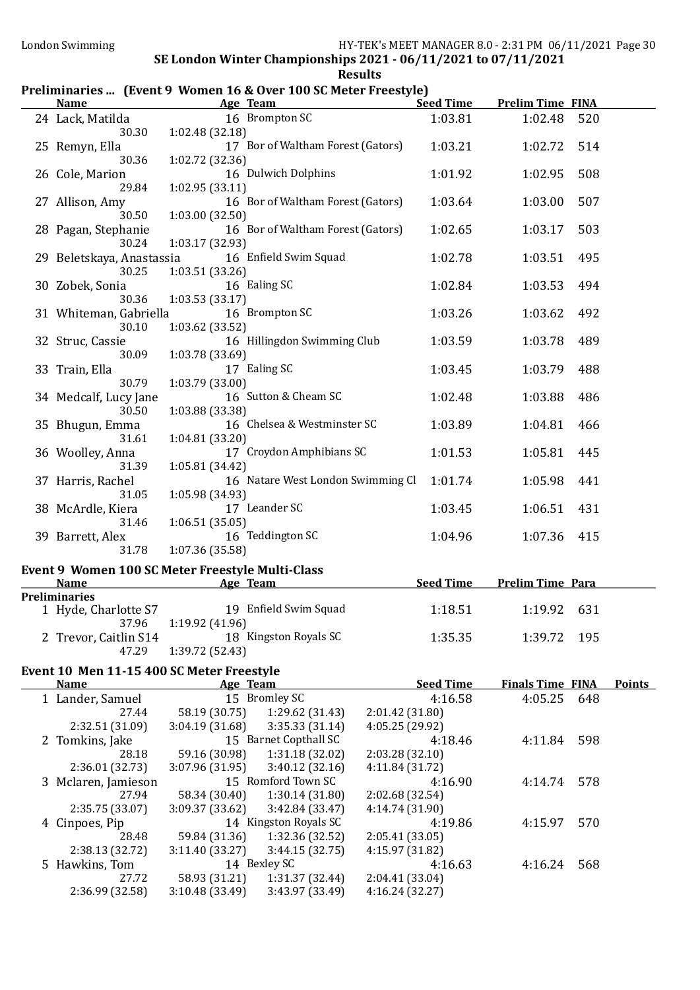## SE London Winter Championships 2021 - 06/11/2021 to 07/11/2021 **Results**

#### Preliminaries ... (Event 9 Women 16 & Over 100 SC Meter Freestyle)<br>Name Age Team Se Seed Time Prelim Time FINA

| 24 Lack, Matilda          | 16 Brompton SC                                                         | 1:03.81                            | 1:02.48                 | 520 |               |
|---------------------------|------------------------------------------------------------------------|------------------------------------|-------------------------|-----|---------------|
| 30.30                     | 1:02.48 (32.18)                                                        |                                    |                         |     |               |
| 25 Remyn, Ella            | 17 Bor of Waltham Forest (Gators)                                      | 1:03.21                            | 1:02.72                 | 514 |               |
| 30.36                     | 1:02.72 (32.36)                                                        |                                    |                         |     |               |
| 26 Cole, Marion<br>29.84  | 16 Dulwich Dolphins                                                    | 1:01.92                            | 1:02.95                 | 508 |               |
| 27 Allison, Amy           | 1:02.95 (33.11)<br>16 Bor of Waltham Forest (Gators)                   | 1:03.64                            | 1:03.00                 | 507 |               |
| 30.50                     | 1:03.00 (32.50)                                                        |                                    |                         |     |               |
| 28 Pagan, Stephanie       | 16 Bor of Waltham Forest (Gators)                                      | 1:02.65                            | 1:03.17                 | 503 |               |
| 30.24                     | 1:03.17 (32.93)                                                        |                                    |                         |     |               |
| 29 Beletskaya, Anastassia | 16 Enfield Swim Squad                                                  | 1:02.78                            | 1:03.51                 | 495 |               |
| 30.25                     | 1:03.51 (33.26)                                                        |                                    |                         |     |               |
| 30 Zobek, Sonia           | 16 Ealing SC                                                           | 1:02.84                            | 1:03.53                 | 494 |               |
| 30.36                     | 1:03.53(33.17)                                                         |                                    |                         |     |               |
| 31 Whiteman, Gabriella    | 16 Brompton SC                                                         | 1:03.26                            | 1:03.62                 | 492 |               |
| 30.10                     | 1:03.62 (33.52)                                                        |                                    |                         |     |               |
| 32 Struc, Cassie<br>30.09 | 16 Hillingdon Swimming Club<br>1:03.78 (33.69)                         | 1:03.59                            | 1:03.78                 | 489 |               |
| 33 Train, Ella            | 17 Ealing SC                                                           | 1:03.45                            | 1:03.79                 | 488 |               |
| 30.79                     | 1:03.79 (33.00)                                                        |                                    |                         |     |               |
| 34 Medcalf, Lucy Jane     | 16 Sutton & Cheam SC                                                   | 1:02.48                            | 1:03.88                 | 486 |               |
| 30.50                     | 1:03.88 (33.38)                                                        |                                    |                         |     |               |
| 35 Bhugun, Emma           | 16 Chelsea & Westminster SC                                            | 1:03.89                            | 1:04.81                 | 466 |               |
| 31.61                     | 1:04.81 (33.20)                                                        |                                    |                         |     |               |
| 36 Woolley, Anna          | 17 Croydon Amphibians SC                                               | 1:01.53                            | 1:05.81                 | 445 |               |
| 31.39                     | 1:05.81 (34.42)                                                        |                                    |                         |     |               |
| 37 Harris, Rachel         | 16 Natare West London Swimming Cl                                      | 1:01.74                            | 1:05.98                 | 441 |               |
| 31.05                     | 1:05.98 (34.93)                                                        |                                    |                         |     |               |
| 38 McArdle, Kiera         | 17 Leander SC                                                          | 1:03.45                            | 1:06.51                 | 431 |               |
| 31.46<br>39 Barrett, Alex | 1:06.51(35.05)<br>16 Teddington SC                                     | 1:04.96                            | 1:07.36                 | 415 |               |
| 31.78                     | 1:07.36 (35.58)                                                        |                                    |                         |     |               |
|                           |                                                                        |                                    |                         |     |               |
| <b>Name</b>               | Event 9 Women 100 SC Meter Freestyle Multi-Class<br><b>Age Team</b>    | <b>Seed Time</b>                   | <b>Prelim Time Para</b> |     |               |
| <b>Preliminaries</b>      |                                                                        |                                    |                         |     |               |
|                           | 1 Hyde, Charlotte S7 19 Enfield Swim Squad                             | 1:18.51                            | 1:19.92                 | 631 |               |
| 37.96                     | 1:19.92 (41.96)                                                        |                                    |                         |     |               |
|                           | 2 Trevor, Caitlin S14 18 Kingston Royals SC                            | 1:35.35                            | 1:39.72 195             |     |               |
| 47.29                     | 1:39.72 (52.43)                                                        |                                    |                         |     |               |
|                           | Event 10 Men 11-15 400 SC Meter Freestyle                              |                                    |                         |     |               |
| <b>Name</b>               | Age Team                                                               | <b>Seed Time</b>                   | <b>Finals Time FINA</b> |     | <b>Points</b> |
| 1 Lander, Samuel          | 15 Bromley SC                                                          | 4:16.58                            | 4:05.25                 | 648 |               |
| 27.44                     | 58.19 (30.75)<br>1:29.62 (31.43)                                       | 2:01.42 (31.80)                    |                         |     |               |
| 2:32.51 (31.09)           | 3:04.19 (31.68)<br>3:35.33(31.14)                                      | 4:05.25 (29.92)                    |                         |     |               |
| 2 Tomkins, Jake<br>28.18  | 15 Barnet Copthall SC<br>59.16 (30.98)<br>1:31.18 (32.02)              | 4:18.46<br>2:03.28 (32.10)         | 4:11.84                 | 598 |               |
| 2:36.01 (32.73)           | 3:07.96 (31.95)<br>3:40.12(32.16)                                      | 4:11.84 (31.72)                    |                         |     |               |
| 3 Mclaren, Jamieson       | 15 Romford Town SC                                                     | 4:16.90                            | 4:14.74                 | 578 |               |
| 27.94                     | 58.34 (30.40)<br>1:30.14(31.80)                                        | 2:02.68 (32.54)                    |                         |     |               |
| 2:35.75 (33.07)           | 3:09.37 (33.62)<br>3:42.84 (33.47)                                     | 4:14.74 (31.90)                    |                         |     |               |
| 4 Cinpoes, Pip            | 14 Kingston Royals SC                                                  | 4:19.86                            | 4:15.97                 | 570 |               |
| 28.48                     | 59.84 (31.36)<br>1:32.36 (32.52)                                       | 2:05.41(33.05)                     |                         |     |               |
| 2:38.13 (32.72)           | 3:11.40 (33.27)<br>3:44.15(32.75)                                      | 4:15.97 (31.82)                    |                         |     |               |
|                           |                                                                        |                                    |                         |     |               |
| 5 Hawkins, Tom            | 14 Bexley SC                                                           | 4:16.63                            | 4:16.24                 | 568 |               |
| 27.72<br>2:36.99 (32.58)  | 58.93 (31.21)<br>1:31.37 (32.44)<br>3:10.48 (33.49)<br>3:43.97 (33.49) | 2:04.41 (33.04)<br>4:16.24 (32.27) |                         |     |               |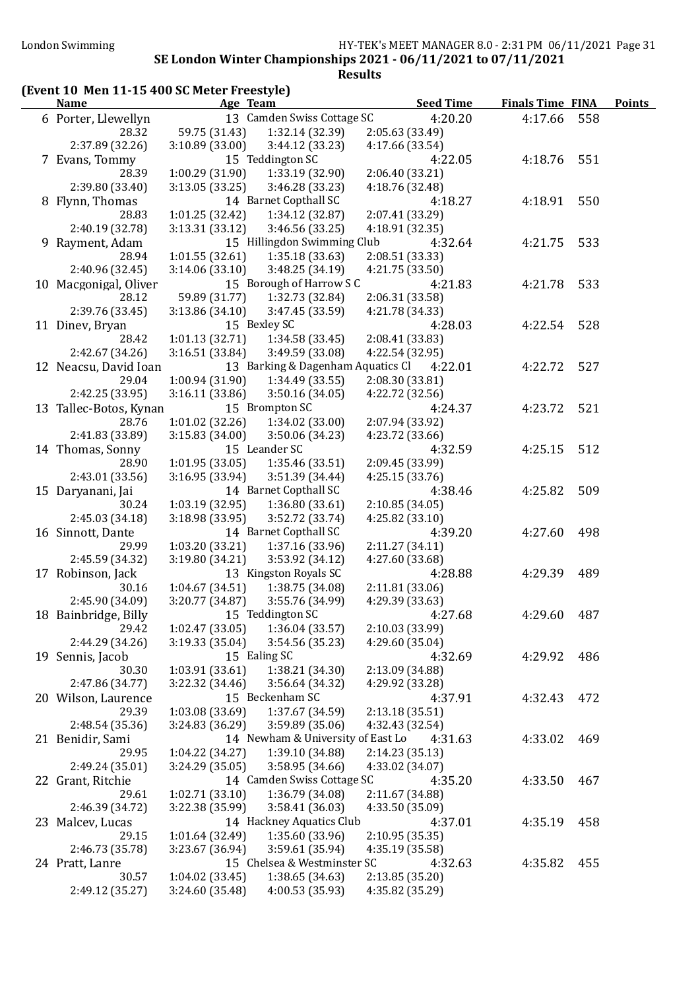### London Swimming HY-TEK's MEET MANAGER 8.0 - 2:31 PM 06/11/2021 Page 31

#### SE London Winter Championships 2021 - 06/11/2021 to 07/11/2021 Results

# (Event 10 Men 11-15 400 SC Meter Freestyle)

| <b>Name</b>            | Age Team        |                                   | <b>Seed Time</b> | <b>Finals Time FINA</b> |     | <b>Points</b> |
|------------------------|-----------------|-----------------------------------|------------------|-------------------------|-----|---------------|
| 6 Porter, Llewellyn    |                 | 13 Camden Swiss Cottage SC        | 4:20.20          | 4:17.66                 | 558 |               |
| 28.32                  | 59.75 (31.43)   | 1:32.14 (32.39)                   | 2:05.63 (33.49)  |                         |     |               |
| 2:37.89 (32.26)        | 3:10.89 (33.00) | 3:44.12 (33.23)                   | 4:17.66 (33.54)  |                         |     |               |
| 7 Evans, Tommy         |                 | 15 Teddington SC                  | 4:22.05          | 4:18.76                 | 551 |               |
| 28.39                  | 1:00.29 (31.90) | 1:33.19 (32.90)                   | 2:06.40 (33.21)  |                         |     |               |
| 2:39.80 (33.40)        | 3:13.05(33.25)  | 3:46.28 (33.23)                   | 4:18.76 (32.48)  |                         |     |               |
| 8 Flynn, Thomas        |                 | 14 Barnet Copthall SC             | 4:18.27          | 4:18.91                 | 550 |               |
| 28.83                  | 1:01.25 (32.42) | 1:34.12 (32.87)                   | 2:07.41 (33.29)  |                         |     |               |
| 2:40.19 (32.78)        | 3:13.31 (33.12) | 3:46.56 (33.25)                   | 4:18.91 (32.35)  |                         |     |               |
| 9 Rayment, Adam        |                 | 15 Hillingdon Swimming Club       | 4:32.64          | 4:21.75                 | 533 |               |
| 28.94                  | 1:01.55(32.61)  | 1:35.18(33.63)                    | 2:08.51 (33.33)  |                         |     |               |
| 2:40.96 (32.45)        | 3:14.06(33.10)  | 3:48.25(34.19)                    | 4:21.75 (33.50)  |                         |     |               |
| 10 Macgonigal, Oliver  |                 | 15 Borough of Harrow S C          | 4:21.83          | 4:21.78                 | 533 |               |
| 28.12                  | 59.89 (31.77)   | 1:32.73 (32.84)                   | 2:06.31 (33.58)  |                         |     |               |
| 2:39.76 (33.45)        | 3:13.86 (34.10) | 3:47.45 (33.59)                   | 4:21.78 (34.33)  |                         |     |               |
| 11 Dinev, Bryan        |                 | 15 Bexley SC                      | 4:28.03          | 4:22.54                 | 528 |               |
| 28.42                  | 1:01.13(32.71)  | 1:34.58 (33.45)                   | 2:08.41 (33.83)  |                         |     |               |
| 2:42.67 (34.26)        | 3:16.51(33.84)  | 3:49.59 (33.08)                   | 4:22.54 (32.95)  |                         |     |               |
| 12 Neacsu, David Ioan  |                 | 13 Barking & Dagenham Aquatics Cl | 4:22.01          | 4:22.72                 | 527 |               |
| 29.04                  | 1:00.94 (31.90) | 1:34.49(33.55)                    | 2:08.30 (33.81)  |                         |     |               |
| 2:42.25 (33.95)        | 3:16.11 (33.86) | 3:50.16(34.05)                    | 4:22.72 (32.56)  |                         |     |               |
| 13 Tallec-Botos, Kynan |                 | 15 Brompton SC                    | 4:24.37          | 4:23.72                 | 521 |               |
| 28.76                  | 1:01.02(32.26)  | 1:34.02 (33.00)                   | 2:07.94 (33.92)  |                         |     |               |
| 2:41.83 (33.89)        | 3:15.83(34.00)  | 3:50.06 (34.23)                   | 4:23.72 (33.66)  |                         |     |               |
| 14 Thomas, Sonny       |                 | 15 Leander SC                     | 4:32.59          | 4:25.15                 | 512 |               |
| 28.90                  | 1:01.95(33.05)  | 1:35.46 (33.51)                   | 2:09.45 (33.99)  |                         |     |               |
| 2:43.01 (33.56)        | 3:16.95 (33.94) | 3:51.39 (34.44)                   | 4:25.15 (33.76)  |                         |     |               |
| 15 Daryanani, Jai      |                 | 14 Barnet Copthall SC             | 4:38.46          | 4:25.82                 | 509 |               |
| 30.24                  | 1:03.19(32.95)  | 1:36.80(33.61)                    | 2:10.85(34.05)   |                         |     |               |
| 2:45.03 (34.18)        | 3:18.98 (33.95) | 3:52.72 (33.74)                   | 4:25.82 (33.10)  |                         |     |               |
| 16 Sinnott, Dante      |                 | 14 Barnet Copthall SC             | 4:39.20          | 4:27.60                 | 498 |               |
| 29.99                  | 1:03.20 (33.21) | 1:37.16 (33.96)                   | 2:11.27(34.11)   |                         |     |               |
| 2:45.59 (34.32)        | 3:19.80 (34.21) | 3:53.92 (34.12)                   | 4:27.60 (33.68)  |                         |     |               |
| 17 Robinson, Jack      |                 | 13 Kingston Royals SC             | 4:28.88          | 4:29.39                 | 489 |               |
| 30.16                  | 1:04.67(34.51)  | 1:38.75 (34.08)                   | 2:11.81 (33.06)  |                         |     |               |
| 2:45.90 (34.09)        | 3:20.77 (34.87) | 3:55.76 (34.99)                   | 4:29.39 (33.63)  |                         |     |               |
| 18 Bainbridge, Billy   |                 | 15 Teddington SC                  | 4:27.68          | 4:29.60                 | 487 |               |
| 29.42                  | 1:02.47 (33.05) | 1:36.04 (33.57)                   | 2:10.03 (33.99)  |                         |     |               |
| 2:44.29 (34.26)        | 3:19.33 (35.04) | 3:54.56 (35.23)                   | 4:29.60 (35.04)  |                         |     |               |
| 19 Sennis, Jacob       |                 | 15 Ealing SC                      | 4:32.69          | 4:29.92                 | 486 |               |
| 30.30                  | 1:03.91 (33.61) | 1:38.21 (34.30)                   | 2:13.09 (34.88)  |                         |     |               |
| 2:47.86 (34.77)        | 3:22.32 (34.46) | 3:56.64 (34.32)                   | 4:29.92 (33.28)  |                         |     |               |
| 20 Wilson, Laurence    |                 | 15 Beckenham SC                   | 4:37.91          | 4:32.43                 | 472 |               |
| 29.39                  | 1:03.08 (33.69) | 1:37.67 (34.59)                   | 2:13.18(35.51)   |                         |     |               |
| 2:48.54 (35.36)        | 3:24.83 (36.29) | 3:59.89 (35.06)                   | 4:32.43 (32.54)  |                         |     |               |
| 21 Benidir, Sami       |                 | 14 Newham & University of East Lo | 4:31.63          | 4:33.02                 | 469 |               |
| 29.95                  | 1:04.22 (34.27) | 1:39.10 (34.88)                   | 2:14.23(35.13)   |                         |     |               |
| 2:49.24 (35.01)        | 3:24.29 (35.05) | 3:58.95 (34.66)                   | 4:33.02 (34.07)  |                         |     |               |
| 22 Grant, Ritchie      |                 | 14 Camden Swiss Cottage SC        | 4:35.20          | 4:33.50                 | 467 |               |
| 29.61                  | 1:02.71(33.10)  | 1:36.79 (34.08)                   | 2:11.67 (34.88)  |                         |     |               |
| 2:46.39 (34.72)        | 3:22.38 (35.99) | 3:58.41 (36.03)                   | 4:33.50 (35.09)  |                         |     |               |
| 23 Malcev, Lucas       |                 | 14 Hackney Aquatics Club          | 4:37.01          | 4:35.19                 | 458 |               |
| 29.15                  | 1:01.64 (32.49) | 1:35.60 (33.96)                   | 2:10.95 (35.35)  |                         |     |               |
| 2:46.73 (35.78)        | 3:23.67 (36.94) | 3:59.61 (35.94)                   | 4:35.19 (35.58)  |                         |     |               |
| 24 Pratt, Lanre        |                 | 15 Chelsea & Westminster SC       | 4:32.63          | 4:35.82                 | 455 |               |
| 30.57                  | 1:04.02(33.45)  | 1:38.65(34.63)                    | 2:13.85 (35.20)  |                         |     |               |
| 2:49.12 (35.27)        | 3:24.60 (35.48) | 4:00.53 (35.93)                   | 4:35.82 (35.29)  |                         |     |               |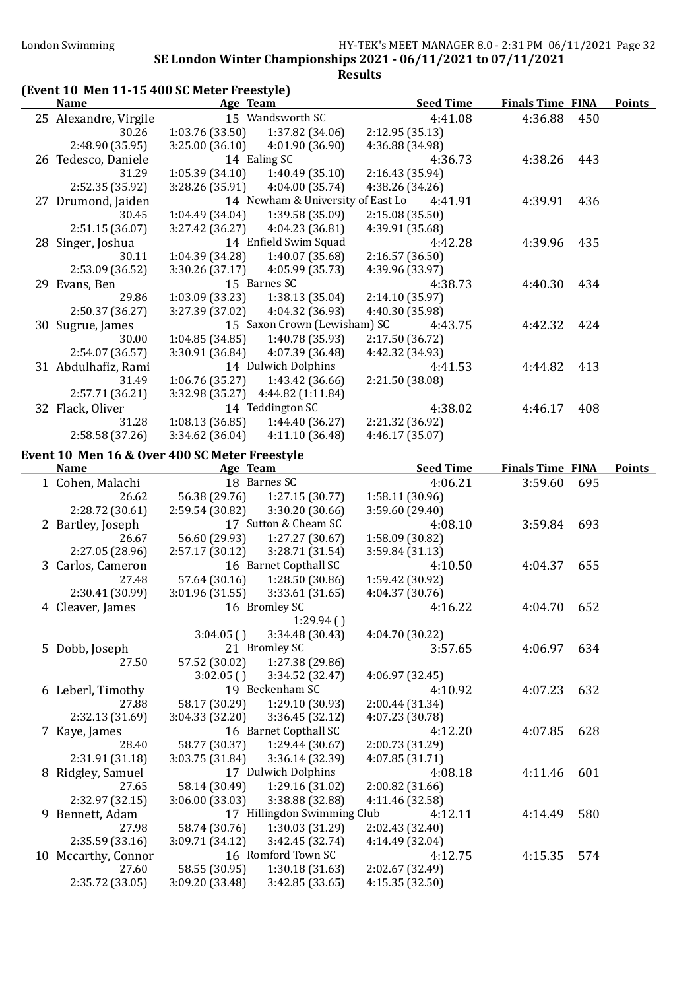#### London Swimming HY-TEK's MEET MANAGER 8.0 - 2:31 PM 06/11/2021 Page 32 SE London Winter Championships 2021 - 06/11/2021 to 07/11/2021

Results

## (Event 10 Men 11-15 400 SC Meter Freestyle)

| <b>Name</b>                                                  | Age Team        |                                   | <b>Seed Time</b>                          | <b>Finals Time FINA</b> |     | <b>Points</b> |
|--------------------------------------------------------------|-----------------|-----------------------------------|-------------------------------------------|-------------------------|-----|---------------|
| 25 Alexandre, Virgile                                        |                 | 15 Wandsworth SC                  | 4:41.08                                   | 4:36.88                 | 450 |               |
| 30.26                                                        | 1:03.76 (33.50) | 1:37.82 (34.06)                   | 2:12.95(35.13)                            |                         |     |               |
| 2:48.90 (35.95)                                              | 3:25.00(36.10)  | 4:01.90 (36.90)                   | 4:36.88 (34.98)                           |                         |     |               |
| 26 Tedesco, Daniele                                          |                 | 14 Ealing SC                      | 4:36.73                                   | 4:38.26 443             |     |               |
| 31.29                                                        | 1:05.39(34.10)  | 1:40.49(35.10)                    | 2:16.43 (35.94)                           |                         |     |               |
| 2:52.35 (35.92)                                              | 3:28.26 (35.91) | 4:04.00(35.74)                    | 4:38.26 (34.26)                           |                         |     |               |
| 27 Drumond, Jaiden                                           |                 |                                   | 14 Newham & University of East Lo 4:41.91 | 4:39.91                 | 436 |               |
| 30.45                                                        | 1:04.49(34.04)  | 1:39.58 (35.09)                   | 2:15.08(35.50)                            |                         |     |               |
| 2:51.15 (36.07)                                              |                 | $3:27.42(36.27)$ $4:04.23(36.81)$ | 4:39.91 (35.68)                           |                         |     |               |
| 28 Singer, Joshua                                            |                 | 14 Enfield Swim Squad             | 4:42.28                                   | 4:39.96                 | 435 |               |
| 30.11                                                        | 1:04.39 (34.28) | 1:40.07(35.68)                    | 2:16.57(36.50)                            |                         |     |               |
| 2:53.09 (36.52)                                              |                 | $3:30.26(37.17)$ 4:05.99 (35.73)  | 4:39.96 (33.97)                           |                         |     |               |
| 29 Evans, Ben                                                |                 | 15 Barnes SC                      | 4:38.73                                   | 4:40.30                 | 434 |               |
| 29.86                                                        | 1:03.09(33.23)  | 1:38.13 (35.04)                   | 2:14.10 (35.97)                           |                         |     |               |
| 2:50.37 (36.27)                                              | 3:27.39 (37.02) | 4:04.32 (36.93)                   | 4:40.30 (35.98)                           |                         |     |               |
| 30 Sugrue, James                                             |                 | 15 Saxon Crown (Lewisham) SC      | 4:43.75                                   | 4:42.32                 | 424 |               |
| 30.00                                                        |                 | $1:04.85(34.85)$ $1:40.78(35.93)$ | 2:17.50 (36.72)                           |                         |     |               |
| 2:54.07 (36.57)                                              |                 | $3:30.91(36.84)$ $4:07.39(36.48)$ | 4:42.32 (34.93)                           |                         |     |               |
| 31 Abdulhafiz, Rami                                          |                 | 14 Dulwich Dolphins               | 4:41.53                                   | 4:44.82 413             |     |               |
| 31.49                                                        | 1:06.76(35.27)  | 1:43.42 (36.66)                   | 2:21.50 (38.08)                           |                         |     |               |
| 2:57.71 (36.21)                                              |                 | 3:32.98 (35.27) 4:44.82 (1:11.84) |                                           |                         |     |               |
| 32 Flack, Oliver                                             |                 | 14 Teddington SC                  | 4:38.02                                   | 4:46.17                 | 408 |               |
| 31.28                                                        | 1:08.13(36.85)  | 1:44.40(36.27)                    | 2:21.32 (36.92)                           |                         |     |               |
| 2:58.58 (37.26)                                              | 3:34.62(36.04)  | 4:11.10(36.48)                    | 4:46.17(35.07)                            |                         |     |               |
|                                                              |                 |                                   |                                           |                         |     |               |
| Event 10 Men 16 & Over 400 SC Meter Freestyle<br><b>Name</b> | Age Team        |                                   | <b>Seed Time</b>                          | <b>Finals Time FINA</b> |     | <b>Points</b> |
| 1 Cohen, Malachi                                             |                 | 18 Barnes SC                      | 4:06.21                                   | 3:59.60                 | 695 |               |
| 26.62                                                        |                 | 56.38 (29.76) 1:27.15 (30.77)     | 1:58.11 (30.96)                           |                         |     |               |
| 2:28.72 (30.61)                                              |                 | 2:59.54 (30.82) 3:30.20 (30.66)   | 3:59.60 (29.40)                           |                         |     |               |
|                                                              |                 | 17 Sutton & Cheam SC              | 4:08.10                                   | 3:59.84 693             |     |               |
| 2 Bartley, Joseph<br>26.67                                   |                 | 56.60 (29.93) 1:27.27 (30.67)     | 1:58.09 (30.82)                           |                         |     |               |
| 2:27.05 (28.96)                                              | 2:57.17 (30.12) | 3:28.71 (31.54)                   | 3:59.84 (31.13)                           |                         |     |               |
| 3 Carlos, Cameron                                            |                 | 16 Barnet Copthall SC             | 4:10.50                                   | 4:04.37                 | 655 |               |
| 27.48                                                        | 57.64 (30.16)   | 1:28.50 (30.86)                   | 1:59.42 (30.92)                           |                         |     |               |
| 2:30.41 (30.99)                                              | 3:01.96(31.55)  | 3:33.61(31.65)                    | 4:04.37 (30.76)                           |                         |     |               |
| 4 Cleaver, James                                             |                 | 16 Bromley SC                     | 4:16.22                                   | 4:04.70                 | 652 |               |
|                                                              |                 | 1:29.94(                          |                                           |                         |     |               |
|                                                              | 3:04.05()       | 3:34.48 (30.43)                   | 4:04.70 (30.22)                           |                         |     |               |
| 5 Dobb, Joseph                                               |                 | 21 Bromley SC                     | 3:57.65                                   | 4:06.97                 | 634 |               |
| 27.50                                                        | 57.52 (30.02)   | 1:27.38 (29.86)                   |                                           |                         |     |               |
|                                                              | 3:02.05()       | 3:34.52 (32.47)                   | 4:06.97 (32.45)                           |                         |     |               |
| 6 Leberl, Timothy                                            |                 | 19 Beckenham SC                   | 4:10.92                                   | 4:07.23                 | 632 |               |
| 27.88                                                        | 58.17 (30.29)   | 1:29.10 (30.93)                   | 2:00.44 (31.34)                           |                         |     |               |
| 2:32.13 (31.69)                                              | 3:04.33 (32.20) | 3:36.45 (32.12)                   | 4:07.23 (30.78)                           |                         |     |               |
|                                                              |                 | 16 Barnet Copthall SC             |                                           |                         |     |               |
| 7 Kaye, James<br>28.40                                       | 58.77 (30.37)   | 1:29.44(30.67)                    | 4:12.20                                   | 4:07.85                 | 628 |               |
| 2:31.91 (31.18)                                              | 3:03.75 (31.84) | 3:36.14 (32.39)                   | 2:00.73 (31.29)<br>4:07.85 (31.71)        |                         |     |               |
|                                                              |                 | 17 Dulwich Dolphins               |                                           |                         |     |               |
| 8 Ridgley, Samuel                                            |                 |                                   | 4:08.18                                   | 4:11.46                 | 601 |               |
| 27.65                                                        | 58.14 (30.49)   | 1:29.16 (31.02)                   | 2:00.82 (31.66)                           |                         |     |               |
| 2:32.97 (32.15)                                              | 3:06.00 (33.03) | 3:38.88 (32.88)                   | 4:11.46 (32.58)                           |                         |     |               |
| 9 Bennett, Adam                                              |                 | 17 Hillingdon Swimming Club       | 4:12.11                                   | 4:14.49                 | 580 |               |
| 27.98                                                        | 58.74 (30.76)   | 1:30.03 (31.29)                   | 2:02.43 (32.40)                           |                         |     |               |
| 2:35.59 (33.16)                                              | 3:09.71 (34.12) | 3:42.45 (32.74)                   | 4:14.49 (32.04)                           |                         |     |               |
| 10 Mccarthy, Connor                                          |                 | 16 Romford Town SC                | 4:12.75                                   | 4:15.35                 | 574 |               |
| 27.60                                                        | 58.55 (30.95)   | 1:30.18(31.63)                    | 2:02.67 (32.49)                           |                         |     |               |
| 2:35.72 (33.05)                                              | 3:09.20 (33.48) | 3:42.85 (33.65)                   | 4:15.35 (32.50)                           |                         |     |               |